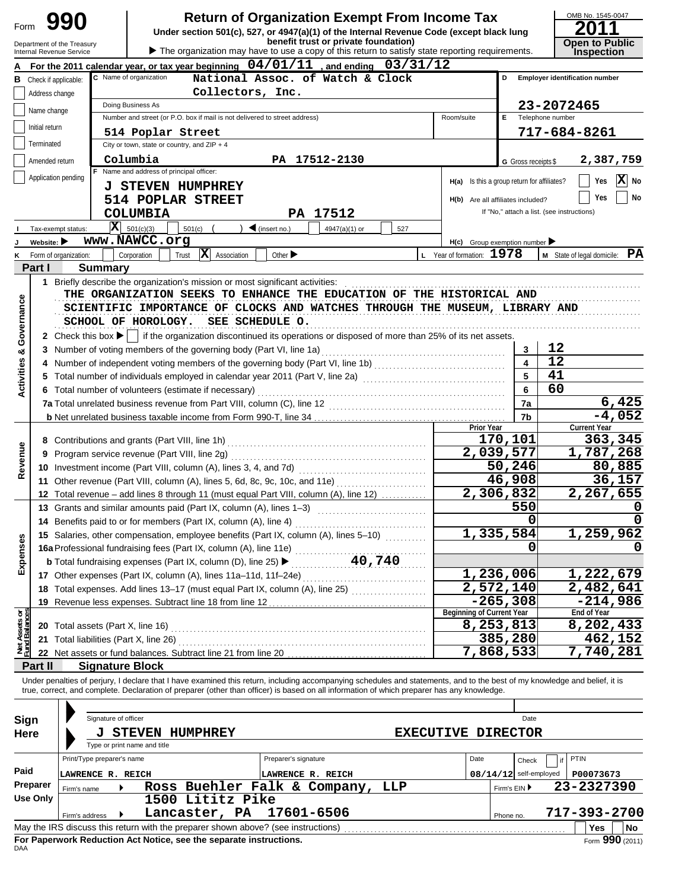| Form                                  |                                                                                                                                                                                                                                                                                                                                                                                                 | 990                                                                                                                               |                |                        |                                               |                                                                               |                                   |  | <b>Return of Organization Exempt From Income Tax</b><br>Under section 501(c), 527, or 4947(a)(1) of the Internal Revenue Code (except black lung<br>benefit trust or private foundation) |                                   |                |                                             |                                            |                  | OMB No. 1545-0047                     |
|---------------------------------------|-------------------------------------------------------------------------------------------------------------------------------------------------------------------------------------------------------------------------------------------------------------------------------------------------------------------------------------------------------------------------------------------------|-----------------------------------------------------------------------------------------------------------------------------------|----------------|------------------------|-----------------------------------------------|-------------------------------------------------------------------------------|-----------------------------------|--|------------------------------------------------------------------------------------------------------------------------------------------------------------------------------------------|-----------------------------------|----------------|---------------------------------------------|--------------------------------------------|------------------|---------------------------------------|
|                                       |                                                                                                                                                                                                                                                                                                                                                                                                 | Department of the Treasury<br><b>Internal Revenue Service</b>                                                                     |                |                        |                                               |                                                                               |                                   |  | The organization may have to use a copy of this return to satisfy state reporting requirements.                                                                                          |                                   |                |                                             |                                            |                  | <b>Open to Public</b><br>Inspection   |
|                                       |                                                                                                                                                                                                                                                                                                                                                                                                 |                                                                                                                                   |                |                        |                                               |                                                                               |                                   |  | For the 2011 calendar year, or tax year beginning $04/01/11$ , and ending $03/31/12$                                                                                                     |                                   |                |                                             |                                            |                  |                                       |
|                                       |                                                                                                                                                                                                                                                                                                                                                                                                 | <b>B</b> Check if applicable:                                                                                                     |                | C Name of organization |                                               |                                                                               |                                   |  | National Assoc. of Watch & Clock                                                                                                                                                         |                                   |                |                                             | D                                          |                  | <b>Employer identification number</b> |
|                                       | Address change                                                                                                                                                                                                                                                                                                                                                                                  |                                                                                                                                   |                |                        |                                               | Collectors, Inc.                                                              |                                   |  |                                                                                                                                                                                          |                                   |                |                                             |                                            |                  |                                       |
|                                       | Name change                                                                                                                                                                                                                                                                                                                                                                                     |                                                                                                                                   |                | Doing Business As      |                                               |                                                                               |                                   |  |                                                                                                                                                                                          |                                   |                |                                             |                                            | 23-2072465       |                                       |
|                                       |                                                                                                                                                                                                                                                                                                                                                                                                 |                                                                                                                                   |                |                        |                                               | Number and street (or P.O. box if mail is not delivered to street address)    |                                   |  |                                                                                                                                                                                          |                                   |                | Room/suite                                  | E.                                         | Telephone number |                                       |
|                                       | Initial return                                                                                                                                                                                                                                                                                                                                                                                  |                                                                                                                                   |                |                        | 514 Poplar Street                             |                                                                               |                                   |  |                                                                                                                                                                                          |                                   |                |                                             |                                            |                  | 717-684-8261                          |
|                                       | Terminated                                                                                                                                                                                                                                                                                                                                                                                      |                                                                                                                                   |                |                        | City or town, state or country, and $ZIP + 4$ |                                                                               |                                   |  |                                                                                                                                                                                          |                                   |                |                                             |                                            |                  |                                       |
|                                       | Amended return                                                                                                                                                                                                                                                                                                                                                                                  |                                                                                                                                   |                | Columbia               |                                               |                                                                               |                                   |  | PA 17512-2130                                                                                                                                                                            |                                   |                |                                             | G Gross receipts \$                        |                  | 2,387,759                             |
|                                       |                                                                                                                                                                                                                                                                                                                                                                                                 | Application pending                                                                                                               |                |                        | Name and address of principal officer:        |                                                                               |                                   |  |                                                                                                                                                                                          |                                   |                | H(a) Is this a group return for affiliates? |                                            |                  | $ \mathbf{x} $<br>Yes<br>No           |
|                                       |                                                                                                                                                                                                                                                                                                                                                                                                 |                                                                                                                                   |                |                        | <b>J STEVEN HUMPHREY</b>                      |                                                                               |                                   |  |                                                                                                                                                                                          |                                   |                |                                             |                                            |                  |                                       |
|                                       |                                                                                                                                                                                                                                                                                                                                                                                                 |                                                                                                                                   |                |                        | 514 POPLAR STREET                             |                                                                               |                                   |  |                                                                                                                                                                                          |                                   |                | H(b) Are all affiliates included?           |                                            |                  | No<br>Yes                             |
|                                       |                                                                                                                                                                                                                                                                                                                                                                                                 |                                                                                                                                   |                | <b>COLUMBIA</b>        |                                               |                                                                               |                                   |  | PA 17512                                                                                                                                                                                 |                                   |                |                                             | If "No," attach a list. (see instructions) |                  |                                       |
|                                       |                                                                                                                                                                                                                                                                                                                                                                                                 | Tax-exempt status:                                                                                                                | $ \mathbf{x} $ | 501(c)(3)              | 501(c)                                        |                                                                               | $\blacktriangleleft$ (insert no.) |  | 4947(a)(1) or                                                                                                                                                                            | 527                               |                |                                             |                                            |                  |                                       |
|                                       | Website: $\blacktriangleright$                                                                                                                                                                                                                                                                                                                                                                  |                                                                                                                                   |                | www.NAWCC.org          |                                               |                                                                               |                                   |  |                                                                                                                                                                                          |                                   |                | $H(c)$ Group exemption number               |                                            |                  |                                       |
|                                       |                                                                                                                                                                                                                                                                                                                                                                                                 | K Form of organization:                                                                                                           |                | Corporation            | Trust                                         | X Association                                                                 | Other $\blacktriangleright$       |  |                                                                                                                                                                                          |                                   |                | L Year of formation: $1978$                 |                                            |                  | PA<br>M State of legal domicile:      |
|                                       | Part I                                                                                                                                                                                                                                                                                                                                                                                          |                                                                                                                                   | <b>Summary</b> |                        |                                               | 1 Briefly describe the organization's mission or most significant activities: |                                   |  |                                                                                                                                                                                          |                                   |                |                                             |                                            |                  |                                       |
| Governance<br><b>Activities &amp;</b> | SCIENTIFIC IMPORTANCE OF CLOCKS AND WATCHES THROUGH THE MUSEUM, LIBRARY AND<br>SCHOOL OF HOROLOGY.<br>SEE SCHEDULE O.<br>if the organization discontinued its operations or disposed of more than 25% of its net assets.<br>2 Check this box $\blacktriangleright$ $\mid$<br>4<br>Total number of individuals employed in calendar year 2011 (Part V, line 2a) [[[[[[[[[[[[[[[[[[[[[[[[[[[[[[[[ |                                                                                                                                   |                |                        |                                               |                                                                               |                                   |  |                                                                                                                                                                                          | 3<br>$\overline{\mathbf{4}}$<br>5 | 12<br>12<br>41 |                                             |                                            |                  |                                       |
|                                       |                                                                                                                                                                                                                                                                                                                                                                                                 | 6 Total number of volunteers (estimate if necessary)                                                                              |                |                        |                                               |                                                                               |                                   |  |                                                                                                                                                                                          |                                   | 6              | 60                                          |                                            |                  |                                       |
|                                       |                                                                                                                                                                                                                                                                                                                                                                                                 |                                                                                                                                   |                |                        |                                               |                                                                               |                                   |  |                                                                                                                                                                                          |                                   |                |                                             | 7a                                         |                  | 6,425                                 |
|                                       |                                                                                                                                                                                                                                                                                                                                                                                                 |                                                                                                                                   |                |                        |                                               |                                                                               |                                   |  |                                                                                                                                                                                          |                                   |                |                                             | 7b                                         |                  | $-4,052$                              |
|                                       | 8                                                                                                                                                                                                                                                                                                                                                                                               |                                                                                                                                   |                |                        |                                               |                                                                               |                                   |  |                                                                                                                                                                                          |                                   |                | <b>Prior Year</b>                           | 170,101                                    |                  | <b>Current Year</b><br>363,345        |
|                                       | 9                                                                                                                                                                                                                                                                                                                                                                                               |                                                                                                                                   |                |                        | Program service revenue (Part VIII, line 2g)  |                                                                               |                                   |  |                                                                                                                                                                                          |                                   |                |                                             | 2,039,577                                  |                  | 1,787,268                             |
| Revenue                               |                                                                                                                                                                                                                                                                                                                                                                                                 |                                                                                                                                   |                |                        |                                               | 10 Investment income (Part VIII, column (A), lines 3, 4, and 7d)              |                                   |  |                                                                                                                                                                                          |                                   |                |                                             | 50,246                                     |                  | 80,885                                |
|                                       | 11                                                                                                                                                                                                                                                                                                                                                                                              |                                                                                                                                   |                |                        |                                               |                                                                               |                                   |  |                                                                                                                                                                                          |                                   |                |                                             | 46,908                                     |                  | 36,157                                |
|                                       |                                                                                                                                                                                                                                                                                                                                                                                                 |                                                                                                                                   |                |                        |                                               |                                                                               |                                   |  | 12 Total revenue - add lines 8 through 11 (must equal Part VIII, column (A), line 12)                                                                                                    |                                   |                |                                             | 2,306,832                                  |                  | 2,267,655                             |
|                                       | 13                                                                                                                                                                                                                                                                                                                                                                                              |                                                                                                                                   |                |                        |                                               |                                                                               |                                   |  | Grants and similar amounts paid (Part IX, column (A), lines 1-3)                                                                                                                         |                                   |                |                                             | 550                                        |                  | $\mathbf 0$                           |
|                                       | 14                                                                                                                                                                                                                                                                                                                                                                                              |                                                                                                                                   |                |                        |                                               | Benefits paid to or for members (Part IX, column (A), line 4)                 |                                   |  |                                                                                                                                                                                          |                                   |                |                                             |                                            |                  | $\Omega$                              |
|                                       | 15                                                                                                                                                                                                                                                                                                                                                                                              |                                                                                                                                   |                |                        |                                               |                                                                               |                                   |  | Salaries, other compensation, employee benefits (Part IX, column (A), lines 5-10)                                                                                                        |                                   |                |                                             | 1,335,584                                  |                  | $\overline{1,259,962}$                |
|                                       |                                                                                                                                                                                                                                                                                                                                                                                                 |                                                                                                                                   |                |                        |                                               |                                                                               |                                   |  |                                                                                                                                                                                          |                                   |                |                                             |                                            |                  |                                       |
| Expenses                              |                                                                                                                                                                                                                                                                                                                                                                                                 |                                                                                                                                   |                |                        |                                               |                                                                               |                                   |  |                                                                                                                                                                                          |                                   |                |                                             |                                            |                  |                                       |
|                                       |                                                                                                                                                                                                                                                                                                                                                                                                 |                                                                                                                                   |                |                        |                                               |                                                                               |                                   |  | 17 Other expenses (Part IX, column (A), lines 11a-11d, 11f-24e)                                                                                                                          |                                   |                |                                             | 1,236,006                                  |                  | 1,222,679                             |
|                                       | 18                                                                                                                                                                                                                                                                                                                                                                                              |                                                                                                                                   |                |                        |                                               |                                                                               |                                   |  |                                                                                                                                                                                          |                                   |                |                                             | 2,572,140                                  |                  | $\overline{2,}$ 482,641               |
|                                       | 19                                                                                                                                                                                                                                                                                                                                                                                              | Total expenses. Add lines 13-17 (must equal Part IX, column (A), line 25)<br>Revenue less expenses. Subtract line 18 from line 12 |                |                        |                                               |                                                                               |                                   |  |                                                                                                                                                                                          |                                   |                |                                             | $-265,308$                                 |                  | $-214,986$                            |
|                                       |                                                                                                                                                                                                                                                                                                                                                                                                 |                                                                                                                                   |                |                        |                                               |                                                                               |                                   |  |                                                                                                                                                                                          |                                   |                | <b>Beginning of Current Year</b>            |                                            |                  | End of Year                           |
|                                       |                                                                                                                                                                                                                                                                                                                                                                                                 |                                                                                                                                   |                |                        |                                               |                                                                               |                                   |  |                                                                                                                                                                                          |                                   |                |                                             | 8,253,813                                  |                  | 8,202,433                             |
| Net Assets or<br>Fund Balances        |                                                                                                                                                                                                                                                                                                                                                                                                 | 21 Total liabilities (Part X, line 26)                                                                                            |                |                        |                                               |                                                                               |                                   |  |                                                                                                                                                                                          |                                   |                |                                             | 385,280                                    |                  | 462,152                               |
|                                       |                                                                                                                                                                                                                                                                                                                                                                                                 |                                                                                                                                   |                |                        |                                               | 22 Net assets or fund balances. Subtract line 21 from line 20                 |                                   |  |                                                                                                                                                                                          |                                   |                |                                             | 7,868,533                                  |                  | 7,740,281                             |
|                                       | Part II                                                                                                                                                                                                                                                                                                                                                                                         |                                                                                                                                   |                | <b>Signature Block</b> |                                               |                                                                               |                                   |  | Under penalties of perjury, I declare that I have examined this return, including accompanying schedules and statements, and to the best of my knowledge and belief, it is               |                                   |                |                                             |                                            |                  |                                       |
|                                       |                                                                                                                                                                                                                                                                                                                                                                                                 |                                                                                                                                   |                |                        |                                               |                                                                               |                                   |  | true, correct, and complete. Declaration of preparer (other than officer) is based on all information of which preparer has any knowledge.                                               |                                   |                |                                             |                                            |                  |                                       |

| Sign     |                                                                                                | Signature of officer         |                  |                                  |  |      |                            | Date      |              |  |  |  |  |
|----------|------------------------------------------------------------------------------------------------|------------------------------|------------------|----------------------------------|--|------|----------------------------|-----------|--------------|--|--|--|--|
| Here     |                                                                                                | <b>STEVEN</b>                | HUMPHREY         | <b>EXECUTIVE DIRECTOR</b>        |  |      |                            |           |              |  |  |  |  |
|          |                                                                                                | Type or print name and title |                  |                                  |  |      |                            |           |              |  |  |  |  |
|          | Print/Type preparer's name                                                                     |                              |                  | Preparer's signature             |  | Date |                            | Check     | PTIN         |  |  |  |  |
| Paid     | LAWRENCE R. REICH                                                                              |                              |                  | LAWRENCE R. REICH                |  |      | $08/14/12$ self-employed   | P00073673 |              |  |  |  |  |
| Preparer | Firm's name                                                                                    |                              |                  | Ross Buehler Falk & Company, LLP |  |      | 23-2327390<br>Firm's EIN ▶ |           |              |  |  |  |  |
| Use Only |                                                                                                |                              | 1500 Lititz Pike |                                  |  |      |                            |           |              |  |  |  |  |
|          | Firm's address                                                                                 |                              | Lancaster, PA    | 17601-6506                       |  |      | Phone no.                  |           | 717-393-2700 |  |  |  |  |
|          | May the IRS discuss this return with the preparer shown above? (see instructions)<br>No<br>Yes |                              |                  |                                  |  |      |                            |           |              |  |  |  |  |
| DAA      | For Paperwork Reduction Act Notice, see the separate instructions.<br>Form 990 (2011)          |                              |                  |                                  |  |      |                            |           |              |  |  |  |  |
|          |                                                                                                |                              |                  |                                  |  |      |                            |           |              |  |  |  |  |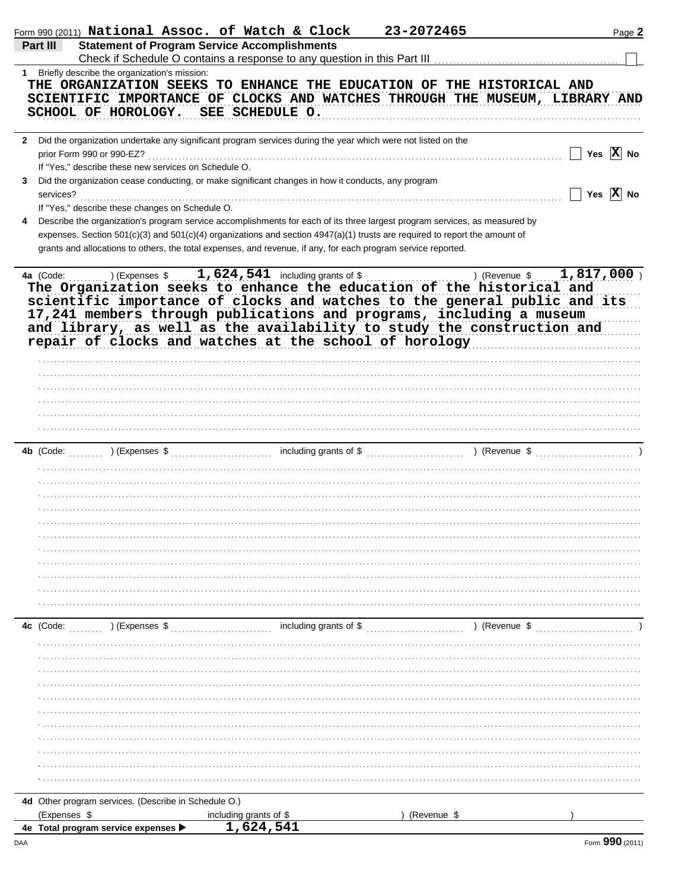| <b>Statement of Program Service Accomplishments</b><br>Part III                                                                                                                                                                                                                                                                                                                                                                           | Form 990 (2011) National Assoc. of Watch & Clock | 23-2072465    | Page 2                |
|-------------------------------------------------------------------------------------------------------------------------------------------------------------------------------------------------------------------------------------------------------------------------------------------------------------------------------------------------------------------------------------------------------------------------------------------|--------------------------------------------------|---------------|-----------------------|
|                                                                                                                                                                                                                                                                                                                                                                                                                                           |                                                  |               |                       |
|                                                                                                                                                                                                                                                                                                                                                                                                                                           |                                                  |               |                       |
| 1 Briefly describe the organization's mission:<br>THE ORGANIZATION SEEKS TO ENHANCE THE EDUCATION OF THE HISTORICAL AND<br>SCIENTIFIC IMPORTANCE OF CLOCKS AND WATCHES THROUGH THE MUSEUM, LIBRARY AND<br>SCHOOL OF HOROLOGY.<br>SEE SCHEDULE O.                                                                                                                                                                                          |                                                  |               |                       |
| 2 Did the organization undertake any significant program services during the year which were not listed on the                                                                                                                                                                                                                                                                                                                            |                                                  |               |                       |
| prior Form 990 or 990-EZ?<br>If "Yes," describe these new services on Schedule O.<br>Did the organization cease conducting, or make significant changes in how it conducts, any program<br>3                                                                                                                                                                                                                                              |                                                  |               | Yes $ X $ No          |
| services?<br>If "Yes," describe these changes on Schedule O.                                                                                                                                                                                                                                                                                                                                                                              |                                                  |               | Yes $\overline{X}$ No |
| Describe the organization's program service accomplishments for each of its three largest program services, as measured by<br>4<br>expenses. Section 501(c)(3) and 501(c)(4) organizations and section 4947(a)(1) trusts are required to report the amount of<br>grants and allocations to others, the total expenses, and revenue, if any, for each program service reported.                                                            |                                                  |               |                       |
| $\ldots$ ) (Expenses \$ $1,624,541$ including grants of \$<br>4a (Code:<br>The Organization seeks to enhance the education of the historical and<br>scientific importance of clocks and watches to the general public and its<br>17,241 members through publications and programs, including a museum<br>and library, as well as the availability to study the construction and<br>repair of clocks and watches at the school of horology | .                                                | ) (Revenue \$ | 1,817,000             |
|                                                                                                                                                                                                                                                                                                                                                                                                                                           |                                                  |               |                       |
|                                                                                                                                                                                                                                                                                                                                                                                                                                           |                                                  |               |                       |
|                                                                                                                                                                                                                                                                                                                                                                                                                                           |                                                  |               |                       |
| 4b $(Code:$                                                                                                                                                                                                                                                                                                                                                                                                                               |                                                  |               |                       |
|                                                                                                                                                                                                                                                                                                                                                                                                                                           |                                                  |               |                       |
|                                                                                                                                                                                                                                                                                                                                                                                                                                           |                                                  |               |                       |
| 4c (Code:<br>) (Expenses \$                                                                                                                                                                                                                                                                                                                                                                                                               | including grants of \$                           | ) (Revenue \$ |                       |
|                                                                                                                                                                                                                                                                                                                                                                                                                                           |                                                  |               |                       |
|                                                                                                                                                                                                                                                                                                                                                                                                                                           |                                                  |               |                       |
|                                                                                                                                                                                                                                                                                                                                                                                                                                           |                                                  |               |                       |
|                                                                                                                                                                                                                                                                                                                                                                                                                                           |                                                  |               |                       |
|                                                                                                                                                                                                                                                                                                                                                                                                                                           |                                                  |               |                       |
|                                                                                                                                                                                                                                                                                                                                                                                                                                           |                                                  |               |                       |
|                                                                                                                                                                                                                                                                                                                                                                                                                                           |                                                  |               |                       |
|                                                                                                                                                                                                                                                                                                                                                                                                                                           |                                                  |               |                       |
| 4d Other program services. (Describe in Schedule O.)                                                                                                                                                                                                                                                                                                                                                                                      |                                                  |               |                       |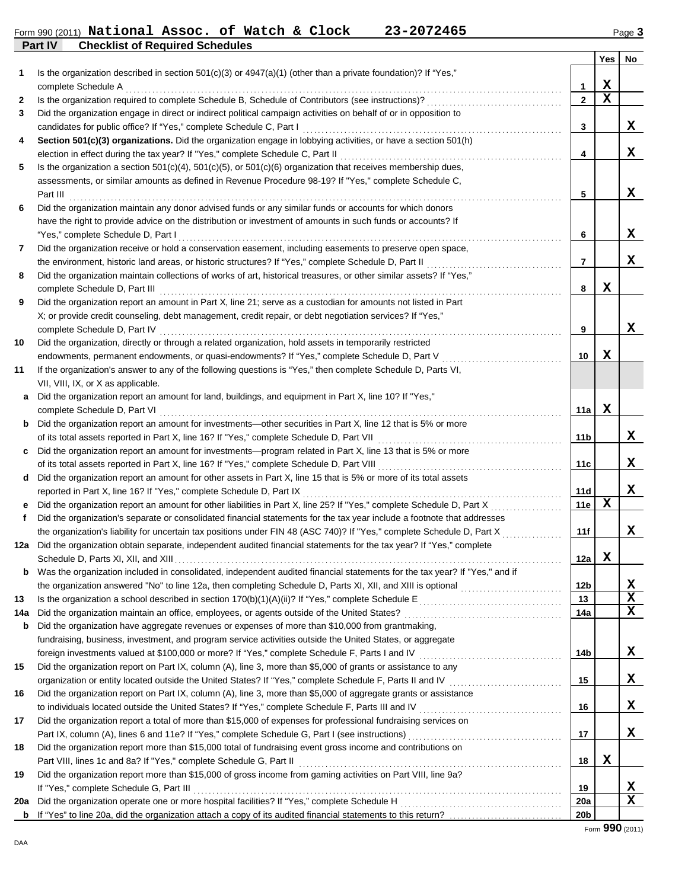### **Part IV Checklist of Required Schedules** Form 990 (2011) Page **3 National Assoc. of Watch & Clock 23-2072465**

|     |                                                                                                                            |                 | Yes         | No          |
|-----|----------------------------------------------------------------------------------------------------------------------------|-----------------|-------------|-------------|
| 1   | Is the organization described in section $501(c)(3)$ or $4947(a)(1)$ (other than a private foundation)? If "Yes,"          |                 |             |             |
|     | complete Schedule A                                                                                                        | 1               | X           |             |
| 2   |                                                                                                                            | $\overline{2}$  | $\mathbf x$ |             |
| 3   | Did the organization engage in direct or indirect political campaign activities on behalf of or in opposition to           |                 |             |             |
|     | candidates for public office? If "Yes," complete Schedule C, Part I                                                        | 3               |             | X           |
| 4   | Section 501(c)(3) organizations. Did the organization engage in lobbying activities, or have a section 501(h)              |                 |             |             |
|     | election in effect during the tax year? If "Yes," complete Schedule C, Part II [[[[[[[[[[[[[[[[[[[[[[[[[[[[[[[             | 4               |             | x           |
| 5   | Is the organization a section $501(c)(4)$ , $501(c)(5)$ , or $501(c)(6)$ organization that receives membership dues,       |                 |             |             |
|     | assessments, or similar amounts as defined in Revenue Procedure 98-19? If "Yes," complete Schedule C,                      |                 |             |             |
|     | Part III                                                                                                                   | 5               |             | x           |
| 6   | Did the organization maintain any donor advised funds or any similar funds or accounts for which donors                    |                 |             |             |
|     | have the right to provide advice on the distribution or investment of amounts in such funds or accounts? If                |                 |             |             |
|     | "Yes," complete Schedule D, Part I                                                                                         | 6               |             | x           |
| 7   | Did the organization receive or hold a conservation easement, including easements to preserve open space,                  |                 |             |             |
|     | the environment, historic land areas, or historic structures? If "Yes," complete Schedule D, Part II                       | $\overline{7}$  |             | x           |
| 8   | Did the organization maintain collections of works of art, historical treasures, or other similar assets? If "Yes,"        |                 |             |             |
|     | complete Schedule D, Part III                                                                                              | 8               | X           |             |
| 9   | Did the organization report an amount in Part X, line 21; serve as a custodian for amounts not listed in Part              |                 |             |             |
|     | X; or provide credit counseling, debt management, credit repair, or debt negotiation services? If "Yes,"                   |                 |             |             |
|     |                                                                                                                            | 9               |             | X           |
| 10  | Did the organization, directly or through a related organization, hold assets in temporarily restricted                    |                 |             |             |
|     | endowments, permanent endowments, or quasi-endowments? If "Yes," complete Schedule D, Part V                               | 10              | x           |             |
| 11  | If the organization's answer to any of the following questions is "Yes," then complete Schedule D, Parts VI,               |                 |             |             |
|     | VII, VIII, IX, or X as applicable.                                                                                         |                 |             |             |
| a   | Did the organization report an amount for land, buildings, and equipment in Part X, line 10? If "Yes,"                     |                 |             |             |
|     | complete Schedule D, Part VI                                                                                               | 11a             | X           |             |
|     | <b>b</b> Did the organization report an amount for investments—other securities in Part X, line 12 that is 5% or more      |                 |             |             |
|     | of its total assets reported in Part X, line 16? If "Yes," complete Schedule D, Part VII [[[[[[[[[[[[[[[[[[[[[             | 11 <sub>b</sub> |             | x           |
| C   | Did the organization report an amount for investments—program related in Part X, line 13 that is 5% or more                |                 |             | x           |
|     |                                                                                                                            | 11c             |             |             |
|     | d Did the organization report an amount for other assets in Part X, line 15 that is 5% or more of its total assets         | 11d             |             | x           |
|     | e Did the organization report an amount for other liabilities in Part X, line 25? If "Yes," complete Schedule D, Part X    | 11e             | X           |             |
| f   | Did the organization's separate or consolidated financial statements for the tax year include a footnote that addresses    |                 |             |             |
|     | the organization's liability for uncertain tax positions under FIN 48 (ASC 740)? If "Yes," complete Schedule D, Part X     | 11f             |             | x           |
|     | 12a Did the organization obtain separate, independent audited financial statements for the tax year? If "Yes," complete    |                 |             |             |
|     |                                                                                                                            | 12a             | X           |             |
|     | Was the organization included in consolidated, independent audited financial statements for the tax year? If "Yes," and if |                 |             |             |
|     |                                                                                                                            | 12 <sub>b</sub> |             | X           |
| 13  |                                                                                                                            | 13              |             | $\mathbf x$ |
| 14a |                                                                                                                            | 14a             |             | $\mathbf x$ |
| b   | Did the organization have aggregate revenues or expenses of more than \$10,000 from grantmaking,                           |                 |             |             |
|     | fundraising, business, investment, and program service activities outside the United States, or aggregate                  |                 |             |             |
|     | foreign investments valued at \$100,000 or more? If "Yes," complete Schedule F, Parts I and IV [[[[[[[[[[[[[[[[            | 14b             |             | X           |
| 15  | Did the organization report on Part IX, column (A), line 3, more than \$5,000 of grants or assistance to any               |                 |             |             |
|     |                                                                                                                            | 15              |             | X           |
| 16  | Did the organization report on Part IX, column (A), line 3, more than \$5,000 of aggregate grants or assistance            |                 |             |             |
|     | to individuals located outside the United States? If "Yes," complete Schedule F, Parts III and IV [[[[[[[[[[[              | 16              |             | X           |
| 17  | Did the organization report a total of more than \$15,000 of expenses for professional fundraising services on             |                 |             |             |
|     |                                                                                                                            | 17              |             | X           |
| 18  | Did the organization report more than \$15,000 total of fundraising event gross income and contributions on                |                 |             |             |
|     | Part VIII, lines 1c and 8a? If "Yes," complete Schedule G, Part II                                                         | 18              | X           |             |
| 19  | Did the organization report more than \$15,000 of gross income from gaming activities on Part VIII, line 9a?               |                 |             |             |
|     | If "Yes," complete Schedule G, Part III                                                                                    | 19              |             | X           |
| 20a |                                                                                                                            | 20a             |             | $\mathbf x$ |
| b   |                                                                                                                            | 20 <sub>b</sub> |             |             |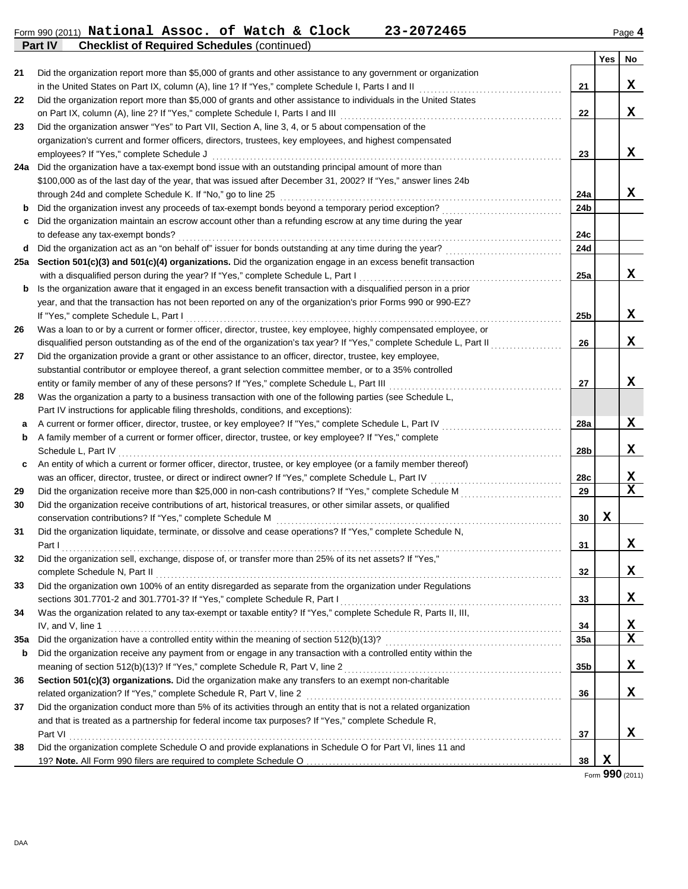#### Form 990 (2011) **National Assoc. of Watch & Clock 23-2072465** Page **4 Part IV Checklist of Required Schedules** (continued) **National Assoc. of Watch & Clock 23-2072465**

|     |                                                                                                                                                                                              |                 | Yes | No          |
|-----|----------------------------------------------------------------------------------------------------------------------------------------------------------------------------------------------|-----------------|-----|-------------|
| 21  | Did the organization report more than \$5,000 of grants and other assistance to any government or organization                                                                               |                 |     |             |
|     | in the United States on Part IX, column (A), line 1? If "Yes," complete Schedule I, Parts I and II [[[[[[[[[[[                                                                               | 21              |     | X           |
| 22  | Did the organization report more than \$5,000 of grants and other assistance to individuals in the United States                                                                             |                 |     |             |
|     |                                                                                                                                                                                              | 22              |     | X           |
| 23  | Did the organization answer "Yes" to Part VII, Section A, line 3, 4, or 5 about compensation of the                                                                                          |                 |     |             |
|     | organization's current and former officers, directors, trustees, key employees, and highest compensated                                                                                      |                 |     |             |
|     | employees? If "Yes," complete Schedule J                                                                                                                                                     | 23              |     | x           |
| 24a | Did the organization have a tax-exempt bond issue with an outstanding principal amount of more than                                                                                          |                 |     |             |
|     | \$100,000 as of the last day of the year, that was issued after December 31, 2002? If "Yes," answer lines 24b                                                                                |                 |     |             |
|     |                                                                                                                                                                                              | 24a             |     | X           |
| b   |                                                                                                                                                                                              | 24b             |     |             |
| c   | Did the organization maintain an escrow account other than a refunding escrow at any time during the year                                                                                    | 24c             |     |             |
| d   |                                                                                                                                                                                              | 24d             |     |             |
| 25a | Section 501(c)(3) and 501(c)(4) organizations. Did the organization engage in an excess benefit transaction                                                                                  |                 |     |             |
|     |                                                                                                                                                                                              | 25a             |     | X           |
| b   | Is the organization aware that it engaged in an excess benefit transaction with a disqualified person in a prior                                                                             |                 |     |             |
|     | year, and that the transaction has not been reported on any of the organization's prior Forms 990 or 990-EZ?                                                                                 |                 |     |             |
|     | If "Yes," complete Schedule L, Part I                                                                                                                                                        | 25 <sub>b</sub> |     | x           |
| 26  | Was a loan to or by a current or former officer, director, trustee, key employee, highly compensated employee, or                                                                            |                 |     |             |
|     | disqualified person outstanding as of the end of the organization's tax year? If "Yes," complete Schedule L, Part II                                                                         | 26              |     | x           |
| 27  | Did the organization provide a grant or other assistance to an officer, director, trustee, key employee,                                                                                     |                 |     |             |
|     | substantial contributor or employee thereof, a grant selection committee member, or to a 35% controlled                                                                                      |                 |     |             |
|     | entity or family member of any of these persons? If "Yes," complete Schedule L, Part III [[[[[[[[[[[[[[[[[[[[[                                                                               | 27              |     | X           |
| 28  | Was the organization a party to a business transaction with one of the following parties (see Schedule L,                                                                                    |                 |     |             |
|     | Part IV instructions for applicable filing thresholds, conditions, and exceptions):                                                                                                          |                 |     |             |
| a   | A current or former officer, director, trustee, or key employee? If "Yes," complete Schedule L, Part IV                                                                                      | 28a             |     | X           |
| b   | A family member of a current or former officer, director, trustee, or key employee? If "Yes," complete                                                                                       |                 |     |             |
|     |                                                                                                                                                                                              | 28b             |     | X           |
| c   | An entity of which a current or former officer, director, trustee, or key employee (or a family member thereof)                                                                              |                 |     |             |
|     |                                                                                                                                                                                              | 28c             |     | X           |
| 29  |                                                                                                                                                                                              | 29              |     | $\mathbf x$ |
| 30  | Did the organization receive contributions of art, historical treasures, or other similar assets, or qualified                                                                               |                 |     |             |
|     | conservation contributions? If "Yes," complete Schedule M                                                                                                                                    | 30              | X   |             |
| 31  | Did the organization liquidate, terminate, or dissolve and cease operations? If "Yes," complete Schedule N,                                                                                  |                 |     |             |
|     |                                                                                                                                                                                              | 31              |     | X           |
| 32  | Did the organization sell, exchange, dispose of, or transfer more than 25% of its net assets? If "Yes,"                                                                                      |                 |     |             |
|     | complete Schedule N, Part II                                                                                                                                                                 | 32              |     | X           |
| 33  | Did the organization own 100% of an entity disregarded as separate from the organization under Regulations                                                                                   |                 |     | X           |
| 34  | sections 301.7701-2 and 301.7701-3? If "Yes," complete Schedule R, Part I<br>Was the organization related to any tax-exempt or taxable entity? If "Yes," complete Schedule R, Parts II, III, | 33              |     |             |
|     | IV, and V, line 1                                                                                                                                                                            | 34              |     | X           |
| 35a |                                                                                                                                                                                              | 35a             |     | $\mathbf x$ |
| b   | Did the organization receive any payment from or engage in any transaction with a controlled entity within the                                                                               |                 |     |             |
|     |                                                                                                                                                                                              | 35b             |     | X           |
| 36  | Section 501(c)(3) organizations. Did the organization make any transfers to an exempt non-charitable                                                                                         |                 |     |             |
|     |                                                                                                                                                                                              | 36              |     | X           |
| 37  | Did the organization conduct more than 5% of its activities through an entity that is not a related organization                                                                             |                 |     |             |
|     | and that is treated as a partnership for federal income tax purposes? If "Yes," complete Schedule R,                                                                                         |                 |     |             |
|     | Part VI                                                                                                                                                                                      | 37              |     | X           |
| 38  | Did the organization complete Schedule O and provide explanations in Schedule O for Part VI, lines 11 and                                                                                    |                 |     |             |
|     |                                                                                                                                                                                              | 38              | X   |             |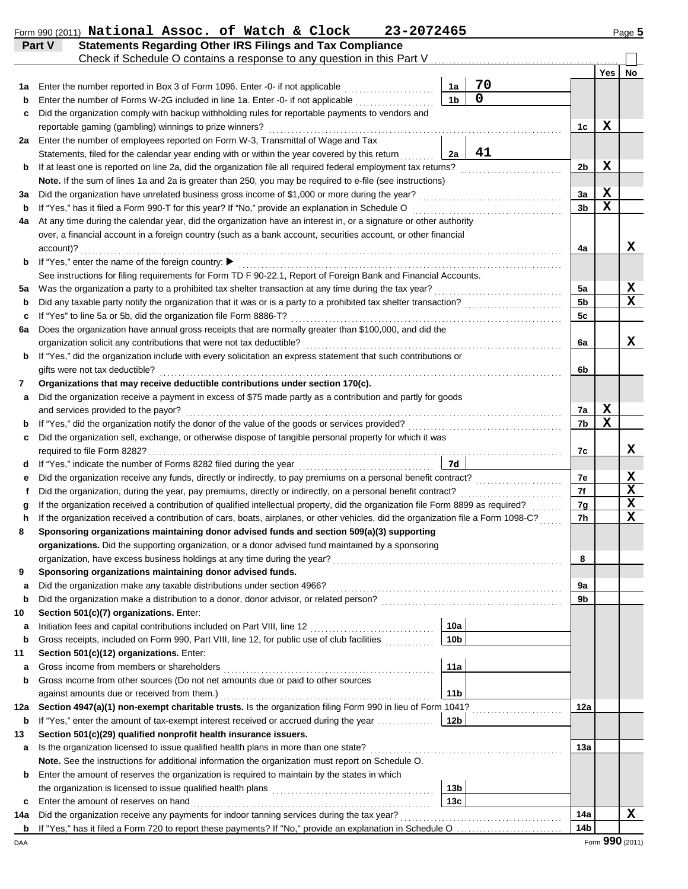|  | Form 990 (2011) National Assoc. of Watch & Clock |  |  | 23-2072465 | <b>Page ל</b> |
|--|--------------------------------------------------|--|--|------------|---------------|
|  |                                                  |  |  |            |               |

**Part V Statements Regarding Other IRS Filings and Tax Compliance**

|         | Check if Schedule O contains a response to any question in this Part V.                                                                                                                              |                        |    |                      |             |             |  |  |  |  |
|---------|------------------------------------------------------------------------------------------------------------------------------------------------------------------------------------------------------|------------------------|----|----------------------|-------------|-------------|--|--|--|--|
|         |                                                                                                                                                                                                      |                        |    |                      | <b>Yes</b>  | No          |  |  |  |  |
| 1а      | Enter the number reported in Box 3 of Form 1096. Enter -0- if not applicable <i>mimimimimimimimimimimimimimimimimi</i>                                                                               | 1a                     | 70 |                      |             |             |  |  |  |  |
|         | Enter the number of Forms W-2G included in line 1a. Enter -0- if not applicable                                                                                                                      | 1 <sub>b</sub>         | 0  |                      |             |             |  |  |  |  |
| c       | Did the organization comply with backup withholding rules for reportable payments to vendors and                                                                                                     |                        |    |                      |             |             |  |  |  |  |
|         | reportable gaming (gambling) winnings to prize winners?                                                                                                                                              |                        |    | 1c                   | x           |             |  |  |  |  |
| 2a      | Enter the number of employees reported on Form W-3, Transmittal of Wage and Tax                                                                                                                      |                        |    |                      |             |             |  |  |  |  |
|         | Statements, filed for the calendar year ending with or within the year covered by this return                                                                                                        | 2a                     | 41 |                      |             |             |  |  |  |  |
| b       | If at least one is reported on line 2a, did the organization file all required federal employment tax returns?                                                                                       |                        |    | 2b                   | X           |             |  |  |  |  |
|         | Note. If the sum of lines 1a and 2a is greater than 250, you may be required to e-file (see instructions)                                                                                            |                        |    |                      |             |             |  |  |  |  |
| За      |                                                                                                                                                                                                      |                        |    | 3a                   | X           |             |  |  |  |  |
| b       | If "Yes," has it filed a Form 990-T for this year? If "No," provide an explanation in Schedule O<br>If "Yes," has it filed a Form 990-T for this year? If "No," provide an explanation in Schedule O |                        |    | 3 <sub>b</sub>       | $\mathbf x$ |             |  |  |  |  |
| 4a      | At any time during the calendar year, did the organization have an interest in, or a signature or other authority                                                                                    |                        |    |                      |             |             |  |  |  |  |
|         | over, a financial account in a foreign country (such as a bank account, securities account, or other financial                                                                                       |                        |    |                      |             |             |  |  |  |  |
|         | account)?                                                                                                                                                                                            |                        |    | 4a                   |             | x           |  |  |  |  |
| b       | If "Yes," enter the name of the foreign country: ▶                                                                                                                                                   |                        |    |                      |             |             |  |  |  |  |
|         | See instructions for filing requirements for Form TD F 90-22.1, Report of Foreign Bank and Financial Accounts.                                                                                       |                        |    |                      |             | X           |  |  |  |  |
| 5а      |                                                                                                                                                                                                      |                        |    | 5a<br>5 <sub>b</sub> |             | $\mathbf x$ |  |  |  |  |
| b       | Did any taxable party notify the organization that it was or is a party to a prohibited tax shelter transaction?                                                                                     |                        |    |                      |             |             |  |  |  |  |
| c<br>6a | If "Yes" to line 5a or 5b, did the organization file Form 8886-T?<br>Does the organization have annual gross receipts that are normally greater than \$100,000, and did the                          |                        |    | 5c                   |             |             |  |  |  |  |
|         |                                                                                                                                                                                                      |                        |    | 6a                   |             | X           |  |  |  |  |
| b       | If "Yes," did the organization include with every solicitation an express statement that such contributions or                                                                                       |                        |    |                      |             |             |  |  |  |  |
|         | gifts were not tax deductible?                                                                                                                                                                       |                        |    | 6b                   |             |             |  |  |  |  |
| 7       | Organizations that may receive deductible contributions under section 170(c).                                                                                                                        |                        |    |                      |             |             |  |  |  |  |
| а       | Did the organization receive a payment in excess of \$75 made partly as a contribution and partly for goods                                                                                          |                        |    |                      |             |             |  |  |  |  |
|         | and services provided to the payor?                                                                                                                                                                  |                        |    |                      |             |             |  |  |  |  |
|         |                                                                                                                                                                                                      |                        |    |                      |             |             |  |  |  |  |
| c       | Did the organization sell, exchange, or otherwise dispose of tangible personal property for which it was                                                                                             |                        |    |                      |             |             |  |  |  |  |
|         |                                                                                                                                                                                                      |                        |    | 7c                   |             | x           |  |  |  |  |
| d       |                                                                                                                                                                                                      | 7d                     |    |                      |             |             |  |  |  |  |
| е       | Did the organization receive any funds, directly or indirectly, to pay premiums on a personal benefit contract?                                                                                      |                        |    | 7e                   |             | X           |  |  |  |  |
| f       |                                                                                                                                                                                                      |                        |    | 7f                   |             | $\mathbf x$ |  |  |  |  |
| g       | If the organization received a contribution of qualified intellectual property, did the organization file Form 8899 as required?                                                                     |                        |    | 7g                   |             | $\mathbf x$ |  |  |  |  |
| h       | If the organization received a contribution of cars, boats, airplanes, or other vehicles, did the organization file a Form 1098-C?                                                                   |                        |    | 7h                   |             | $\mathbf X$ |  |  |  |  |
| 8       | Sponsoring organizations maintaining donor advised funds and section 509(a)(3) supporting                                                                                                            |                        |    |                      |             |             |  |  |  |  |
|         | organizations. Did the supporting organization, or a donor advised fund maintained by a sponsoring                                                                                                   |                        |    |                      |             |             |  |  |  |  |
|         |                                                                                                                                                                                                      |                        |    | 8                    |             |             |  |  |  |  |
| 9       | Sponsoring organizations maintaining donor advised funds.                                                                                                                                            |                        |    |                      |             |             |  |  |  |  |
| a       |                                                                                                                                                                                                      |                        |    | 9а                   |             |             |  |  |  |  |
| b       |                                                                                                                                                                                                      |                        |    | 9b                   |             |             |  |  |  |  |
| 10      | Section 501(c)(7) organizations. Enter:                                                                                                                                                              |                        |    |                      |             |             |  |  |  |  |
| а       | Gross receipts, included on Form 990, Part VIII, line 12, for public use of club facilities                                                                                                          | 10a<br>10 <sub>b</sub> |    |                      |             |             |  |  |  |  |
| b<br>11 | Section 501(c)(12) organizations. Enter:                                                                                                                                                             |                        |    |                      |             |             |  |  |  |  |
| а       |                                                                                                                                                                                                      | 11a                    |    |                      |             |             |  |  |  |  |
| b       | Gross income from other sources (Do not net amounts due or paid to other sources                                                                                                                     |                        |    |                      |             |             |  |  |  |  |
|         |                                                                                                                                                                                                      | 11 <sub>b</sub>        |    |                      |             |             |  |  |  |  |
| 12a     |                                                                                                                                                                                                      |                        |    | 12a                  |             |             |  |  |  |  |
| b       | If "Yes," enter the amount of tax-exempt interest received or accrued during the year                                                                                                                | 12b                    |    |                      |             |             |  |  |  |  |
| 13      | Section 501(c)(29) qualified nonprofit health insurance issuers.                                                                                                                                     |                        |    |                      |             |             |  |  |  |  |
| а       | Is the organization licensed to issue qualified health plans in more than one state?                                                                                                                 |                        |    | 13a                  |             |             |  |  |  |  |
|         | Note. See the instructions for additional information the organization must report on Schedule O.                                                                                                    |                        |    |                      |             |             |  |  |  |  |
| b       | Enter the amount of reserves the organization is required to maintain by the states in which                                                                                                         |                        |    |                      |             |             |  |  |  |  |
|         |                                                                                                                                                                                                      | 13 <sub>b</sub>        |    |                      |             |             |  |  |  |  |
| c       | Enter the amount of reserves on hand                                                                                                                                                                 | 13c                    |    |                      |             |             |  |  |  |  |
| 14a     |                                                                                                                                                                                                      |                        |    | 14a                  |             | $\mathbf x$ |  |  |  |  |
|         |                                                                                                                                                                                                      |                        |    | 14b                  |             |             |  |  |  |  |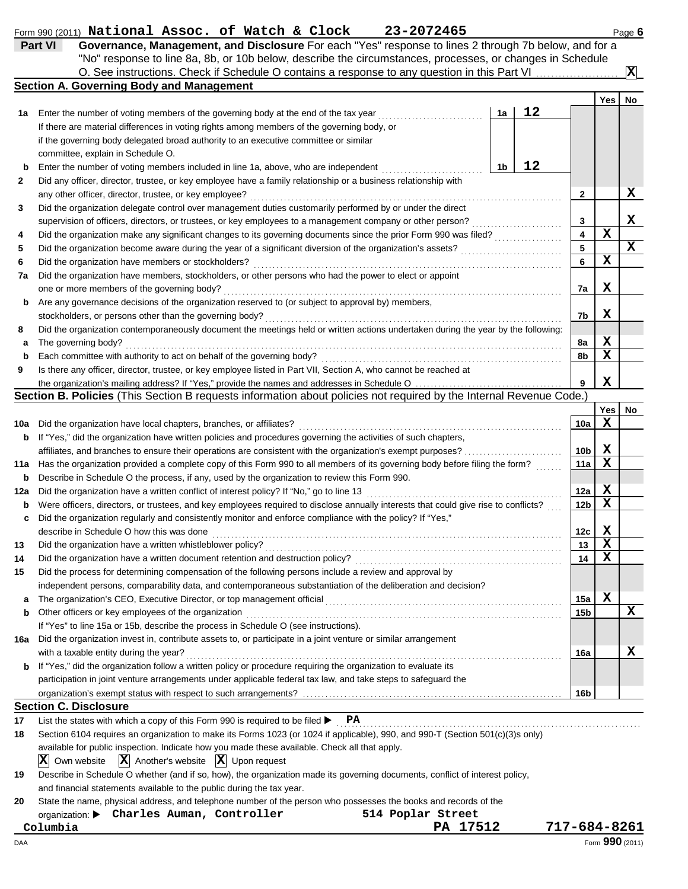|          | Part VI<br>Governance, Management, and Disclosure For each "Yes" response to lines 2 through 7b below, and for a<br>"No" response to line 8a, 8b, or 10b below, describe the circumstances, processes, or changes in Schedule |    |    |                 |             |                         |
|----------|-------------------------------------------------------------------------------------------------------------------------------------------------------------------------------------------------------------------------------|----|----|-----------------|-------------|-------------------------|
|          | O. See instructions. Check if Schedule O contains a response to any question in this Part VI<br><b>Section A. Governing Body and Management</b>                                                                               |    |    |                 |             | $\overline{\mathbf{x}}$ |
|          |                                                                                                                                                                                                                               |    |    |                 | Yes         | No                      |
| 1а       | Enter the number of voting members of the governing body at the end of the tax year                                                                                                                                           | 1a | 12 |                 |             |                         |
|          | If there are material differences in voting rights among members of the governing body, or                                                                                                                                    |    |    |                 |             |                         |
|          | if the governing body delegated broad authority to an executive committee or similar                                                                                                                                          |    |    |                 |             |                         |
|          | committee, explain in Schedule O.                                                                                                                                                                                             |    |    |                 |             |                         |
| b        | Enter the number of voting members included in line 1a, above, who are independent                                                                                                                                            | 1b | 12 |                 |             |                         |
| 2        | Did any officer, director, trustee, or key employee have a family relationship or a business relationship with                                                                                                                |    |    |                 |             |                         |
|          | any other officer, director, trustee, or key employee?                                                                                                                                                                        |    |    | 2               |             | X                       |
| 3        | Did the organization delegate control over management duties customarily performed by or under the direct                                                                                                                     |    |    |                 |             |                         |
|          | supervision of officers, directors, or trustees, or key employees to a management company or other person?                                                                                                                    |    | .  | 3               | $\mathbf x$ | x                       |
| 4        | Did the organization make any significant changes to its governing documents since the prior Form 990 was filed?                                                                                                              |    |    | 4<br>5          |             | X                       |
| 5<br>6   | Did the organization become aware during the year of a significant diversion of the organization's assets?<br>Did the organization have members or stockholders?                                                              |    |    | 6               | $\mathbf x$ |                         |
| 7а       | Did the organization have members, stockholders, or other persons who had the power to elect or appoint                                                                                                                       |    |    |                 |             |                         |
|          | one or more members of the governing body?                                                                                                                                                                                    |    |    | 7а              | X           |                         |
| b        | Are any governance decisions of the organization reserved to (or subject to approval by) members,                                                                                                                             |    |    |                 |             |                         |
|          | stockholders, or persons other than the governing body?                                                                                                                                                                       |    |    | 7b              | X           |                         |
| 8        | Did the organization contemporaneously document the meetings held or written actions undertaken during the year by the following:                                                                                             |    |    |                 |             |                         |
| а        | The governing body?                                                                                                                                                                                                           |    |    | 8а              | X           |                         |
| b        | Each committee with authority to act on behalf of the governing body?                                                                                                                                                         |    |    | 8b              | X           |                         |
| 9        | Is there any officer, director, trustee, or key employee listed in Part VII, Section A, who cannot be reached at                                                                                                              |    |    |                 |             |                         |
|          |                                                                                                                                                                                                                               |    |    | 9               | $\mathbf x$ |                         |
|          | Section B. Policies (This Section B requests information about policies not required by the Internal Revenue Code.)                                                                                                           |    |    |                 |             |                         |
|          |                                                                                                                                                                                                                               |    |    |                 | Yes         | No                      |
| 10a      | Did the organization have local chapters, branches, or affiliates?                                                                                                                                                            |    |    | 10a             | $\mathbf x$ |                         |
| b        | If "Yes," did the organization have written policies and procedures governing the activities of such chapters,                                                                                                                |    |    |                 |             |                         |
|          | affiliates, and branches to ensure their operations are consistent with the organization's exempt purposes?                                                                                                                   |    |    | 10 <sub>b</sub> | х           |                         |
| 11a      | Has the organization provided a complete copy of this Form 990 to all members of its governing body before filing the form?                                                                                                   |    |    | 11a             | $\mathbf x$ |                         |
| b        | Describe in Schedule O the process, if any, used by the organization to review this Form 990.                                                                                                                                 |    |    |                 |             |                         |
| 12a      | Did the organization have a written conflict of interest policy? If "No," go to line 13                                                                                                                                       |    |    | 12a             | X           |                         |
| b        | Were officers, directors, or trustees, and key employees required to disclose annually interests that could give rise to conflicts?                                                                                           |    |    | 12 <sub>b</sub> | $\mathbf x$ |                         |
| c        | Did the organization regularly and consistently monitor and enforce compliance with the policy? If "Yes,"                                                                                                                     |    |    |                 |             |                         |
|          | describe in Schedule O how this was done                                                                                                                                                                                      |    |    | 12с             | X<br>X      |                         |
| 13       | Did the organization have a written whistleblower policy?                                                                                                                                                                     |    |    | 13<br>14        | $\mathbf x$ |                         |
| 14<br>15 | Did the organization have a written document retention and destruction policy?<br>Did the process for determining compensation of the following persons include a review and approval by                                      |    |    |                 |             |                         |
|          | independent persons, comparability data, and contemporaneous substantiation of the deliberation and decision?                                                                                                                 |    |    |                 |             |                         |
| а        | The organization's CEO, Executive Director, or top management official                                                                                                                                                        |    |    | 15a             | X           |                         |
| b        | Other officers or key employees of the organization                                                                                                                                                                           |    |    | 15b             |             | X                       |
|          | If "Yes" to line 15a or 15b, describe the process in Schedule O (see instructions).                                                                                                                                           |    |    |                 |             |                         |
| 16a      | Did the organization invest in, contribute assets to, or participate in a joint venture or similar arrangement                                                                                                                |    |    |                 |             |                         |
|          | with a taxable entity during the year?                                                                                                                                                                                        |    |    | 16a             |             | X                       |
| b        | If "Yes," did the organization follow a written policy or procedure requiring the organization to evaluate its                                                                                                                |    |    |                 |             |                         |
|          | participation in joint venture arrangements under applicable federal tax law, and take steps to safeguard the                                                                                                                 |    |    |                 |             |                         |
|          |                                                                                                                                                                                                                               |    |    | 16b             |             |                         |
|          | <b>Section C. Disclosure</b>                                                                                                                                                                                                  |    |    |                 |             |                         |
| 17       | List the states with which a copy of this Form 990 is required to be filed $\blacktriangleright$ $\mathbf{PA}$                                                                                                                |    |    |                 |             |                         |
| 18       | Section 6104 requires an organization to make its Forms 1023 (or 1024 if applicable), 990, and 990-T (Section 501(c)(3)s only)                                                                                                |    |    |                 |             |                         |
|          | available for public inspection. Indicate how you made these available. Check all that apply.                                                                                                                                 |    |    |                 |             |                         |
|          | $ \mathbf{X} $ Own website<br>$ \mathbf{X} $ Another's website $ \mathbf{X} $ Upon request                                                                                                                                    |    |    |                 |             |                         |
| 19       | Describe in Schedule O whether (and if so, how), the organization made its governing documents, conflict of interest policy,                                                                                                  |    |    |                 |             |                         |
|          | and financial statements available to the public during the tax year.                                                                                                                                                         |    |    |                 |             |                         |
| 20       | State the name, physical address, and telephone number of the person who possesses the books and records of the                                                                                                               |    |    |                 |             |                         |
|          | organization: Charles Auman, Controller<br>514 Poplar Street                                                                                                                                                                  |    |    |                 |             |                         |
|          | Columbia<br>PA 17512                                                                                                                                                                                                          |    |    | 717-684-8261    |             |                         |
| DAA      |                                                                                                                                                                                                                               |    |    |                 |             | Form 990 (2011)         |

Form 990 (2011) Page **6 National Assoc. of Watch & Clock 23-2072465**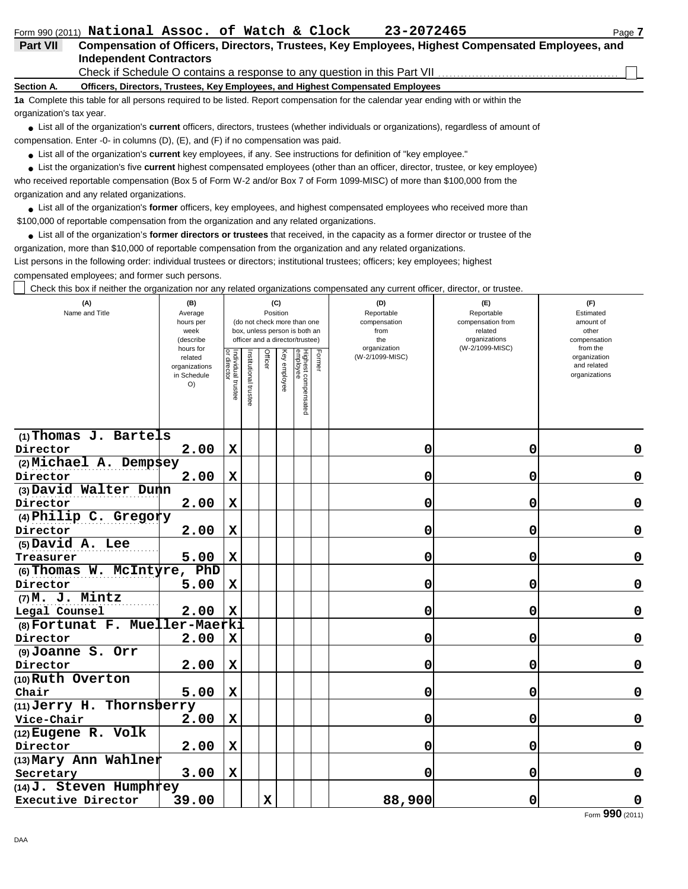|                          | Form 990 (2011) National Assoc. of Watch & Clock                                                                                  | 23-2072465 | Page 7 |
|--------------------------|-----------------------------------------------------------------------------------------------------------------------------------|------------|--------|
| <b>Part VII</b>          | Compensation of Officers, Directors, Trustees, Key Employees, Highest Compensated Employees, and                                  |            |        |
|                          | <b>Independent Contractors</b>                                                                                                    |            |        |
|                          |                                                                                                                                   |            |        |
| Section A.               | Officers, Directors, Trustees, Key Employees, and Highest Compensated Employees                                                   |            |        |
|                          | 1a Complete this table for all persons required to be listed. Report compensation for the calendar year ending with or within the |            |        |
| organization's tax year. |                                                                                                                                   |            |        |

List all of the organization's **current** officers, directors, trustees (whether individuals or organizations), regardless of amount of **•** compensation. Enter -0- in columns (D), (E), and (F) if no compensation was paid.

● List all of the organization's **current** key employees, if any. See instructions for definition of "key employee."

List the organization's five **current** highest compensated employees (other than an officer, director, trustee, or key employee) **•**

who received reportable compensation (Box 5 of Form W-2 and/or Box 7 of Form 1099-MISC) of more than \$100,000 from the organization and any related organizations.

List all of the organization's **former** officers, key employees, and highest compensated employees who received more than **•** \$100,000 of reportable compensation from the organization and any related organizations.

List all of the organization's **former directors or trustees** that received, in the capacity as a former director or trustee of the **•** organization, more than \$10,000 of reportable compensation from the organization and any related organizations.

List persons in the following order: individual trustees or directors; institutional trustees; officers; key employees; highest compensated employees; and former such persons.

Check this box if neither the organization nor any related organizations compensated any current officer, director, or trustee.

| (A)<br>Name and Title          | (B)<br>Average<br>hours per<br>week<br>(describe           |                                   |                       | Position    | (C)          | (do not check more than one<br>box, unless person is both an<br>officer and a director/trustee) |        | (E)<br>Reportable<br>compensation from<br>related<br>organizations | (F)<br>Estimated<br>amount of<br>other<br>compensation |                                                          |
|--------------------------------|------------------------------------------------------------|-----------------------------------|-----------------------|-------------|--------------|-------------------------------------------------------------------------------------------------|--------|--------------------------------------------------------------------|--------------------------------------------------------|----------------------------------------------------------|
|                                | hours for<br>related<br>organizations<br>in Schedule<br>O) | Individual trustee<br>or director | Institutional trustee | Officer     | Key employee | Highest compensated<br>employee                                                                 | Former | organization<br>(W-2/1099-MISC)                                    | (W-2/1099-MISC)                                        | from the<br>organization<br>and related<br>organizations |
| $(1)$ Thomas J. Bartels        |                                                            |                                   |                       |             |              |                                                                                                 |        |                                                                    |                                                        |                                                          |
| Director                       | 2.00                                                       | $\mathbf x$                       |                       |             |              |                                                                                                 |        | 0                                                                  | 0                                                      | 0                                                        |
| (2) Michael A. Dempsey         |                                                            |                                   |                       |             |              |                                                                                                 |        |                                                                    |                                                        |                                                          |
| Director                       | 2.00                                                       | $\mathbf x$                       |                       |             |              |                                                                                                 |        | 0                                                                  | 0                                                      | 0                                                        |
| (3) David Walter Dunn          |                                                            |                                   |                       |             |              |                                                                                                 |        |                                                                    |                                                        |                                                          |
| Director                       | 2.00                                                       | $\mathbf x$                       |                       |             |              |                                                                                                 |        | 0                                                                  | 0                                                      | 0                                                        |
| (4) Philip C. Gregory          |                                                            |                                   |                       |             |              |                                                                                                 |        |                                                                    |                                                        |                                                          |
| Director                       | 2.00                                                       | $\mathbf x$                       |                       |             |              |                                                                                                 |        | 0                                                                  | 0                                                      | 0                                                        |
| (5) David A. Lee               |                                                            |                                   |                       |             |              |                                                                                                 |        |                                                                    |                                                        |                                                          |
| Treasurer                      | 5.00                                                       | $\mathbf x$                       |                       |             |              |                                                                                                 |        | 0                                                                  | 0                                                      | 0                                                        |
| (6) Thomas W. McIntyre,        | PhD                                                        |                                   |                       |             |              |                                                                                                 |        |                                                                    |                                                        |                                                          |
| Director                       | 5.00                                                       | X                                 |                       |             |              |                                                                                                 |        | 0                                                                  | 0                                                      | 0                                                        |
| $(7)$ M. J. Mintz              |                                                            |                                   |                       |             |              |                                                                                                 |        |                                                                    |                                                        |                                                          |
| Legal Counsel                  | 2.00                                                       | $\mathbf x$                       |                       |             |              |                                                                                                 |        | 0                                                                  | $\mathbf 0$                                            | 0                                                        |
| (8) Fortunat F. Mueller-Maerki |                                                            |                                   |                       |             |              |                                                                                                 |        |                                                                    |                                                        |                                                          |
| Director                       | 2.00                                                       | X                                 |                       |             |              |                                                                                                 |        | 0                                                                  | 0                                                      | 0                                                        |
| (9) Joanne S. Orr              |                                                            |                                   |                       |             |              |                                                                                                 |        |                                                                    |                                                        |                                                          |
| Director                       | 2.00                                                       | $\mathbf x$                       |                       |             |              |                                                                                                 |        | 0                                                                  | 0                                                      | 0                                                        |
| (10) Ruth Overton              |                                                            |                                   |                       |             |              |                                                                                                 |        |                                                                    |                                                        |                                                          |
| Chair                          | 5.00                                                       | $\mathbf x$                       |                       |             |              |                                                                                                 |        | 0                                                                  | 0                                                      | 0                                                        |
| $(11)$ Jerry H. Thornsberry    |                                                            |                                   |                       |             |              |                                                                                                 |        |                                                                    |                                                        |                                                          |
| Vice-Chair                     | 2.00                                                       | $\mathbf x$                       |                       |             |              |                                                                                                 |        | 0                                                                  | 0                                                      | 0                                                        |
| $(12)$ Eugene R. Volk          |                                                            |                                   |                       |             |              |                                                                                                 |        |                                                                    |                                                        |                                                          |
| Director                       | 2.00                                                       | $\mathbf x$                       |                       |             |              |                                                                                                 |        | 0                                                                  | 0                                                      | 0                                                        |
| (13) Mary Ann Wahlner          |                                                            |                                   |                       |             |              |                                                                                                 |        |                                                                    |                                                        |                                                          |
| Secretary                      | 3.00                                                       | $\mathbf x$                       |                       |             |              |                                                                                                 |        | 0                                                                  | 0                                                      | 0                                                        |
| $(14)$ J. Steven Humphrey      |                                                            |                                   |                       |             |              |                                                                                                 |        |                                                                    |                                                        |                                                          |
| Executive Director             | 39.00                                                      |                                   |                       | $\mathbf x$ |              |                                                                                                 |        | 88,900                                                             | 0                                                      | 0                                                        |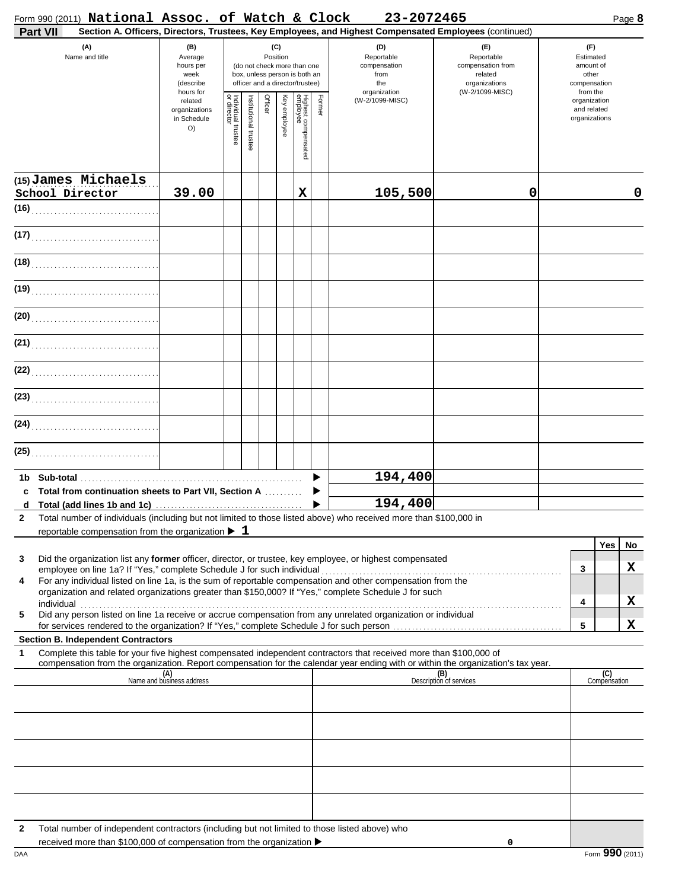|              |                       | Form 990 (2011) National Assoc. of Watch & Clock                       |                                                                |                                   |                      |         |                 |                                                                                                 |        | 23-2072465                                                                                                                                                                                                                                                                                                                                      |                                                                                       | Page 8                                                             |
|--------------|-----------------------|------------------------------------------------------------------------|----------------------------------------------------------------|-----------------------------------|----------------------|---------|-----------------|-------------------------------------------------------------------------------------------------|--------|-------------------------------------------------------------------------------------------------------------------------------------------------------------------------------------------------------------------------------------------------------------------------------------------------------------------------------------------------|---------------------------------------------------------------------------------------|--------------------------------------------------------------------|
|              | <b>Part VII</b>       |                                                                        |                                                                |                                   |                      |         |                 |                                                                                                 |        | Section A. Officers, Directors, Trustees, Key Employees, and Highest Compensated Employees (continued)                                                                                                                                                                                                                                          |                                                                                       |                                                                    |
|              | (A)<br>Name and title |                                                                        | (B)<br>Average<br>hours per<br>week<br>(describe)<br>hours for |                                   |                      |         | (C)<br>Position | (do not check more than one<br>box, unless person is both an<br>officer and a director/trustee) |        | (D)<br>Reportable<br>compensation<br>from<br>the<br>organization                                                                                                                                                                                                                                                                                | (E)<br>Reportable<br>compensation from<br>related<br>organizations<br>(W-2/1099-MISC) | (F)<br>Estimated<br>amount of<br>other<br>compensation<br>from the |
|              |                       |                                                                        | related<br>organizations<br>in Schedule<br>O()                 | Individual trustee<br>or director | nstitutional trustee | Officer | Key employee    | Highest compensated<br>employee                                                                 | Former | (W-2/1099-MISC)                                                                                                                                                                                                                                                                                                                                 |                                                                                       | organization<br>and related<br>organizations                       |
|              |                       | (15) James Michaels                                                    |                                                                |                                   |                      |         |                 |                                                                                                 |        |                                                                                                                                                                                                                                                                                                                                                 |                                                                                       |                                                                    |
|              | School Director       |                                                                        | 39.00                                                          |                                   |                      |         |                 | X                                                                                               |        | 105,500                                                                                                                                                                                                                                                                                                                                         | 0                                                                                     | 0                                                                  |
|              |                       |                                                                        |                                                                |                                   |                      |         |                 |                                                                                                 |        |                                                                                                                                                                                                                                                                                                                                                 |                                                                                       |                                                                    |
|              |                       | (17)                                                                   |                                                                |                                   |                      |         |                 |                                                                                                 |        |                                                                                                                                                                                                                                                                                                                                                 |                                                                                       |                                                                    |
|              |                       | (18)                                                                   |                                                                |                                   |                      |         |                 |                                                                                                 |        |                                                                                                                                                                                                                                                                                                                                                 |                                                                                       |                                                                    |
|              |                       | (19)                                                                   |                                                                |                                   |                      |         |                 |                                                                                                 |        |                                                                                                                                                                                                                                                                                                                                                 |                                                                                       |                                                                    |
|              |                       | (20)                                                                   |                                                                |                                   |                      |         |                 |                                                                                                 |        |                                                                                                                                                                                                                                                                                                                                                 |                                                                                       |                                                                    |
|              |                       | (21)                                                                   |                                                                |                                   |                      |         |                 |                                                                                                 |        |                                                                                                                                                                                                                                                                                                                                                 |                                                                                       |                                                                    |
|              |                       | (22)                                                                   |                                                                |                                   |                      |         |                 |                                                                                                 |        |                                                                                                                                                                                                                                                                                                                                                 |                                                                                       |                                                                    |
|              |                       | (23)                                                                   |                                                                |                                   |                      |         |                 |                                                                                                 |        |                                                                                                                                                                                                                                                                                                                                                 |                                                                                       |                                                                    |
|              |                       | (24)                                                                   |                                                                |                                   |                      |         |                 |                                                                                                 |        |                                                                                                                                                                                                                                                                                                                                                 |                                                                                       |                                                                    |
|              |                       |                                                                        |                                                                |                                   |                      |         |                 |                                                                                                 |        |                                                                                                                                                                                                                                                                                                                                                 |                                                                                       |                                                                    |
|              |                       |                                                                        |                                                                |                                   |                      |         |                 |                                                                                                 |        |                                                                                                                                                                                                                                                                                                                                                 |                                                                                       |                                                                    |
| 1b.          |                       | Total from continuation sheets to Part VII, Section A                  |                                                                |                                   |                      |         |                 |                                                                                                 |        | 194,400                                                                                                                                                                                                                                                                                                                                         |                                                                                       |                                                                    |
|              |                       |                                                                        |                                                                |                                   |                      |         |                 |                                                                                                 |        | 194,400                                                                                                                                                                                                                                                                                                                                         |                                                                                       |                                                                    |
| 2            |                       | reportable compensation from the organization $\blacktriangleright$ 1  |                                                                |                                   |                      |         |                 |                                                                                                 |        | Total number of individuals (including but not limited to those listed above) who received more than \$100,000 in                                                                                                                                                                                                                               |                                                                                       |                                                                    |
|              |                       |                                                                        |                                                                |                                   |                      |         |                 |                                                                                                 |        | Did the organization list any former officer, director, or trustee, key employee, or highest compensated                                                                                                                                                                                                                                        |                                                                                       | Yes<br>No                                                          |
| 3<br>4       |                       | employee on line 1a? If "Yes," complete Schedule J for such individual |                                                                |                                   |                      |         |                 |                                                                                                 |        | For any individual listed on line 1a, is the sum of reportable compensation and other compensation from the                                                                                                                                                                                                                                     |                                                                                       | X<br>3                                                             |
|              |                       |                                                                        |                                                                |                                   |                      |         |                 |                                                                                                 |        | organization and related organizations greater than \$150,000? If "Yes," complete Schedule J for such                                                                                                                                                                                                                                           |                                                                                       | X<br>4                                                             |
| 5            |                       |                                                                        |                                                                |                                   |                      |         |                 |                                                                                                 |        | individual with the contract of the contract of the contract of the contract of the contract of the contract of the contract of the contract of the contract of the contract of the contract of the contract of the contract o<br>Did any person listed on line 1a receive or accrue compensation from any unrelated organization or individual |                                                                                       | X<br>5                                                             |
|              |                       | <b>Section B. Independent Contractors</b>                              |                                                                |                                   |                      |         |                 |                                                                                                 |        |                                                                                                                                                                                                                                                                                                                                                 |                                                                                       |                                                                    |
| 1            |                       |                                                                        |                                                                |                                   |                      |         |                 |                                                                                                 |        | Complete this table for your five highest compensated independent contractors that received more than \$100,000 of<br>compensation from the organization. Report compensation for the calendar year ending with or within the organization's tax year.                                                                                          |                                                                                       |                                                                    |
|              |                       |                                                                        | (A)<br>Name and business address                               |                                   |                      |         |                 |                                                                                                 |        |                                                                                                                                                                                                                                                                                                                                                 | (B)<br>Description of services                                                        | (C)<br>Compensation                                                |
|              |                       |                                                                        |                                                                |                                   |                      |         |                 |                                                                                                 |        |                                                                                                                                                                                                                                                                                                                                                 |                                                                                       |                                                                    |
|              |                       |                                                                        |                                                                |                                   |                      |         |                 |                                                                                                 |        |                                                                                                                                                                                                                                                                                                                                                 |                                                                                       |                                                                    |
|              |                       |                                                                        |                                                                |                                   |                      |         |                 |                                                                                                 |        |                                                                                                                                                                                                                                                                                                                                                 |                                                                                       |                                                                    |
|              |                       |                                                                        |                                                                |                                   |                      |         |                 |                                                                                                 |        |                                                                                                                                                                                                                                                                                                                                                 |                                                                                       |                                                                    |
|              |                       |                                                                        |                                                                |                                   |                      |         |                 |                                                                                                 |        |                                                                                                                                                                                                                                                                                                                                                 |                                                                                       |                                                                    |
| $\mathbf{2}$ |                       |                                                                        |                                                                |                                   |                      |         |                 |                                                                                                 |        | Total number of independent contractors (including but not limited to those listed above) who                                                                                                                                                                                                                                                   |                                                                                       |                                                                    |

**0**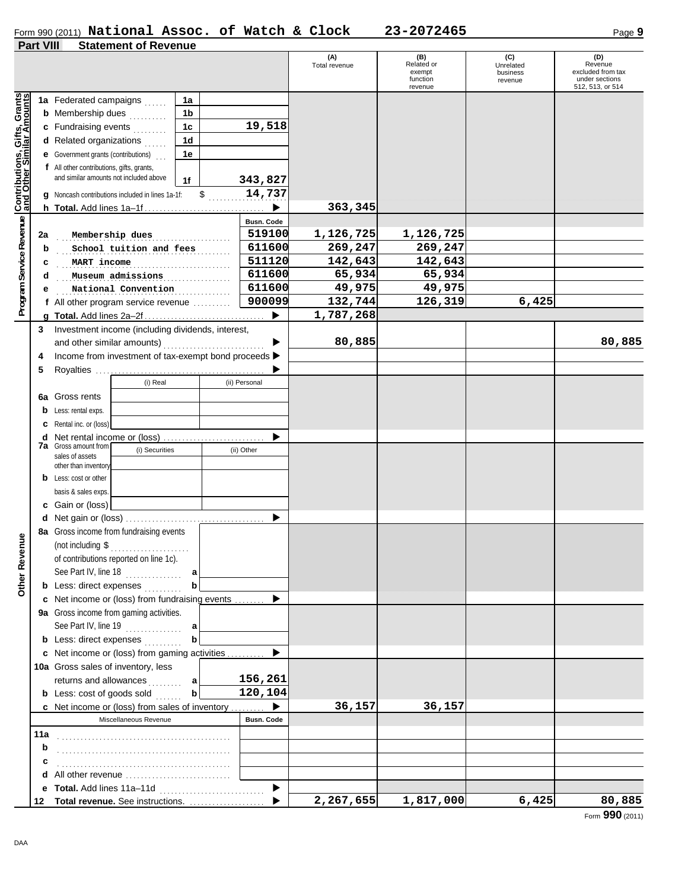#### Form 990 (2011) **National Assoc. of Watch & Clock 23-2072465** Page **9 National Assoc. of Watch & Clock 23-2072465**

#### **Part VIII Statement of Revenue**

|                                                      | <u>. accept</u> | <b><i><u>Dialentent</u></i></b> University           |                |  |                       | (A)<br>Total revenue | (B)<br>Related or<br>exempt<br>function<br>revenue | (C)<br>Unrelated<br>business<br>revenue | (D)<br>Revenue<br>excluded from tax<br>under sections<br>512, 513, or 514 |
|------------------------------------------------------|-----------------|------------------------------------------------------|----------------|--|-----------------------|----------------------|----------------------------------------------------|-----------------------------------------|---------------------------------------------------------------------------|
|                                                      |                 | 1a Federated campaigns                               | 1a             |  |                       |                      |                                                    |                                         |                                                                           |
| Program Service Revenue Contributions, Gifts, Grants |                 | <b>b</b> Membership dues                             | 1 <sub>b</sub> |  |                       |                      |                                                    |                                         |                                                                           |
|                                                      |                 | c Fundraising events                                 | 1c             |  | 19,518                |                      |                                                    |                                         |                                                                           |
|                                                      |                 | d Related organizations                              | 1 <sub>d</sub> |  |                       |                      |                                                    |                                         |                                                                           |
|                                                      |                 | <b>e</b> Government grants (contributions)           | 1e             |  |                       |                      |                                                    |                                         |                                                                           |
|                                                      |                 | f All other contributions, gifts, grants,            |                |  |                       |                      |                                                    |                                         |                                                                           |
|                                                      |                 | and similar amounts not included above               | 1f             |  | 343,827               |                      |                                                    |                                         |                                                                           |
|                                                      |                 | g Noncash contributions included in lines 1a-1f:     | \$             |  | 14,737                |                      |                                                    |                                         |                                                                           |
|                                                      |                 | $h$ Total. Add lines $1a-1f$                         |                |  |                       | 363,345              |                                                    |                                         |                                                                           |
|                                                      |                 |                                                      |                |  | <b>Busn. Code</b>     |                      |                                                    |                                         |                                                                           |
|                                                      | 2a              | Membership dues                                      |                |  | 519100                | 1,126,725            | 1,126,725                                          |                                         |                                                                           |
|                                                      | b               | School tuition and fees                              |                |  | 611600                | 269,247              | 269,247                                            |                                         |                                                                           |
|                                                      | c               | MART income                                          |                |  | 511120                | 142,643              | 142,643                                            |                                         |                                                                           |
|                                                      | d               | Museum admissions                                    |                |  | 611600                | 65,934               | 65,934                                             |                                         |                                                                           |
|                                                      | е               | National Convention                                  |                |  | 611600                | 49,975               | 49,975                                             |                                         |                                                                           |
|                                                      |                 | f All other program service revenue                  |                |  | 900099                | 132,744              | 126,319                                            | 6,425                                   |                                                                           |
|                                                      |                 |                                                      |                |  | $\blacktriangleright$ | 1,787,268            |                                                    |                                         |                                                                           |
|                                                      |                 | 3 Investment income (including dividends, interest,  |                |  |                       |                      |                                                    |                                         |                                                                           |
|                                                      |                 | and other similar amounts)                           |                |  |                       | 80,885               |                                                    |                                         | 80,885                                                                    |
|                                                      | 4               | Income from investment of tax-exempt bond proceeds > |                |  |                       |                      |                                                    |                                         |                                                                           |
|                                                      | 5               |                                                      |                |  |                       |                      |                                                    |                                         |                                                                           |
|                                                      |                 | (i) Real                                             |                |  | (ii) Personal         |                      |                                                    |                                         |                                                                           |
|                                                      |                 | <b>6a</b> Gross rents                                |                |  |                       |                      |                                                    |                                         |                                                                           |
|                                                      |                 | <b>b</b> Less: rental exps.                          |                |  |                       |                      |                                                    |                                         |                                                                           |
|                                                      |                 | <b>c</b> Rental inc. or (loss)                       |                |  |                       |                      |                                                    |                                         |                                                                           |
|                                                      |                 | <b>d</b> Net rental income or (loss)                 |                |  |                       |                      |                                                    |                                         |                                                                           |
|                                                      |                 | <b>7a</b> Gross amount from<br>(i) Securities        |                |  | (ii) Other            |                      |                                                    |                                         |                                                                           |
|                                                      |                 | sales of assets<br>other than inventory              |                |  |                       |                      |                                                    |                                         |                                                                           |
|                                                      |                 | <b>b</b> Less: cost or other                         |                |  |                       |                      |                                                    |                                         |                                                                           |
|                                                      |                 | basis & sales exps                                   |                |  |                       |                      |                                                    |                                         |                                                                           |
|                                                      |                 | c Gain or (loss)                                     |                |  |                       |                      |                                                    |                                         |                                                                           |
|                                                      |                 |                                                      |                |  |                       |                      |                                                    |                                         |                                                                           |
|                                                      |                 | 8a Gross income from fundraising events              |                |  |                       |                      |                                                    |                                         |                                                                           |
| nue                                                  |                 | (not including \$<br>.                               |                |  |                       |                      |                                                    |                                         |                                                                           |
|                                                      |                 | of contributions reported on line 1c).               |                |  |                       |                      |                                                    |                                         |                                                                           |
|                                                      |                 | See Part IV, line 18                                 | a              |  |                       |                      |                                                    |                                         |                                                                           |
| Other Reve                                           |                 | <b>b</b> Less: direct expenses                       | b              |  |                       |                      |                                                    |                                         |                                                                           |
|                                                      |                 | c Net income or (loss) from fundraising events       |                |  |                       |                      |                                                    |                                         |                                                                           |
|                                                      |                 | 9a Gross income from gaming activities.              |                |  |                       |                      |                                                    |                                         |                                                                           |
|                                                      |                 | See Part IV, line 19                                 | $\mathbf a$    |  |                       |                      |                                                    |                                         |                                                                           |
|                                                      |                 | <b>b</b> Less: direct expenses                       | b              |  |                       |                      |                                                    |                                         |                                                                           |
|                                                      |                 | c Net income or (loss) from gaming activities  ▶     |                |  |                       |                      |                                                    |                                         |                                                                           |
|                                                      |                 | 10a Gross sales of inventory, less                   |                |  |                       |                      |                                                    |                                         |                                                                           |
|                                                      |                 | returns and allowances<br>.                          | $\mathbf{a}$   |  | 156,261               |                      |                                                    |                                         |                                                                           |
|                                                      |                 | <b>b</b> Less: cost of goods sold                    | b              |  | 120,104               |                      |                                                    |                                         |                                                                           |
|                                                      |                 | c Net income or (loss) from sales of inventory       |                |  |                       | 36,157               | 36,157                                             |                                         |                                                                           |
|                                                      |                 | Miscellaneous Revenue                                |                |  | <b>Busn, Code</b>     |                      |                                                    |                                         |                                                                           |
|                                                      | 11a             |                                                      |                |  |                       |                      |                                                    |                                         |                                                                           |
|                                                      | b               |                                                      |                |  |                       |                      |                                                    |                                         |                                                                           |
|                                                      |                 |                                                      |                |  |                       |                      |                                                    |                                         |                                                                           |
|                                                      |                 | d All other revenue                                  |                |  |                       |                      |                                                    |                                         |                                                                           |
|                                                      | е               |                                                      |                |  |                       |                      |                                                    |                                         |                                                                           |
|                                                      | 12              |                                                      |                |  |                       | 2,267,655            | 1,817,000                                          | 6,425                                   | 80,885                                                                    |

Form **990** (2011)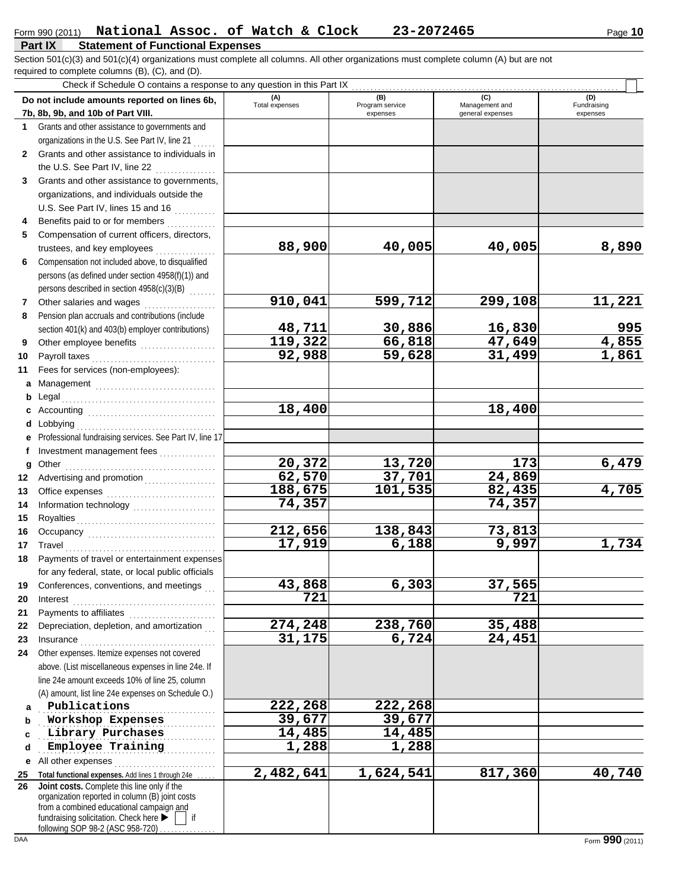required to complete columns (B), (C), and (D). Section 501(c)(3) and 501(c)(4) organizations must complete all columns. All other organizations must complete column (A) but are not

|              | Check if Schedule O contains a response to any question in this Part IX                  |                       |                        |                       |                     |
|--------------|------------------------------------------------------------------------------------------|-----------------------|------------------------|-----------------------|---------------------|
|              | Do not include amounts reported on lines 6b,                                             | (A)<br>Total expenses | (B)<br>Program service | (C)<br>Management and | (D)<br>Fundraising  |
|              | 7b, 8b, 9b, and 10b of Part VIII.                                                        |                       | expenses               | general expenses      | expenses            |
| 1.           | Grants and other assistance to governments and                                           |                       |                        |                       |                     |
|              | organizations in the U.S. See Part IV, line 21                                           |                       |                        |                       |                     |
| $\mathbf{2}$ | Grants and other assistance to individuals in                                            |                       |                        |                       |                     |
|              | the U.S. See Part IV, line 22<br><u>.</u><br>1980 - Paul Barbara, president              |                       |                        |                       |                     |
| 3            | Grants and other assistance to governments,                                              |                       |                        |                       |                     |
|              | organizations, and individuals outside the                                               |                       |                        |                       |                     |
|              | U.S. See Part IV, lines 15 and 16                                                        |                       |                        |                       |                     |
| 4            | Benefits paid to or for members                                                          |                       |                        |                       |                     |
| 5            | Compensation of current officers, directors,                                             |                       |                        |                       |                     |
|              | trustees, and key employees                                                              | 88,900                | 40,005                 | 40,005                | 8,890               |
| 6            | Compensation not included above, to disqualified                                         |                       |                        |                       |                     |
|              | persons (as defined under section 4958(f)(1)) and                                        |                       |                        |                       |                     |
|              | persons described in section 4958(c)(3)(B)                                               |                       |                        |                       |                     |
| 7            | Other salaries and wages                                                                 | 910,041               | 599,712                | 299,108               | 11,221              |
| 8            | Pension plan accruals and contributions (include                                         |                       |                        |                       |                     |
|              | section 401(k) and 403(b) employer contributions)                                        | 48,711                | 30,886                 | 16,830                |                     |
| 9            | Other employee benefits                                                                  | 119,322               | 66,818                 | 47,649                | $\frac{995}{4,855}$ |
| 10           | Payroll taxes                                                                            | 92,988                | 59,628                 | 31,499                | 1,861               |
| 11           | Fees for services (non-employees):                                                       |                       |                        |                       |                     |
| а            |                                                                                          |                       |                        |                       |                     |
| b            | Legal                                                                                    |                       |                        |                       |                     |
| с            |                                                                                          | 18,400                |                        | 18,400                |                     |
| d            | Lobbying                                                                                 |                       |                        |                       |                     |
| е            | Professional fundraising services. See Part IV, line 17                                  |                       |                        |                       |                     |
| f            | Investment management fees                                                               |                       |                        |                       |                     |
| g            |                                                                                          | 20,372                | 13,720                 | 173                   | 6,479               |
| 12           | Advertising and promotion                                                                | 62,570                | 37,701                 | 24,869                |                     |
| 13           |                                                                                          | 188,675               | 101,535                | 82,435                | 4,705               |
| 14           |                                                                                          | 74,357                |                        | 74,357                |                     |
| 15           |                                                                                          |                       |                        |                       |                     |
| 16           |                                                                                          | 212,656<br>17,919     | 138,843                | 73,813<br>9,997       |                     |
| 17           | Travel                                                                                   |                       | 6,188                  |                       | 1,734               |
| 18           | Payments of travel or entertainment expenses                                             |                       |                        |                       |                     |
|              | for any federal, state, or local public officials                                        | 43,868                | 6,303                  | 37,565                |                     |
| 19           | Conferences, conventions, and meetings                                                   | 721                   |                        | 721                   |                     |
| 20           | Interest                                                                                 |                       |                        |                       |                     |
| 21           | Payments to affiliates<br>Depreciation, depletion, and amortization                      | 274,248               | 238,760                | 35,488                |                     |
| 22<br>23     |                                                                                          | 31,175                | 6,724                  | 24,451                |                     |
| 24           | Other expenses. Itemize expenses not covered                                             |                       |                        |                       |                     |
|              | above. (List miscellaneous expenses in line 24e. If                                      |                       |                        |                       |                     |
|              | line 24e amount exceeds 10% of line 25, column                                           |                       |                        |                       |                     |
|              | (A) amount, list line 24e expenses on Schedule O.)                                       |                       |                        |                       |                     |
| a            | Publications                                                                             | 222,268               | 222,268                |                       |                     |
| b            | Workshop Expenses                                                                        | 39,677                | 39,677                 |                       |                     |
| c            | Library Purchases                                                                        | 14,485                | 14,485                 |                       |                     |
| d            | Employee Training                                                                        | 1,288                 | 1,288                  |                       |                     |
|              | <b>e</b> All other expenses                                                              |                       |                        |                       |                     |
| 25           | Total functional expenses. Add lines 1 through 24e                                       | 2,482,641             | 1,624,541              | 817,360               | 40,740              |
| 26           | Joint costs. Complete this line only if the                                              |                       |                        |                       |                     |
|              | organization reported in column (B) joint costs                                          |                       |                        |                       |                     |
|              | from a combined educational campaign and<br>fundraising solicitation. Check here ▶<br>if |                       |                        |                       |                     |
|              | following SOP 98-2 (ASC 958-720)                                                         |                       |                        |                       |                     |
| DAA          |                                                                                          |                       |                        |                       | Form 990 (2011)     |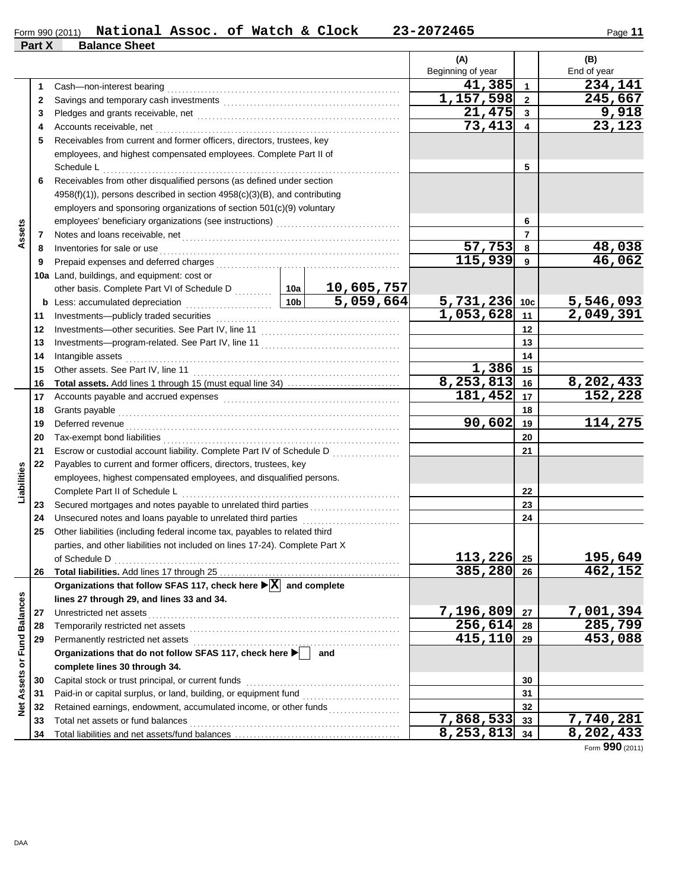| Form 990 (2011) | National Assoc. of Watch & Clock |  |  | 23-2072465 | Page |
|-----------------|----------------------------------|--|--|------------|------|
| Part X          | <b>Balance Sheet</b>             |  |  |            |      |

| ъ.<br>ıt. |  |
|-----------|--|
|           |  |

|                             |    |                                                                                                                                   |                 |            | (A)                                  |                | (B)                    |
|-----------------------------|----|-----------------------------------------------------------------------------------------------------------------------------------|-----------------|------------|--------------------------------------|----------------|------------------------|
|                             |    |                                                                                                                                   |                 |            | Beginning of year                    |                | End of year            |
|                             | 1  | Cash-non-interest bearing                                                                                                         |                 |            | 41,385                               | $\overline{1}$ | 234,141                |
|                             | 2  |                                                                                                                                   |                 |            | 1,157,598                            | $\overline{2}$ | 245,667                |
|                             | 3  |                                                                                                                                   |                 | 21,475     | $\mathbf{3}$                         | 9,918          |                        |
|                             | 4  | Accounts receivable, net                                                                                                          | 73,413          | 4          | $\overline{23,123}$                  |                |                        |
|                             | 5  | Receivables from current and former officers, directors, trustees, key                                                            |                 |            |                                      |                |                        |
|                             |    | employees, and highest compensated employees. Complete Part II of<br>Schedule L                                                   |                 | 5          |                                      |                |                        |
|                             | 6  | Receivables from other disqualified persons (as defined under section                                                             |                 |            |                                      |                |                        |
|                             |    | $4958(f)(1)$ , persons described in section $4958(c)(3)(B)$ , and contributing                                                    |                 |            |                                      |                |                        |
|                             |    | employers and sponsoring organizations of section 501(c)(9) voluntary                                                             |                 |            |                                      |                |                        |
|                             |    |                                                                                                                                   |                 |            |                                      | 6              |                        |
| Assets                      | 7  |                                                                                                                                   |                 |            |                                      | $\overline{7}$ |                        |
|                             | 8  | Inventories for sale or use contained and a series of the state or sale or use contained and a series of the state or sale or use |                 |            | 57,753                               | 8              | 48,038                 |
|                             | 9  |                                                                                                                                   |                 |            | 115,939                              | 9              | 46,062                 |
|                             |    | 10a Land, buildings, and equipment: cost or                                                                                       |                 |            |                                      |                |                        |
|                             |    | other basis. Complete Part VI of Schedule D  10a                                                                                  |                 | 10,605,757 |                                      |                |                        |
|                             |    | <b>b</b> Less: accumulated depreciation                                                                                           | 10 <sub>b</sub> | 5,059,664  |                                      |                |                        |
|                             | 11 |                                                                                                                                   |                 |            | $\frac{5,731,236 10c}{1,053,628 11}$ |                | 5,546,093<br>2,049,391 |
|                             | 12 |                                                                                                                                   |                 | 12         |                                      |                |                        |
|                             | 13 |                                                                                                                                   |                 | 13         |                                      |                |                        |
|                             | 14 | Intangible assets                                                                                                                 |                 |            |                                      | 14             |                        |
|                             | 15 | Other assets. See Part IV, line 11                                                                                                |                 |            | 1,386                                | 15             |                        |
|                             | 16 |                                                                                                                                   |                 |            | 8, 253, 813                          | 16             | 8,202,433              |
|                             | 17 |                                                                                                                                   |                 |            | 181,452                              | 17             | 152,228                |
|                             | 18 | Grants payable                                                                                                                    |                 | 18         |                                      |                |                        |
|                             | 19 | Deferred revenue                                                                                                                  | 90,602          | 19         | 114,275                              |                |                        |
|                             | 20 |                                                                                                                                   |                 | 20         |                                      |                |                        |
|                             | 21 | Escrow or custodial account liability. Complete Part IV of Schedule D                                                             |                 | 21         |                                      |                |                        |
|                             | 22 | Payables to current and former officers, directors, trustees, key                                                                 |                 |            |                                      |                |                        |
| Liabilities                 |    | employees, highest compensated employees, and disqualified persons.                                                               |                 |            |                                      |                |                        |
|                             |    | Complete Part II of Schedule L                                                                                                    |                 |            |                                      | 22             |                        |
|                             | 23 | Secured mortgages and notes payable to unrelated third parties                                                                    |                 |            |                                      | 23             |                        |
|                             | 24 | Unsecured notes and loans payable to unrelated third parties                                                                      |                 |            |                                      | 24             |                        |
|                             | 25 | Other liabilities (including federal income tax, payables to related third                                                        |                 |            |                                      |                |                        |
|                             |    | parties, and other liabilities not included on lines 17-24). Complete Part X                                                      |                 |            |                                      |                |                        |
|                             |    | of Schedule D                                                                                                                     |                 |            | 113,226 25                           |                | 195,649                |
|                             | 26 |                                                                                                                                   |                 |            | 385,280 26                           |                | 462,152                |
|                             |    | Organizations that follow SFAS 117, check here $\blacktriangleright \overline{X}$ and complete                                    |                 |            |                                      |                |                        |
|                             |    | lines 27 through 29, and lines 33 and 34.                                                                                         |                 |            |                                      |                |                        |
|                             | 27 | Unrestricted net assets                                                                                                           | 7,196,809       | 27         | 7,001,394                            |                |                        |
|                             | 28 | Temporarily restricted net assets                                                                                                 | 256,614         | 28         | 285,799                              |                |                        |
|                             | 29 | Permanently restricted net assets                                                                                                 | 415,110 29      |            | 453,088                              |                |                        |
|                             |    | Organizations that do not follow SFAS 117, check here >                                                                           |                 | and        |                                      |                |                        |
| Net Assets or Fund Balances |    | complete lines 30 through 34.                                                                                                     |                 |            |                                      |                |                        |
|                             | 30 | Capital stock or trust principal, or current funds                                                                                |                 | 30         |                                      |                |                        |
|                             | 31 |                                                                                                                                   |                 |            |                                      | 31             |                        |
|                             | 32 | Retained earnings, endowment, accumulated income, or other funds                                                                  |                 |            |                                      | 32             |                        |
|                             | 33 | Total net assets or fund balances                                                                                                 |                 |            | $\overline{7,868,533}$               | 33             | 7,740,281              |
|                             | 34 |                                                                                                                                   |                 |            | $8, 253, 813$ 34                     |                | 8,202,433              |

Form **990** (2011)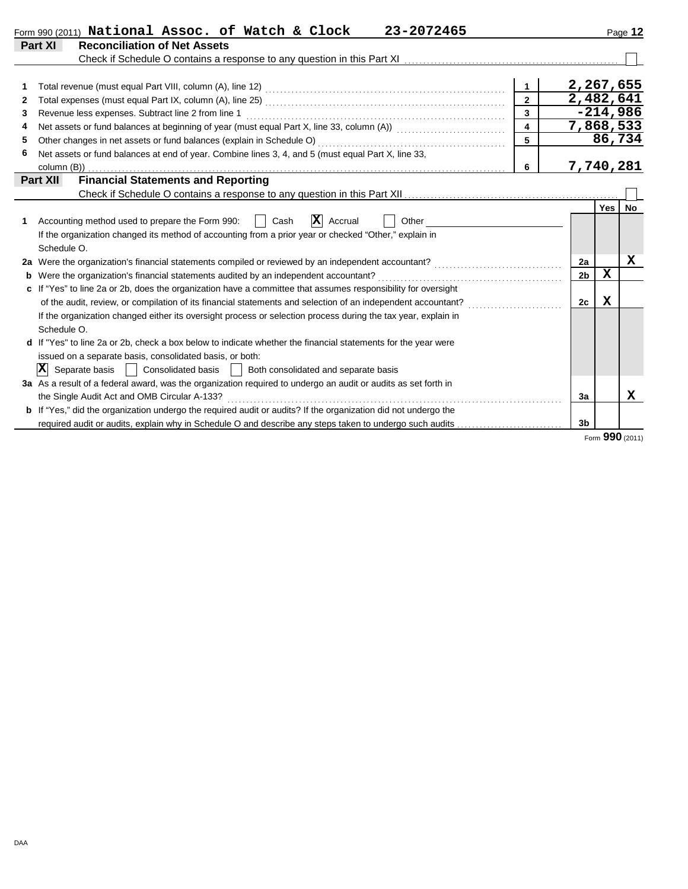|    | 23-2072465<br>Form 990 (2011) National Assoc. of Watch & Clock                                                                                       |                         |                |             | Page 12         |
|----|------------------------------------------------------------------------------------------------------------------------------------------------------|-------------------------|----------------|-------------|-----------------|
|    | <b>Part XI</b><br><b>Reconciliation of Net Assets</b>                                                                                                |                         |                |             |                 |
|    | Check if Schedule O contains a response to any question in this Part XI [11] Check if Schedule O contains a response to any question in this Part XI |                         |                |             |                 |
|    |                                                                                                                                                      |                         |                |             |                 |
| 1  |                                                                                                                                                      | $\mathbf{1}$            | 2,267,655      |             |                 |
| 2  |                                                                                                                                                      | $\overline{2}$          | 2,482,641      |             |                 |
| 3  | Revenue less expenses. Subtract line 2 from line 1                                                                                                   | $\overline{3}$          |                |             | $-214,986$      |
| 4  | Net assets or fund balances at beginning of year (must equal Part X, line 33, column (A)) [[[[[[[[[[[[[[[[[[[                                        | $\overline{\mathbf{4}}$ | 7,868,533      |             |                 |
| 5  | Other changes in net assets or fund balances (explain in Schedule O)                                                                                 | 5                       |                |             | 86,734          |
| 6  | Net assets or fund balances at end of year. Combine lines 3, 4, and 5 (must equal Part X, line 33,                                                   |                         |                |             |                 |
|    | column (B))                                                                                                                                          | 6                       | 7,740,281      |             |                 |
|    | <b>Financial Statements and Reporting</b><br><b>Part XII</b>                                                                                         |                         |                |             |                 |
|    |                                                                                                                                                      |                         |                |             |                 |
|    |                                                                                                                                                      |                         |                | Yes         | No              |
| 1. | $ \mathbf{X} $ Accrual<br>Accounting method used to prepare the Form 990:<br>Other<br>Cash                                                           |                         |                |             |                 |
|    | If the organization changed its method of accounting from a prior year or checked "Other," explain in                                                |                         |                |             |                 |
|    | Schedule O.                                                                                                                                          |                         |                |             |                 |
|    | 2a Were the organization's financial statements compiled or reviewed by an independent accountant?                                                   |                         | 2a             |             | X               |
| b  | Were the organization's financial statements audited by an independent accountant?                                                                   |                         | 2 <sub>b</sub> | $\mathbf x$ |                 |
| c  | If "Yes" to line 2a or 2b, does the organization have a committee that assumes responsibility for oversight                                          |                         |                |             |                 |
|    | of the audit, review, or compilation of its financial statements and selection of an independent accountant?                                         |                         | 2c             | X           |                 |
|    | If the organization changed either its oversight process or selection process during the tax year, explain in                                        |                         |                |             |                 |
|    | Schedule O.                                                                                                                                          |                         |                |             |                 |
|    | d If "Yes" to line 2a or 2b, check a box below to indicate whether the financial statements for the year were                                        |                         |                |             |                 |
|    | issued on a separate basis, consolidated basis, or both:                                                                                             |                         |                |             |                 |
|    | $ \mathbf{X} $<br>Separate basis<br>Consolidated basis     Both consolidated and separate basis                                                      |                         |                |             |                 |
|    | 3a As a result of a federal award, was the organization required to undergo an audit or audits as set forth in                                       |                         |                |             |                 |
|    | the Single Audit Act and OMB Circular A-133?                                                                                                         |                         | 3a             |             | x               |
|    | <b>b</b> If "Yes," did the organization undergo the required audit or audits? If the organization did not undergo the                                |                         |                |             |                 |
|    | required audit or audits, explain why in Schedule O and describe any steps taken to undergo such audits                                              |                         | 3 <sub>b</sub> |             |                 |
|    |                                                                                                                                                      |                         |                |             | Form 990 (2011) |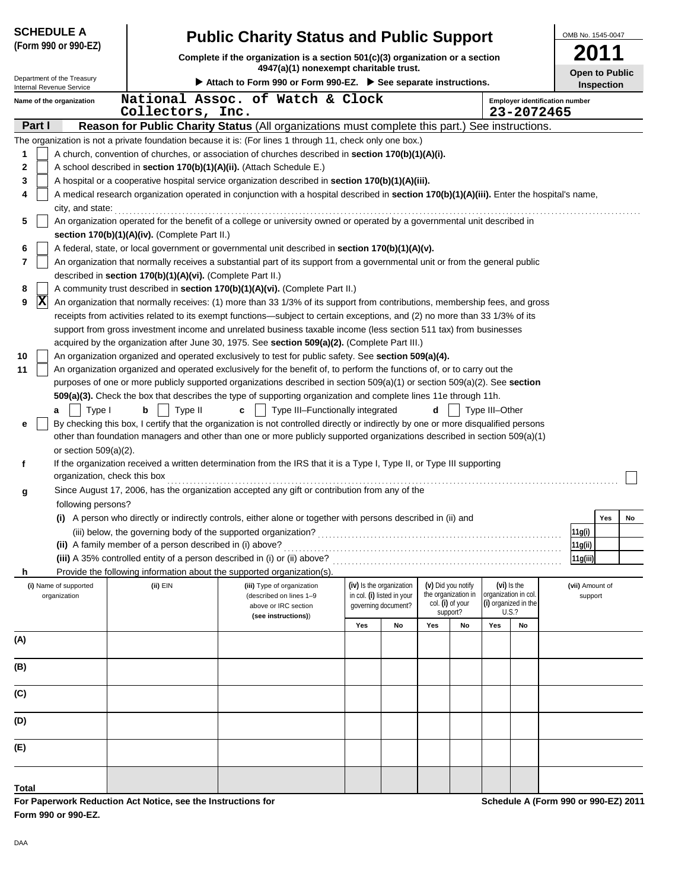| <b>SCHEDULE A</b>                                      |                                                            | <b>Public Charity Status and Public Support</b>                                                                                                                                                                                 |                                                        |    |                                           |    |                |                                    |                                                     |                            | OMB No. 1545-0047 |    |  |
|--------------------------------------------------------|------------------------------------------------------------|---------------------------------------------------------------------------------------------------------------------------------------------------------------------------------------------------------------------------------|--------------------------------------------------------|----|-------------------------------------------|----|----------------|------------------------------------|-----------------------------------------------------|----------------------------|-------------------|----|--|
| (Form 990 or 990-EZ)                                   |                                                            | Complete if the organization is a section 501(c)(3) organization or a section                                                                                                                                                   |                                                        |    |                                           |    |                |                                    |                                                     |                            |                   |    |  |
|                                                        |                                                            | 4947(a)(1) nonexempt charitable trust.                                                                                                                                                                                          |                                                        |    |                                           |    |                |                                    |                                                     | <b>Open to Public</b>      |                   |    |  |
| Department of the Treasury<br>Internal Revenue Service |                                                            | ▶ Attach to Form 990 or Form 990-EZ. ▶ See separate instructions.                                                                                                                                                               |                                                        |    |                                           |    |                |                                    |                                                     |                            | <b>Inspection</b> |    |  |
| Name of the organization                               | Collectors, Inc.                                           | National Assoc. of Watch & Clock                                                                                                                                                                                                |                                                        |    |                                           |    |                |                                    | <b>Employer identification number</b><br>23-2072465 |                            |                   |    |  |
| Part I                                                 |                                                            | Reason for Public Charity Status (All organizations must complete this part.) See instructions.                                                                                                                                 |                                                        |    |                                           |    |                |                                    |                                                     |                            |                   |    |  |
|                                                        |                                                            | The organization is not a private foundation because it is: (For lines 1 through 11, check only one box.)                                                                                                                       |                                                        |    |                                           |    |                |                                    |                                                     |                            |                   |    |  |
| 1                                                      |                                                            | A church, convention of churches, or association of churches described in section 170(b)(1)(A)(i).                                                                                                                              |                                                        |    |                                           |    |                |                                    |                                                     |                            |                   |    |  |
| 2                                                      |                                                            | A school described in section 170(b)(1)(A)(ii). (Attach Schedule E.)                                                                                                                                                            |                                                        |    |                                           |    |                |                                    |                                                     |                            |                   |    |  |
| 3<br>4                                                 |                                                            | A hospital or a cooperative hospital service organization described in section 170(b)(1)(A)(iii).                                                                                                                               |                                                        |    |                                           |    |                |                                    |                                                     |                            |                   |    |  |
| city, and state:                                       |                                                            | A medical research organization operated in conjunction with a hospital described in section 170(b)(1)(A)(iii). Enter the hospital's name,                                                                                      |                                                        |    |                                           |    |                |                                    |                                                     |                            |                   |    |  |
| 5                                                      |                                                            | An organization operated for the benefit of a college or university owned or operated by a governmental unit described in                                                                                                       |                                                        |    |                                           |    |                |                                    |                                                     |                            |                   |    |  |
|                                                        | section 170(b)(1)(A)(iv). (Complete Part II.)              |                                                                                                                                                                                                                                 |                                                        |    |                                           |    |                |                                    |                                                     |                            |                   |    |  |
| 6                                                      |                                                            | A federal, state, or local government or governmental unit described in section 170(b)(1)(A)(v).                                                                                                                                |                                                        |    |                                           |    |                |                                    |                                                     |                            |                   |    |  |
| 7                                                      | described in section 170(b)(1)(A)(vi). (Complete Part II.) | An organization that normally receives a substantial part of its support from a governmental unit or from the general public                                                                                                    |                                                        |    |                                           |    |                |                                    |                                                     |                            |                   |    |  |
| 8                                                      |                                                            | A community trust described in section 170(b)(1)(A)(vi). (Complete Part II.)                                                                                                                                                    |                                                        |    |                                           |    |                |                                    |                                                     |                            |                   |    |  |
| $ \mathbf{X} $<br>9                                    |                                                            | An organization that normally receives: (1) more than 33 1/3% of its support from contributions, membership fees, and gross                                                                                                     |                                                        |    |                                           |    |                |                                    |                                                     |                            |                   |    |  |
|                                                        |                                                            | receipts from activities related to its exempt functions—subject to certain exceptions, and (2) no more than 33 1/3% of its                                                                                                     |                                                        |    |                                           |    |                |                                    |                                                     |                            |                   |    |  |
|                                                        |                                                            | support from gross investment income and unrelated business taxable income (less section 511 tax) from businesses                                                                                                               |                                                        |    |                                           |    |                |                                    |                                                     |                            |                   |    |  |
| 10                                                     |                                                            | acquired by the organization after June 30, 1975. See section 509(a)(2). (Complete Part III.)                                                                                                                                   |                                                        |    |                                           |    |                |                                    |                                                     |                            |                   |    |  |
| 11                                                     |                                                            | An organization organized and operated exclusively to test for public safety. See section 509(a)(4).<br>An organization organized and operated exclusively for the benefit of, to perform the functions of, or to carry out the |                                                        |    |                                           |    |                |                                    |                                                     |                            |                   |    |  |
|                                                        |                                                            | purposes of one or more publicly supported organizations described in section $509(a)(1)$ or section $509(a)(2)$ . See section                                                                                                  |                                                        |    |                                           |    |                |                                    |                                                     |                            |                   |    |  |
|                                                        |                                                            | 509(a)(3). Check the box that describes the type of supporting organization and complete lines 11e through 11h.                                                                                                                 |                                                        |    |                                           |    |                |                                    |                                                     |                            |                   |    |  |
| Type I<br>a                                            | Type II<br>b                                               | Type III-Functionally integrated<br>c                                                                                                                                                                                           |                                                        |    | d                                         |    | Type III-Other |                                    |                                                     |                            |                   |    |  |
| е                                                      |                                                            | By checking this box, I certify that the organization is not controlled directly or indirectly by one or more disqualified persons                                                                                              |                                                        |    |                                           |    |                |                                    |                                                     |                            |                   |    |  |
| or section $509(a)(2)$ .                               |                                                            | other than foundation managers and other than one or more publicly supported organizations described in section 509(a)(1)                                                                                                       |                                                        |    |                                           |    |                |                                    |                                                     |                            |                   |    |  |
| f                                                      |                                                            | If the organization received a written determination from the IRS that it is a Type I, Type II, or Type III supporting                                                                                                          |                                                        |    |                                           |    |                |                                    |                                                     |                            |                   |    |  |
| organization, check this box                           |                                                            |                                                                                                                                                                                                                                 |                                                        |    |                                           |    |                |                                    |                                                     |                            |                   |    |  |
| g                                                      |                                                            | Since August 17, 2006, has the organization accepted any gift or contribution from any of the                                                                                                                                   |                                                        |    |                                           |    |                |                                    |                                                     |                            |                   |    |  |
| following persons?                                     |                                                            | (i) A person who directly or indirectly controls, either alone or together with persons described in (ii) and                                                                                                                   |                                                        |    |                                           |    |                |                                    |                                                     |                            |                   |    |  |
|                                                        |                                                            |                                                                                                                                                                                                                                 |                                                        |    |                                           |    |                |                                    |                                                     | 11g(i)                     | Yes               | No |  |
|                                                        | (ii) A family member of a person described in (i) above?   |                                                                                                                                                                                                                                 |                                                        |    |                                           |    |                |                                    |                                                     | 11g(ii)                    |                   |    |  |
|                                                        |                                                            | (iii) A 35% controlled entity of a person described in (i) or (ii) above?                                                                                                                                                       |                                                        |    |                                           |    |                |                                    |                                                     | 11g(iii)                   |                   |    |  |
| h                                                      |                                                            | Provide the following information about the supported organization(s)                                                                                                                                                           |                                                        |    |                                           |    |                |                                    |                                                     |                            |                   |    |  |
| (i) Name of supported<br>organization                  | (ii) EIN                                                   | (iii) Type of organization<br>(described on lines 1-9                                                                                                                                                                           | (iv) Is the organization<br>in col. (i) listed in your |    | (v) Did you notify<br>the organization in |    |                | (vi) Is the<br>organization in col |                                                     | (vii) Amount of<br>support |                   |    |  |
|                                                        |                                                            | above or IRC section                                                                                                                                                                                                            | governing document?                                    |    | col. (i) of your<br>support?              |    |                | (i) organized in the<br>U.S.?      |                                                     |                            |                   |    |  |
|                                                        |                                                            | (see instructions))                                                                                                                                                                                                             | Yes                                                    | No | Yes                                       | No | Yes            | No                                 |                                                     |                            |                   |    |  |
| (A)                                                    |                                                            |                                                                                                                                                                                                                                 |                                                        |    |                                           |    |                |                                    |                                                     |                            |                   |    |  |
|                                                        |                                                            |                                                                                                                                                                                                                                 |                                                        |    |                                           |    |                |                                    |                                                     |                            |                   |    |  |
| (B)                                                    |                                                            |                                                                                                                                                                                                                                 |                                                        |    |                                           |    |                |                                    |                                                     |                            |                   |    |  |
| (C)                                                    |                                                            |                                                                                                                                                                                                                                 |                                                        |    |                                           |    |                |                                    |                                                     |                            |                   |    |  |
|                                                        |                                                            |                                                                                                                                                                                                                                 |                                                        |    |                                           |    |                |                                    |                                                     |                            |                   |    |  |
| (D)                                                    |                                                            |                                                                                                                                                                                                                                 |                                                        |    |                                           |    |                |                                    |                                                     |                            |                   |    |  |
| (E)                                                    |                                                            |                                                                                                                                                                                                                                 |                                                        |    |                                           |    |                |                                    |                                                     |                            |                   |    |  |
|                                                        |                                                            |                                                                                                                                                                                                                                 |                                                        |    |                                           |    |                |                                    |                                                     |                            |                   |    |  |
| Total                                                  |                                                            |                                                                                                                                                                                                                                 |                                                        |    |                                           |    |                |                                    |                                                     |                            |                   |    |  |

**For Paperwork Reduction Act Notice, see the Instructions for Form 990 or 990-EZ.**

**Schedule A (Form 990 or 990-EZ) 2011**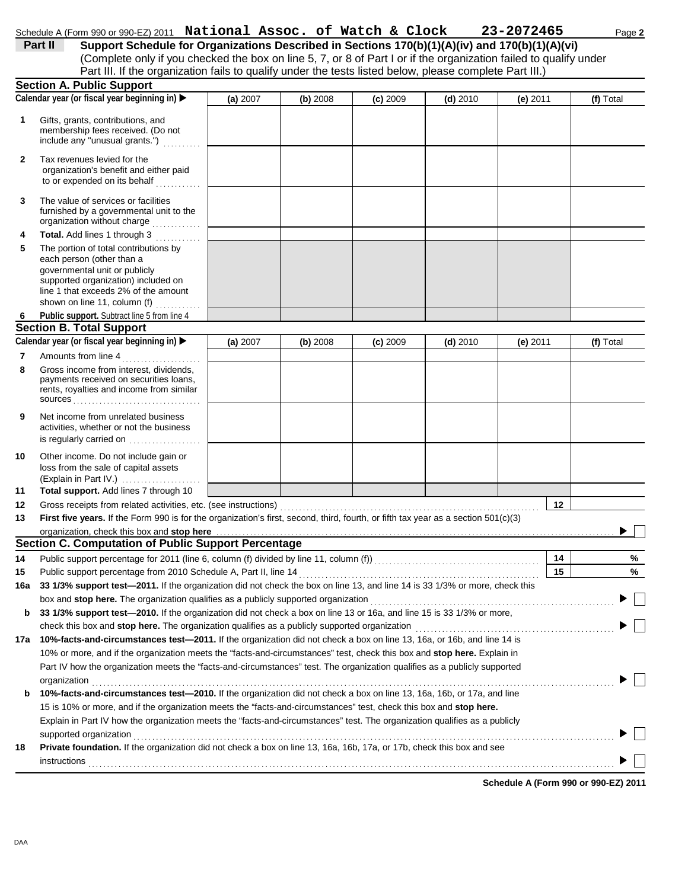|              | Schedule A (Form 990 or 990-EZ) 2011 National Assoc. of Watch & Clock                                                                                                                                                                    |          |          |            |            | 23-2072465 |          | Page 2    |
|--------------|------------------------------------------------------------------------------------------------------------------------------------------------------------------------------------------------------------------------------------------|----------|----------|------------|------------|------------|----------|-----------|
|              | Support Schedule for Organizations Described in Sections 170(b)(1)(A)(iv) and 170(b)(1)(A)(vi)<br>Part II                                                                                                                                |          |          |            |            |            |          |           |
|              | (Complete only if you checked the box on line 5, 7, or 8 of Part I or if the organization failed to qualify under                                                                                                                        |          |          |            |            |            |          |           |
|              | Part III. If the organization fails to qualify under the tests listed below, please complete Part III.)                                                                                                                                  |          |          |            |            |            |          |           |
|              | <b>Section A. Public Support</b>                                                                                                                                                                                                         |          |          |            |            |            |          |           |
|              | Calendar year (or fiscal year beginning in) ▶                                                                                                                                                                                            | (a) 2007 | (b) 2008 | $(c)$ 2009 | $(d)$ 2010 | (e) 2011   |          | (f) Total |
| 1            | Gifts, grants, contributions, and<br>membership fees received. (Do not<br>include any "unusual grants.")                                                                                                                                 |          |          |            |            |            |          |           |
| $\mathbf{2}$ | Tax revenues levied for the<br>organization's benefit and either paid<br>to or expended on its behalf                                                                                                                                    |          |          |            |            |            |          |           |
| 3            | The value of services or facilities<br>furnished by a governmental unit to the<br>organization without charge                                                                                                                            |          |          |            |            |            |          |           |
| 4            | Total. Add lines 1 through 3<br>a na matalagan.<br>Manazarta                                                                                                                                                                             |          |          |            |            |            |          |           |
| 5            | The portion of total contributions by<br>each person (other than a<br>governmental unit or publicly<br>supported organization) included on<br>line 1 that exceeds 2% of the amount<br>shown on line 11, column (f)                       |          |          |            |            |            |          |           |
| 6            | Public support. Subtract line 5 from line 4                                                                                                                                                                                              |          |          |            |            |            |          |           |
|              | <b>Section B. Total Support</b>                                                                                                                                                                                                          |          |          |            |            |            |          |           |
|              | Calendar year (or fiscal year beginning in) ▶                                                                                                                                                                                            | (a) 2007 | (b) 2008 | $(c)$ 2009 | $(d)$ 2010 | (e) $2011$ |          | (f) Total |
| 7<br>8       | Amounts from line 4<br>Gross income from interest, dividends,<br>payments received on securities loans,<br>rents, royalties and income from similar<br>$sources \dots \dots \dots \dots \dots \dots \dots \dots \dots \dots \dots \dots$ |          |          |            |            |            |          |           |
| 9            | Net income from unrelated business<br>activities, whether or not the business<br>is regularly carried on                                                                                                                                 |          |          |            |            |            |          |           |
| 10           | Other income. Do not include gain or<br>loss from the sale of capital assets<br>(Explain in Part IV.)                                                                                                                                    |          |          |            |            |            |          |           |
| 11           | Total support. Add lines 7 through 10                                                                                                                                                                                                    |          |          |            |            |            |          |           |
| 12           | Gross receipts from related activities, etc. (see instructions)                                                                                                                                                                          |          |          |            |            |            | 12       |           |
| 13           | First five years. If the Form 990 is for the organization's first, second, third, fourth, or fifth tax year as a section 501(c)(3)                                                                                                       |          |          |            |            |            |          |           |
|              | organization, check this box and stop here                                                                                                                                                                                               |          |          |            |            |            |          |           |
|              | Section C. Computation of Public Support Percentage                                                                                                                                                                                      |          |          |            |            |            |          |           |
| 14<br>15     | Public support percentage for 2011 (line 6, column (f) divided by line 11, column (f)) [[[[[[[[[[[[[[[[[[[[[[<br>Public support percentage from 2010 Schedule A, Part II, line 14                                                        |          |          |            |            |            | 14<br>15 | %<br>%    |
| 16a          | 33 1/3% support test-2011. If the organization did not check the box on line 13, and line 14 is 33 1/3% or more, check this                                                                                                              |          |          |            |            |            |          |           |
|              | box and stop here. The organization qualifies as a publicly supported organization                                                                                                                                                       |          |          |            |            |            |          |           |
| b            | 33 1/3% support test-2010. If the organization did not check a box on line 13 or 16a, and line 15 is 33 1/3% or more,                                                                                                                    |          |          |            |            |            |          |           |
|              | check this box and stop here. The organization qualifies as a publicly supported organization                                                                                                                                            |          |          |            |            |            |          |           |
| 17а          | 10%-facts-and-circumstances test-2011. If the organization did not check a box on line 13, 16a, or 16b, and line 14 is                                                                                                                   |          |          |            |            |            |          |           |
|              | 10% or more, and if the organization meets the "facts-and-circumstances" test, check this box and stop here. Explain in                                                                                                                  |          |          |            |            |            |          |           |
|              | Part IV how the organization meets the "facts-and-circumstances" test. The organization qualifies as a publicly supported                                                                                                                |          |          |            |            |            |          |           |
|              | organization                                                                                                                                                                                                                             |          |          |            |            |            |          |           |
| b            | 10%-facts-and-circumstances test-2010. If the organization did not check a box on line 13, 16a, 16b, or 17a, and line                                                                                                                    |          |          |            |            |            |          |           |
|              | 15 is 10% or more, and if the organization meets the "facts-and-circumstances" test, check this box and stop here.                                                                                                                       |          |          |            |            |            |          |           |
|              | Explain in Part IV how the organization meets the "facts-and-circumstances" test. The organization qualifies as a publicly                                                                                                               |          |          |            |            |            |          |           |
|              | supported organization                                                                                                                                                                                                                   |          |          |            |            |            |          |           |
| 18           | Private foundation. If the organization did not check a box on line 13, 16a, 16b, 17a, or 17b, check this box and see                                                                                                                    |          |          |            |            |            |          |           |
|              | <b>instructions</b>                                                                                                                                                                                                                      |          |          |            |            |            |          |           |

**Schedule A (Form 990 or 990-EZ) 2011**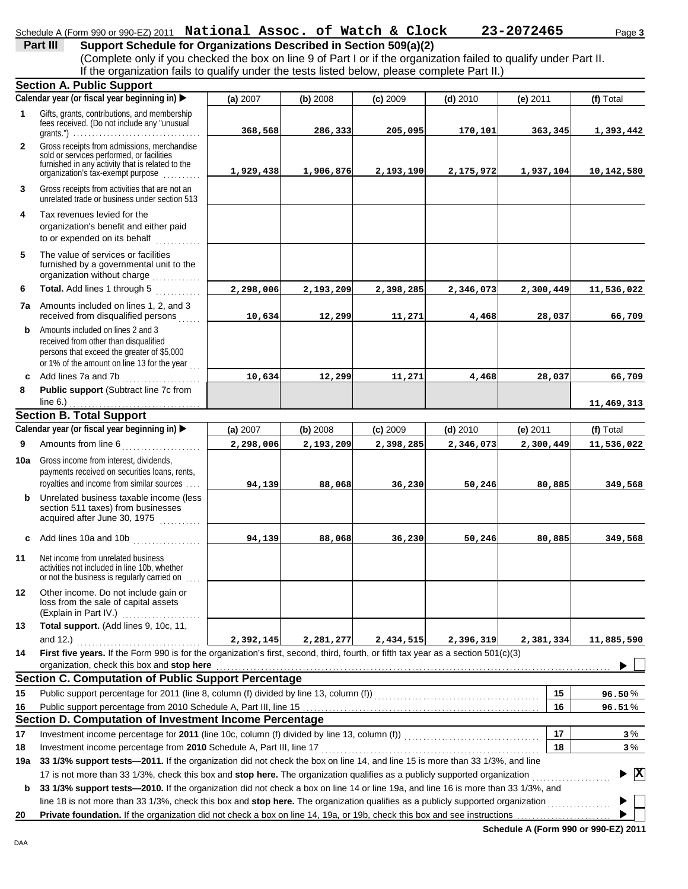|              | Schedule A (Form 990 or 990-EZ) 2011 National Assoc. of Watch & Clock                                                                                                                                                                                           |           |           |            |            | 23-2072465 | Page 3                                   |
|--------------|-----------------------------------------------------------------------------------------------------------------------------------------------------------------------------------------------------------------------------------------------------------------|-----------|-----------|------------|------------|------------|------------------------------------------|
|              | Support Schedule for Organizations Described in Section 509(a)(2)<br>Part III                                                                                                                                                                                   |           |           |            |            |            |                                          |
|              | (Complete only if you checked the box on line 9 of Part I or if the organization failed to qualify under Part II.                                                                                                                                               |           |           |            |            |            |                                          |
|              | If the organization fails to qualify under the tests listed below, please complete Part II.)                                                                                                                                                                    |           |           |            |            |            |                                          |
|              | <b>Section A. Public Support</b>                                                                                                                                                                                                                                |           |           |            |            |            |                                          |
|              | Calendar year (or fiscal year beginning in) ▶                                                                                                                                                                                                                   | (a) 2007  | (b) 2008  | $(c)$ 2009 | $(d)$ 2010 | $(e)$ 2011 | (f) Total                                |
| 1            | Gifts, grants, contributions, and membership<br>fees received. (Do not include any "unusual                                                                                                                                                                     | 368,568   | 286,333   | 205,095    | 170,101    | 363,345    | 1,393,442                                |
| $\mathbf{2}$ | Gross receipts from admissions, merchandise<br>sold or services performed, or facilities<br>furnished in any activity that is related to the<br>organization's tax-exempt purpose                                                                               | 1,929,438 | 1,906,876 | 2,193,190  | 2,175,972  | 1,937,104  | 10,142,580                               |
| 3            | Gross receipts from activities that are not an<br>unrelated trade or business under section 513                                                                                                                                                                 |           |           |            |            |            |                                          |
| 4            | Tax revenues levied for the<br>organization's benefit and either paid<br>to or expended on its behalf                                                                                                                                                           |           |           |            |            |            |                                          |
| 5            | The value of services or facilities<br>furnished by a governmental unit to the<br>organization without charge                                                                                                                                                   |           |           |            |            |            |                                          |
| 6            | Total. Add lines 1 through 5                                                                                                                                                                                                                                    | 2,298,006 | 2,193,209 | 2,398,285  | 2,346,073  | 2,300,449  | 11,536,022                               |
|              | 7a Amounts included on lines 1, 2, and 3<br>received from disqualified persons                                                                                                                                                                                  | 10,634    | 12,299    | 11,271     | 4,468      | 28,037     | 66,709                                   |
| b            | Amounts included on lines 2 and 3<br>received from other than disqualified<br>persons that exceed the greater of \$5,000<br>or 1% of the amount on line 13 for the year                                                                                         |           |           |            |            |            |                                          |
| c            | Add lines 7a and 7b<br>.                                                                                                                                                                                                                                        | 10,634    | 12,299    | 11,271     | 4,468      | 28,037     | 66,709                                   |
| 8            | Public support (Subtract line 7c from                                                                                                                                                                                                                           |           |           |            |            |            |                                          |
|              | line $6.$ )                                                                                                                                                                                                                                                     |           |           |            |            |            | 11,469,313                               |
|              | <b>Section B. Total Support</b>                                                                                                                                                                                                                                 |           |           |            |            |            |                                          |
|              | Calendar year (or fiscal year beginning in) ▶                                                                                                                                                                                                                   | (a) 2007  | (b) 2008  | $(c)$ 2009 | $(d)$ 2010 | $(e)$ 2011 | (f) Total                                |
| 9            | Amounts from line 6                                                                                                                                                                                                                                             | 2,298,006 | 2,193,209 | 2,398,285  | 2,346,073  | 2,300,449  | 11,536,022                               |
| 10a          | Gross income from interest, dividends,<br>payments received on securities loans, rents,<br>royalties and income from similar sources                                                                                                                            | 94,139    | 88,068    | 36,230     | 50,246     | 80,885     | 349,568                                  |
| b            | Unrelated business taxable income (less<br>section 511 taxes) from businesses<br>acquired after June 30, 1975                                                                                                                                                   |           |           |            |            |            |                                          |
| c            | Add lines 10a and 10b                                                                                                                                                                                                                                           | 94,139    | 88,068    | 36,230     | 50,246     | 80,885     | 349,568                                  |
| 11           | Net income from unrelated business<br>activities not included in line 10b, whether<br>or not the business is regularly carried on                                                                                                                               |           |           |            |            |            |                                          |
| 12           | Other income. Do not include gain or<br>loss from the sale of capital assets<br>(Explain in Part IV.)                                                                                                                                                           |           |           |            |            |            |                                          |
| 13           | Total support. (Add lines 9, 10c, 11,<br>and 12.)<br>the contract of the contract of the contract of the contract of the contract of the contract of the contract of                                                                                            | 2,392,145 | 2,281,277 | 2,434,515  | 2,396,319  | 2,381,334  | 11,885,590                               |
| 14           | First five years. If the Form 990 is for the organization's first, second, third, fourth, or fifth tax year as a section 501(c)(3)                                                                                                                              |           |           |            |            |            |                                          |
|              | organization, check this box and stop here<br><b>Section C. Computation of Public Support Percentage</b>                                                                                                                                                        |           |           |            |            |            |                                          |
|              |                                                                                                                                                                                                                                                                 |           |           |            |            |            |                                          |
| 15           | Public support percentage for 2011 (line 8, column (f) divided by line 13, column (f)) [[[[[[[[[[[[[[[[[[[[[[                                                                                                                                                   |           |           |            |            | 15         | 96.50%                                   |
| 16           |                                                                                                                                                                                                                                                                 |           |           |            |            | 16         | $96.51\%$                                |
|              | Section D. Computation of Investment Income Percentage                                                                                                                                                                                                          |           |           |            |            |            |                                          |
| 17           | Investment income percentage for 2011 (line 10c, column (f) divided by line 13, column (f)) [[[[[[[[[[[[[[[[[[                                                                                                                                                  |           |           |            |            | 17         | 3%                                       |
| 18           | Investment income percentage from 2010 Schedule A, Part III, line 17                                                                                                                                                                                            |           |           |            |            | 18         | 3%                                       |
| 19a          | 33 1/3% support tests-2011. If the organization did not check the box on line 14, and line 15 is more than 33 1/3%, and line                                                                                                                                    |           |           |            |            |            | $\triangleright$ $\overline{\mathbf{X}}$ |
| b            | 17 is not more than 33 1/3%, check this box and stop here. The organization qualifies as a publicly supported organization<br>33 1/3% support tests-2010. If the organization did not check a box on line 14 or line 19a, and line 16 is more than 33 1/3%, and |           |           |            |            |            |                                          |
|              | line 18 is not more than 33 1/3%, check this box and stop here. The organization qualifies as a publicly supported organization                                                                                                                                 |           |           |            |            |            |                                          |
| 20           | Private foundation. If the organization did not check a box on line 14, 19a, or 19b, check this box and see instructions                                                                                                                                        |           |           |            |            |            |                                          |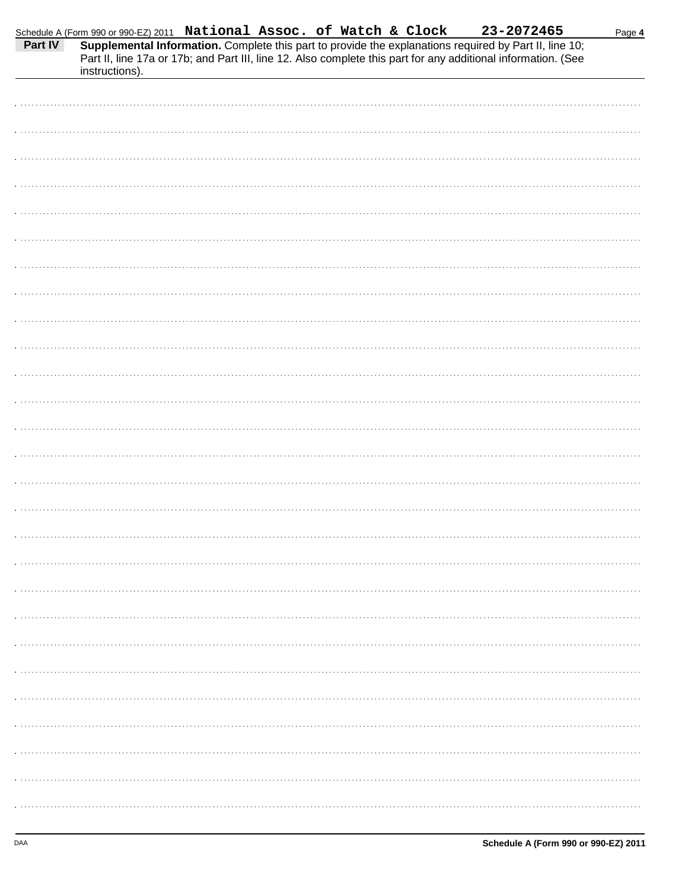|                |  |  |                                                                                                                                                                                                                                                                                                                                       | Page 4 |
|----------------|--|--|---------------------------------------------------------------------------------------------------------------------------------------------------------------------------------------------------------------------------------------------------------------------------------------------------------------------------------------|--------|
| instructions). |  |  | Schedule A (Form 990 or 990-EZ) 2011 <b>National Assoc. of Watch &amp; Clock</b> 23-2072465<br><b>Part IV</b> Supplemental Information. Complete this part to provide the explanations required by Part II, line 10;<br>Part II, line 17a or 17b; and Part III, line 12. Also complete this part for any additional information. (See |        |
|                |  |  |                                                                                                                                                                                                                                                                                                                                       |        |
|                |  |  |                                                                                                                                                                                                                                                                                                                                       |        |
|                |  |  |                                                                                                                                                                                                                                                                                                                                       |        |
|                |  |  |                                                                                                                                                                                                                                                                                                                                       |        |
|                |  |  |                                                                                                                                                                                                                                                                                                                                       |        |
|                |  |  |                                                                                                                                                                                                                                                                                                                                       |        |
|                |  |  |                                                                                                                                                                                                                                                                                                                                       |        |
|                |  |  |                                                                                                                                                                                                                                                                                                                                       |        |
|                |  |  |                                                                                                                                                                                                                                                                                                                                       |        |
|                |  |  |                                                                                                                                                                                                                                                                                                                                       |        |
|                |  |  |                                                                                                                                                                                                                                                                                                                                       |        |
|                |  |  |                                                                                                                                                                                                                                                                                                                                       |        |
|                |  |  |                                                                                                                                                                                                                                                                                                                                       |        |
|                |  |  |                                                                                                                                                                                                                                                                                                                                       |        |
|                |  |  |                                                                                                                                                                                                                                                                                                                                       |        |
|                |  |  |                                                                                                                                                                                                                                                                                                                                       |        |
|                |  |  |                                                                                                                                                                                                                                                                                                                                       |        |
|                |  |  |                                                                                                                                                                                                                                                                                                                                       |        |
|                |  |  |                                                                                                                                                                                                                                                                                                                                       |        |
|                |  |  |                                                                                                                                                                                                                                                                                                                                       |        |
|                |  |  |                                                                                                                                                                                                                                                                                                                                       |        |
|                |  |  |                                                                                                                                                                                                                                                                                                                                       |        |
|                |  |  |                                                                                                                                                                                                                                                                                                                                       |        |
|                |  |  |                                                                                                                                                                                                                                                                                                                                       |        |
|                |  |  |                                                                                                                                                                                                                                                                                                                                       |        |
|                |  |  |                                                                                                                                                                                                                                                                                                                                       |        |
|                |  |  |                                                                                                                                                                                                                                                                                                                                       |        |
|                |  |  |                                                                                                                                                                                                                                                                                                                                       |        |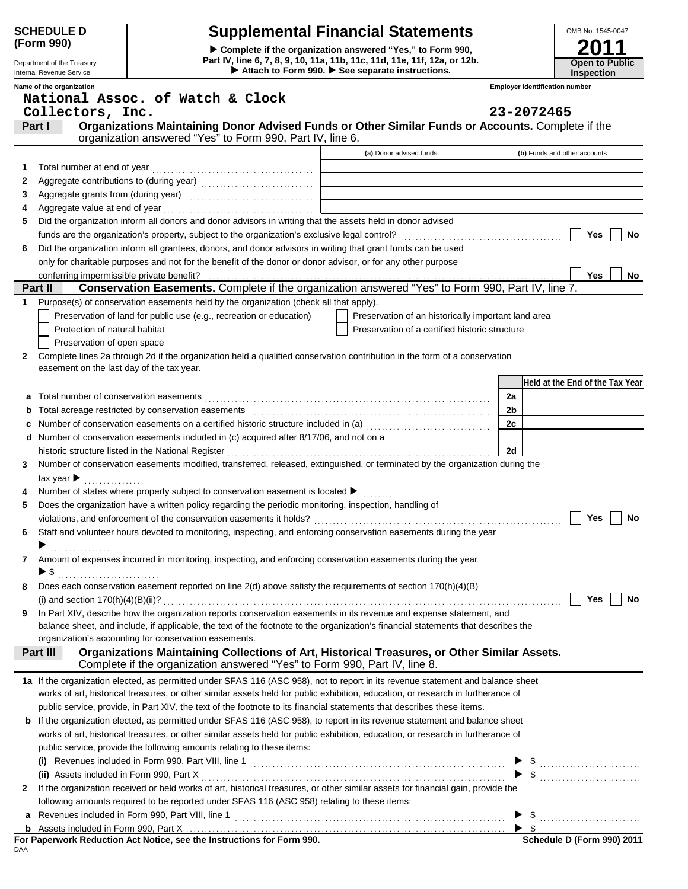| <b>SCHEDULE D</b> |  |
|-------------------|--|
| (Form 990)        |  |

Department of the Treasury Internal Revenue Service

## **Supplemental Financial Statements**

▶ Attach to Form 990. ▶ See separate instructions. **Part IV, line 6, 7, 8, 9, 10, 11a, 11b, 11c, 11d, 11e, 11f, 12a, or 12b. Complete if the organization answered "Yes," to Form 990,**



|   | Name of the organization                                                                                                                                                                                                      |                                                     | <b>Employer identification number</b> |
|---|-------------------------------------------------------------------------------------------------------------------------------------------------------------------------------------------------------------------------------|-----------------------------------------------------|---------------------------------------|
|   | National Assoc. of Watch & Clock                                                                                                                                                                                              |                                                     | 23-2072465                            |
|   | Collectors, Inc.<br>Organizations Maintaining Donor Advised Funds or Other Similar Funds or Accounts. Complete if the<br>Part I                                                                                               |                                                     |                                       |
|   | organization answered "Yes" to Form 990, Part IV, line 6.                                                                                                                                                                     |                                                     |                                       |
|   |                                                                                                                                                                                                                               | (a) Donor advised funds                             | (b) Funds and other accounts          |
| 1 | Total number at end of year                                                                                                                                                                                                   |                                                     |                                       |
| 2 |                                                                                                                                                                                                                               |                                                     |                                       |
| 3 |                                                                                                                                                                                                                               |                                                     |                                       |
| 4 |                                                                                                                                                                                                                               |                                                     |                                       |
| 5 | Did the organization inform all donors and donor advisors in writing that the assets held in donor advised                                                                                                                    |                                                     |                                       |
|   |                                                                                                                                                                                                                               |                                                     | Yes<br>No                             |
| 6 | Did the organization inform all grantees, donors, and donor advisors in writing that grant funds can be used                                                                                                                  |                                                     |                                       |
|   | only for charitable purposes and not for the benefit of the donor or donor advisor, or for any other purpose                                                                                                                  |                                                     |                                       |
|   | conferring impermissible private benefit?                                                                                                                                                                                     |                                                     | Yes<br>No                             |
|   | Conservation Easements. Complete if the organization answered "Yes" to Form 990, Part IV, line 7.<br>Part II                                                                                                                  |                                                     |                                       |
| 1 | Purpose(s) of conservation easements held by the organization (check all that apply).                                                                                                                                         |                                                     |                                       |
|   | Preservation of land for public use (e.g., recreation or education)                                                                                                                                                           | Preservation of an historically important land area |                                       |
|   | Protection of natural habitat                                                                                                                                                                                                 | Preservation of a certified historic structure      |                                       |
|   | Preservation of open space                                                                                                                                                                                                    |                                                     |                                       |
| 2 | Complete lines 2a through 2d if the organization held a qualified conservation contribution in the form of a conservation<br>easement on the last day of the tax year.                                                        |                                                     |                                       |
|   |                                                                                                                                                                                                                               |                                                     | Held at the End of the Tax Year       |
| a | Total number of conservation easements [111] The conservation of the conservation of the conservation of the conservation of the conservation of the conservation of the conservation of the conservation of the conservation |                                                     | 2a                                    |
|   |                                                                                                                                                                                                                               |                                                     | 2 <sub>b</sub>                        |
|   |                                                                                                                                                                                                                               |                                                     | 2c                                    |
|   | d Number of conservation easements included in (c) acquired after 8/17/06, and not on a                                                                                                                                       |                                                     |                                       |
|   |                                                                                                                                                                                                                               |                                                     | 2d                                    |
| 3 | Number of conservation easements modified, transferred, released, extinguished, or terminated by the organization during the                                                                                                  |                                                     |                                       |
|   | tax year $\blacktriangleright$<br>.                                                                                                                                                                                           |                                                     |                                       |
|   | Number of states where property subject to conservation easement is located ▶                                                                                                                                                 |                                                     |                                       |
| 5 | Does the organization have a written policy regarding the periodic monitoring, inspection, handling of                                                                                                                        |                                                     |                                       |
|   |                                                                                                                                                                                                                               |                                                     | Yes<br>No                             |
| 6 | Staff and volunteer hours devoted to monitoring, inspecting, and enforcing conservation easements during the year                                                                                                             |                                                     |                                       |
|   |                                                                                                                                                                                                                               |                                                     |                                       |
| 7 | Amount of expenses incurred in monitoring, inspecting, and enforcing conservation easements during the year                                                                                                                   |                                                     |                                       |
|   | ▶ \$                                                                                                                                                                                                                          |                                                     |                                       |
| 8 | Does each conservation easement reported on line 2(d) above satisfy the requirements of section 170(h)(4)(B)                                                                                                                  |                                                     |                                       |
|   |                                                                                                                                                                                                                               |                                                     | <b>Yes</b><br>No                      |
| 9 | In Part XIV, describe how the organization reports conservation easements in its revenue and expense statement, and                                                                                                           |                                                     |                                       |
|   | balance sheet, and include, if applicable, the text of the footnote to the organization's financial statements that describes the<br>organization's accounting for conservation easements.                                    |                                                     |                                       |
|   | Organizations Maintaining Collections of Art, Historical Treasures, or Other Similar Assets.<br><b>Part III</b>                                                                                                               |                                                     |                                       |
|   | Complete if the organization answered "Yes" to Form 990, Part IV, line 8.                                                                                                                                                     |                                                     |                                       |
|   | 1a If the organization elected, as permitted under SFAS 116 (ASC 958), not to report in its revenue statement and balance sheet                                                                                               |                                                     |                                       |
|   | works of art, historical treasures, or other similar assets held for public exhibition, education, or research in furtherance of                                                                                              |                                                     |                                       |
|   | public service, provide, in Part XIV, the text of the footnote to its financial statements that describes these items.                                                                                                        |                                                     |                                       |
|   | <b>b</b> If the organization elected, as permitted under SFAS 116 (ASC 958), to report in its revenue statement and balance sheet                                                                                             |                                                     |                                       |
|   | works of art, historical treasures, or other similar assets held for public exhibition, education, or research in furtherance of                                                                                              |                                                     |                                       |
|   | public service, provide the following amounts relating to these items:                                                                                                                                                        |                                                     |                                       |
|   | (i) Revenues included in Form 990, Part VIII, line 1 [2010] CONDITIONAL REVENUES IN REVENUES And The Second Li                                                                                                                |                                                     |                                       |
|   |                                                                                                                                                                                                                               |                                                     |                                       |
| 2 | If the organization received or held works of art, historical treasures, or other similar assets for financial gain, provide the                                                                                              |                                                     |                                       |
|   | following amounts required to be reported under SFAS 116 (ASC 958) relating to these items:                                                                                                                                   |                                                     |                                       |
| a |                                                                                                                                                                                                                               |                                                     |                                       |
|   |                                                                                                                                                                                                                               |                                                     |                                       |

DAA **For Paperwork Reduction Act Notice, see the Instructions for Form 990.**

| Schedule D (Form 990) 2011 |  |  |
|----------------------------|--|--|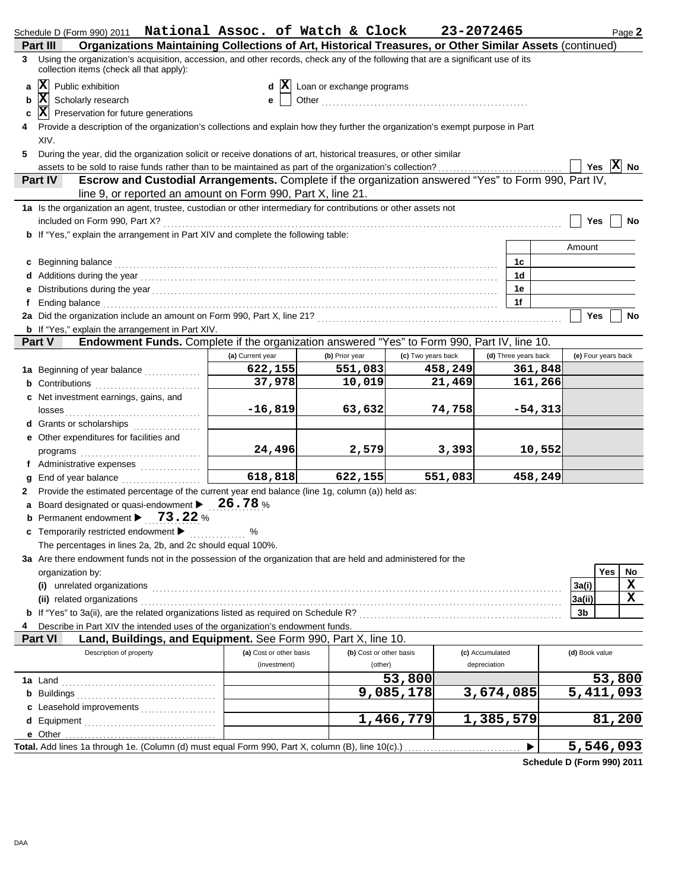|                                                                                                                                                                                   | Schedule D (Form 990) 2011 National Assoc. of Watch & Clock                                                                                                                                                                          |                         |                           |                    | 23-2072465           | Page 2              |  |  |
|-----------------------------------------------------------------------------------------------------------------------------------------------------------------------------------|--------------------------------------------------------------------------------------------------------------------------------------------------------------------------------------------------------------------------------------|-------------------------|---------------------------|--------------------|----------------------|---------------------|--|--|
|                                                                                                                                                                                   | Organizations Maintaining Collections of Art, Historical Treasures, or Other Similar Assets (continued)<br>Part II                                                                                                                   |                         |                           |                    |                      |                     |  |  |
| Using the organization's acquisition, accession, and other records, check any of the following that are a significant use of its<br>3<br>collection items (check all that apply): |                                                                                                                                                                                                                                      |                         |                           |                    |                      |                     |  |  |
| a                                                                                                                                                                                 | $ \mathbf{X} $ Public exhibition                                                                                                                                                                                                     |                         | Loan or exchange programs |                    |                      |                     |  |  |
| b                                                                                                                                                                                 | $ \mathbf{x} $<br>Scholarly research                                                                                                                                                                                                 |                         |                           |                    |                      |                     |  |  |
| c                                                                                                                                                                                 | $ \mathbf{X} $ Preservation for future generations                                                                                                                                                                                   |                         |                           |                    |                      |                     |  |  |
|                                                                                                                                                                                   | Provide a description of the organization's collections and explain how they further the organization's exempt purpose in Part                                                                                                       |                         |                           |                    |                      |                     |  |  |
|                                                                                                                                                                                   | XIV.                                                                                                                                                                                                                                 |                         |                           |                    |                      |                     |  |  |
| 5                                                                                                                                                                                 | During the year, did the organization solicit or receive donations of art, historical treasures, or other similar                                                                                                                    |                         |                           |                    |                      |                     |  |  |
|                                                                                                                                                                                   | assets to be sold to raise funds rather than to be maintained as part of the organization's collection?                                                                                                                              |                         |                           |                    |                      | Yes $X$ No          |  |  |
|                                                                                                                                                                                   | Escrow and Custodial Arrangements. Complete if the organization answered "Yes" to Form 990, Part IV,<br><b>Part IV</b>                                                                                                               |                         |                           |                    |                      |                     |  |  |
|                                                                                                                                                                                   | line 9, or reported an amount on Form 990, Part X, line 21.                                                                                                                                                                          |                         |                           |                    |                      |                     |  |  |
|                                                                                                                                                                                   |                                                                                                                                                                                                                                      |                         |                           |                    |                      |                     |  |  |
|                                                                                                                                                                                   | 1a Is the organization an agent, trustee, custodian or other intermediary for contributions or other assets not                                                                                                                      |                         |                           |                    |                      |                     |  |  |
|                                                                                                                                                                                   |                                                                                                                                                                                                                                      |                         |                           |                    |                      | Yes<br>No           |  |  |
|                                                                                                                                                                                   | <b>b</b> If "Yes," explain the arrangement in Part XIV and complete the following table:                                                                                                                                             |                         |                           |                    |                      |                     |  |  |
|                                                                                                                                                                                   |                                                                                                                                                                                                                                      |                         |                           |                    |                      | Amount              |  |  |
|                                                                                                                                                                                   | c Beginning balance <b>contract the contract of the contract of the contract of the contract of the contract of the contract of the contract of the contract of the contract of the contract of the contract of the contract of </b> |                         |                           |                    | 1с                   |                     |  |  |
|                                                                                                                                                                                   |                                                                                                                                                                                                                                      |                         |                           |                    | 1 <sub>d</sub>       |                     |  |  |
|                                                                                                                                                                                   |                                                                                                                                                                                                                                      |                         |                           |                    | 1e                   |                     |  |  |
| f                                                                                                                                                                                 | Ending balance <b>construction and the construction of the construction</b> of the construction of the construction of the construction of the construction of the construction of the construction of the construction of the cons  |                         |                           |                    | 1f                   |                     |  |  |
|                                                                                                                                                                                   |                                                                                                                                                                                                                                      |                         |                           |                    |                      | Yes<br>No           |  |  |
|                                                                                                                                                                                   | <b>b</b> If "Yes," explain the arrangement in Part XIV.                                                                                                                                                                              |                         |                           |                    |                      |                     |  |  |
|                                                                                                                                                                                   | Endowment Funds. Complete if the organization answered "Yes" to Form 990, Part IV, line 10.<br><b>Part V</b>                                                                                                                         |                         |                           |                    |                      |                     |  |  |
|                                                                                                                                                                                   |                                                                                                                                                                                                                                      | (a) Current year        | (b) Prior year            | (c) Two years back | (d) Three years back | (e) Four years back |  |  |
|                                                                                                                                                                                   | 1a Beginning of year balance                                                                                                                                                                                                         | 622,155                 | 551,083                   | 458,249            | 361,848              |                     |  |  |
|                                                                                                                                                                                   | <b>b</b> Contributions                                                                                                                                                                                                               | 37,978                  | 10,019                    | 21,469             | 161,266              |                     |  |  |
|                                                                                                                                                                                   | c Net investment earnings, gains, and                                                                                                                                                                                                |                         |                           |                    |                      |                     |  |  |
|                                                                                                                                                                                   |                                                                                                                                                                                                                                      | $-16,819$               | 63,632                    | 74,758             | $-54,313$            |                     |  |  |
|                                                                                                                                                                                   | d Grants or scholarships                                                                                                                                                                                                             |                         |                           |                    |                      |                     |  |  |
|                                                                                                                                                                                   | e Other expenditures for facilities and                                                                                                                                                                                              |                         |                           |                    |                      |                     |  |  |
|                                                                                                                                                                                   |                                                                                                                                                                                                                                      | 24,496                  | 2,579                     | 3,393              | 10,552               |                     |  |  |
|                                                                                                                                                                                   | f Administrative expenses                                                                                                                                                                                                            |                         |                           |                    |                      |                     |  |  |
|                                                                                                                                                                                   | $g$ End of year balance $\ldots$                                                                                                                                                                                                     | $\overline{618,818}$    | 622, 155                  | 551,083            | 458,249              |                     |  |  |
|                                                                                                                                                                                   | Provide the estimated percentage of the current year end balance (line 1g, column (a)) held as:                                                                                                                                      |                         |                           |                    |                      |                     |  |  |
|                                                                                                                                                                                   | a Board designated or quasi-endowment $\blacktriangleright$ 26.78 %                                                                                                                                                                  |                         |                           |                    |                      |                     |  |  |
|                                                                                                                                                                                   | <b>b</b> Permanent endowment $\blacktriangleright$ 73.22 %                                                                                                                                                                           |                         |                           |                    |                      |                     |  |  |
|                                                                                                                                                                                   | c Temporarily restricted endowment >                                                                                                                                                                                                 |                         |                           |                    |                      |                     |  |  |
|                                                                                                                                                                                   | The percentages in lines 2a, 2b, and 2c should equal 100%.                                                                                                                                                                           |                         |                           |                    |                      |                     |  |  |
|                                                                                                                                                                                   | 3a Are there endowment funds not in the possession of the organization that are held and administered for the                                                                                                                        |                         |                           |                    |                      |                     |  |  |
|                                                                                                                                                                                   |                                                                                                                                                                                                                                      |                         |                           |                    |                      |                     |  |  |
|                                                                                                                                                                                   | organization by:                                                                                                                                                                                                                     |                         |                           |                    |                      | Yes<br>No<br>X      |  |  |
|                                                                                                                                                                                   |                                                                                                                                                                                                                                      |                         |                           |                    |                      | 3a(i)               |  |  |
|                                                                                                                                                                                   |                                                                                                                                                                                                                                      |                         |                           |                    |                      | X<br>3a(ii)         |  |  |
|                                                                                                                                                                                   |                                                                                                                                                                                                                                      |                         |                           |                    |                      | 3b                  |  |  |
| 4                                                                                                                                                                                 | Describe in Part XIV the intended uses of the organization's endowment funds.                                                                                                                                                        |                         |                           |                    |                      |                     |  |  |
|                                                                                                                                                                                   | Land, Buildings, and Equipment. See Form 990, Part X, line 10.<br><b>Part VI</b>                                                                                                                                                     |                         |                           |                    |                      |                     |  |  |
|                                                                                                                                                                                   | Description of property                                                                                                                                                                                                              | (a) Cost or other basis | (b) Cost or other basis   |                    | (c) Accumulated      | (d) Book value      |  |  |
|                                                                                                                                                                                   |                                                                                                                                                                                                                                      | (investment)            | (other)                   |                    | depreciation         |                     |  |  |
|                                                                                                                                                                                   |                                                                                                                                                                                                                                      |                         |                           | 53,800             |                      | 53,800              |  |  |
|                                                                                                                                                                                   |                                                                                                                                                                                                                                      |                         |                           | 9,085,178          | 3,674,085            | 5,411,093           |  |  |
|                                                                                                                                                                                   | c Leasehold improvements                                                                                                                                                                                                             |                         |                           |                    |                      |                     |  |  |
|                                                                                                                                                                                   |                                                                                                                                                                                                                                      |                         |                           | 1,466,779          | 1,385,579            | 81,200              |  |  |
|                                                                                                                                                                                   |                                                                                                                                                                                                                                      |                         |                           |                    |                      |                     |  |  |
|                                                                                                                                                                                   | Total. Add lines 1a through 1e. (Column (d) must equal Form 990, Part X, column (B), line 10(c).)                                                                                                                                    |                         |                           |                    | ▶                    | 5,546,093           |  |  |

**Schedule D (Form 990) 2011**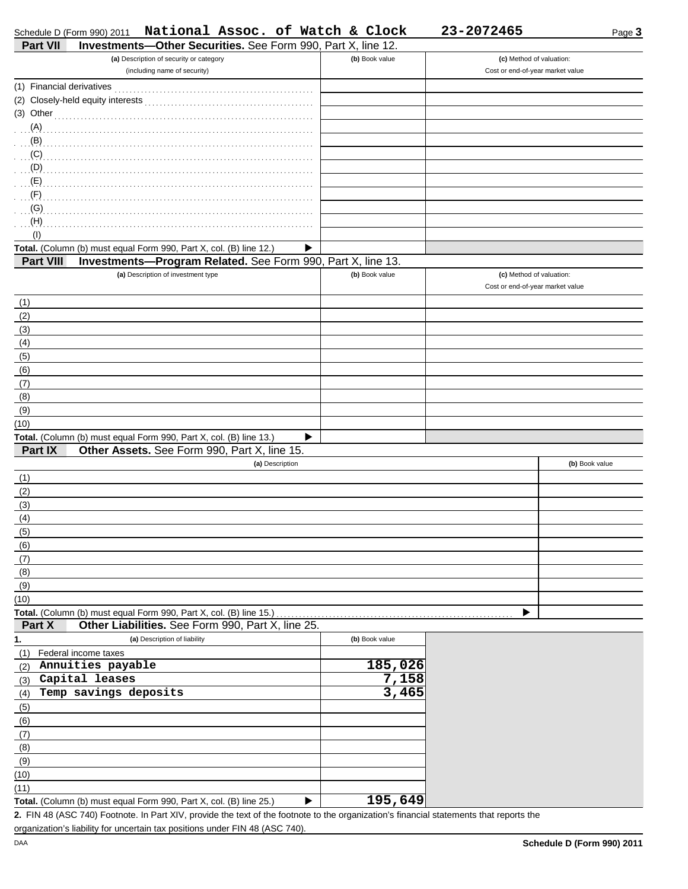Page **3**

| (a) Description of security or category                                         | (b) Book value | (c) Method of valuation:         |
|---------------------------------------------------------------------------------|----------------|----------------------------------|
| (including name of security)                                                    |                | Cost or end-of-year market value |
| (1) Financial derivatives                                                       |                |                                  |
|                                                                                 |                |                                  |
| (3) Other                                                                       |                |                                  |
| (A)                                                                             |                |                                  |
| (B)                                                                             |                |                                  |
| $\ldots$ (C)                                                                    |                |                                  |
|                                                                                 |                |                                  |
| . (E)                                                                           |                |                                  |
| (F)<br>.                                                                        |                |                                  |
| (G)                                                                             |                |                                  |
| (H)                                                                             |                |                                  |
| (1)                                                                             |                |                                  |
| Total. (Column (b) must equal Form 990, Part X, col. (B) line 12.)<br>▶         |                |                                  |
| Investments-Program Related. See Form 990, Part X, line 13.<br><b>Part VIII</b> |                |                                  |
| (a) Description of investment type                                              | (b) Book value | (c) Method of valuation:         |
|                                                                                 |                | Cost or end-of-year market value |
| (1)                                                                             |                |                                  |
| (2)                                                                             |                |                                  |
| (3)                                                                             |                |                                  |
| (4)                                                                             |                |                                  |
| (5)                                                                             |                |                                  |
| (6)                                                                             |                |                                  |
| (7)                                                                             |                |                                  |
| (8)                                                                             |                |                                  |
| (9)                                                                             |                |                                  |
| (10)                                                                            |                |                                  |
| Total. (Column (b) must equal Form 990, Part X, col. (B) line 13.)<br>▶         |                |                                  |
| Part IX<br>Other Assets. See Form 990, Part X, line 15.                         |                |                                  |
| (a) Description                                                                 |                | (b) Book value                   |
| (1)                                                                             |                |                                  |
| (2)                                                                             |                |                                  |
| (3)                                                                             |                |                                  |
| (4)                                                                             |                |                                  |
| (5)                                                                             |                |                                  |
| (6)                                                                             |                |                                  |
| (7)                                                                             |                |                                  |
| (8)                                                                             |                |                                  |
| (9)                                                                             |                |                                  |
| (10)                                                                            |                |                                  |
| Total. (Column (b) must equal Form 990, Part X, col. (B) line 15.)              |                |                                  |
| Part X<br>Other Liabilities. See Form 990, Part X, line 25.                     |                |                                  |
| 1.<br>(a) Description of liability                                              | (b) Book value |                                  |
| Federal income taxes<br>(1)                                                     |                |                                  |
| Annuities payable<br>(2)                                                        | 185,026        |                                  |
| Capital leases<br>(3)                                                           | 7,158          |                                  |
| Temp savings deposits                                                           | 3,465          |                                  |
| (4)                                                                             |                |                                  |
| (5)                                                                             |                |                                  |
| (6)                                                                             |                |                                  |
| (7)                                                                             |                |                                  |
| (8)                                                                             |                |                                  |
| (9)                                                                             |                |                                  |
| (10)                                                                            |                |                                  |
| (11)                                                                            | 195,649        |                                  |
| Total. (Column (b) must equal Form 990, Part X, col. (B) line 25.)              |                |                                  |

FIN 48 (ASC 740) Footnote. In Part XIV, provide the text of the footnote to the organization's financial statements that reports the **2.** organization's liability for uncertain tax positions under FIN 48 (ASC 740).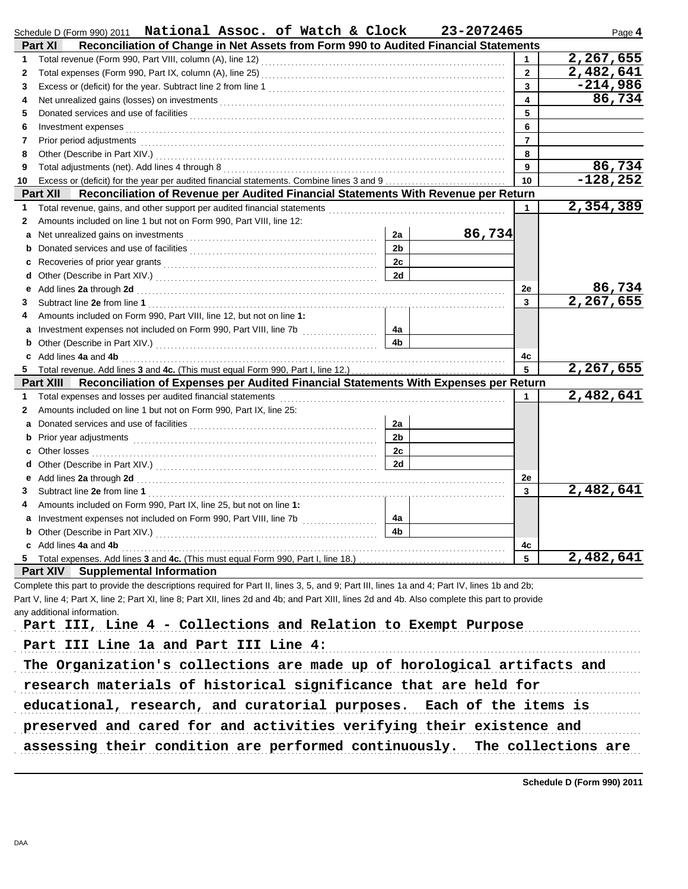|    | Schedule D (Form 990) 2011 National Assoc. of Watch & Clock                                                                                                                                                                                                                                                            |                      | 23-2072465 |                | Page 4     |  |  |  |
|----|------------------------------------------------------------------------------------------------------------------------------------------------------------------------------------------------------------------------------------------------------------------------------------------------------------------------|----------------------|------------|----------------|------------|--|--|--|
|    | Reconciliation of Change in Net Assets from Form 990 to Audited Financial Statements<br>Part XI                                                                                                                                                                                                                        |                      |            |                |            |  |  |  |
| 1  |                                                                                                                                                                                                                                                                                                                        |                      |            |                | 2,267,655  |  |  |  |
| 2  |                                                                                                                                                                                                                                                                                                                        |                      |            | $\overline{2}$ | 2,482,641  |  |  |  |
| 3  |                                                                                                                                                                                                                                                                                                                        |                      |            | 3              | $-214,986$ |  |  |  |
| 4  |                                                                                                                                                                                                                                                                                                                        |                      |            | 4              | 86,734     |  |  |  |
| 5  |                                                                                                                                                                                                                                                                                                                        |                      |            | 5              |            |  |  |  |
| 6  | Investment expenses <b>contract and the expenses contract and the expenses of the expenses</b>                                                                                                                                                                                                                         |                      |            | 6              |            |  |  |  |
| 7  | Prior period adjustments [11] production of the contract of the contract of the contract of the contract of the contract of the contract of the contract of the contract of the contract of the contract of the contract of th                                                                                         |                      |            | $\overline{7}$ |            |  |  |  |
| 8  |                                                                                                                                                                                                                                                                                                                        |                      |            | 8              |            |  |  |  |
| 9  |                                                                                                                                                                                                                                                                                                                        |                      |            | 9              | 86,734     |  |  |  |
| 10 |                                                                                                                                                                                                                                                                                                                        |                      |            | 10             | $-128,252$ |  |  |  |
|    | Reconciliation of Revenue per Audited Financial Statements With Revenue per Return<br><b>Part XII</b>                                                                                                                                                                                                                  |                      |            |                | 2,354,389  |  |  |  |
| 1  |                                                                                                                                                                                                                                                                                                                        |                      |            | 1              |            |  |  |  |
| 2  | Amounts included on line 1 but not on Form 990, Part VIII, line 12:                                                                                                                                                                                                                                                    |                      |            |                |            |  |  |  |
| a  |                                                                                                                                                                                                                                                                                                                        | 2a<br>2 <sub>b</sub> | 86,734     |                |            |  |  |  |
| b  |                                                                                                                                                                                                                                                                                                                        |                      |            |                |            |  |  |  |
| c  |                                                                                                                                                                                                                                                                                                                        | 2c                   |            |                |            |  |  |  |
| d  |                                                                                                                                                                                                                                                                                                                        | 2d                   |            |                | 86,734     |  |  |  |
| е  | Add lines 2a through 2d [11] March 2014 [12] March 2014 [12] March 2014 [12] March 2014 [12] March 2014 [12] March 2015 [12] March 2014 [12] March 2014 [12] March 2014 [12] March 2014 [12] March 2014 [12] March 2014 [12] M                                                                                         |                      |            | 2e<br>3        | 2,267,655  |  |  |  |
| 3  | Amounts included on Form 990, Part VIII, line 12, but not on line 1:                                                                                                                                                                                                                                                   |                      |            |                |            |  |  |  |
| 4  |                                                                                                                                                                                                                                                                                                                        | 4a                   |            |                |            |  |  |  |
| a  | Investment expenses not included on Form 990, Part VIII, line 7b                                                                                                                                                                                                                                                       | 4 <sub>b</sub>       |            |                |            |  |  |  |
| b  |                                                                                                                                                                                                                                                                                                                        |                      |            | 4c             |            |  |  |  |
| 5. | c Add lines 4a and 4b <b>contract and 4</b> hours and 4 hours and 4 hours and 4 hours and 4 hours and 4 hours and 4 hours and 4 hours and 4 hours and 4 hours and 4 hours and 4 hours and 4 hours and 4 hours and 4 hours and 4 hou<br>Total revenue. Add lines 3 and 4c. (This must equal Form 990, Part I, line 12.) |                      |            | 5              | 2,267,655  |  |  |  |
|    | Reconciliation of Expenses per Audited Financial Statements With Expenses per Return<br>Part XIII                                                                                                                                                                                                                      |                      |            |                |            |  |  |  |
| 1  |                                                                                                                                                                                                                                                                                                                        |                      |            | 1              | 2,482,641  |  |  |  |
| 2  | Amounts included on line 1 but not on Form 990, Part IX, line 25:                                                                                                                                                                                                                                                      |                      |            |                |            |  |  |  |
| a  |                                                                                                                                                                                                                                                                                                                        | 2a                   |            |                |            |  |  |  |
| b  |                                                                                                                                                                                                                                                                                                                        | 2 <sub>b</sub>       |            |                |            |  |  |  |
| C  |                                                                                                                                                                                                                                                                                                                        | 2c                   |            |                |            |  |  |  |
| d  |                                                                                                                                                                                                                                                                                                                        | 2d                   |            |                |            |  |  |  |
| е  | Add lines 2a through 2d [11] And The Contract of the Contract of the Contract of the Contract of the Contract of the Contract of the Contract of the Contract of the Contract of the Contract of the Contract of the Contract                                                                                          |                      |            | 2e             |            |  |  |  |
| 3  |                                                                                                                                                                                                                                                                                                                        |                      |            | 3              | 2,482,641  |  |  |  |
| 4  | Amounts included on Form 990, Part IX, line 25, but not on line 1:                                                                                                                                                                                                                                                     |                      |            |                |            |  |  |  |
|    |                                                                                                                                                                                                                                                                                                                        | 4a                   |            |                |            |  |  |  |
|    |                                                                                                                                                                                                                                                                                                                        | 4b                   |            |                |            |  |  |  |
|    | c Add lines 4a and 4b                                                                                                                                                                                                                                                                                                  |                      |            | 4c             |            |  |  |  |
|    | 5 Total expenses. Add lines 3 and 4c. (This must equal Form 990, Part I, line 18.).                                                                                                                                                                                                                                    |                      |            | 5              | 2,482,641  |  |  |  |
|    | <b>Part XIV Supplemental Information</b>                                                                                                                                                                                                                                                                               |                      |            |                |            |  |  |  |
|    | Complete this part to provide the descriptions required for Part II, lines 3, 5, and 9; Part III, lines 1a and 4; Part IV, lines 1b and 2b;                                                                                                                                                                            |                      |            |                |            |  |  |  |
|    | Part V, line 4; Part X, line 2; Part XI, line 8; Part XII, lines 2d and 4b; and Part XIII, lines 2d and 4b. Also complete this part to provide                                                                                                                                                                         |                      |            |                |            |  |  |  |
|    | any additional information.                                                                                                                                                                                                                                                                                            |                      |            |                |            |  |  |  |
|    | Part III, Line 4 - Collections and Relation to Exempt Purpose                                                                                                                                                                                                                                                          |                      |            |                |            |  |  |  |
|    | Part III Line 1a and Part III Line 4:                                                                                                                                                                                                                                                                                  |                      |            |                |            |  |  |  |
|    | The Organization's collections are made up of horological artifacts and                                                                                                                                                                                                                                                |                      |            |                |            |  |  |  |
|    | research materials of historical significance that are held for                                                                                                                                                                                                                                                        |                      |            |                |            |  |  |  |
|    | educational, research, and curatorial purposes. Each of the items is                                                                                                                                                                                                                                                   |                      |            |                |            |  |  |  |
|    | preserved and cared for and activities verifying their existence and                                                                                                                                                                                                                                                   |                      |            |                |            |  |  |  |
|    | assessing their condition are performed continuously. The collections are                                                                                                                                                                                                                                              |                      |            |                |            |  |  |  |
|    |                                                                                                                                                                                                                                                                                                                        |                      |            |                |            |  |  |  |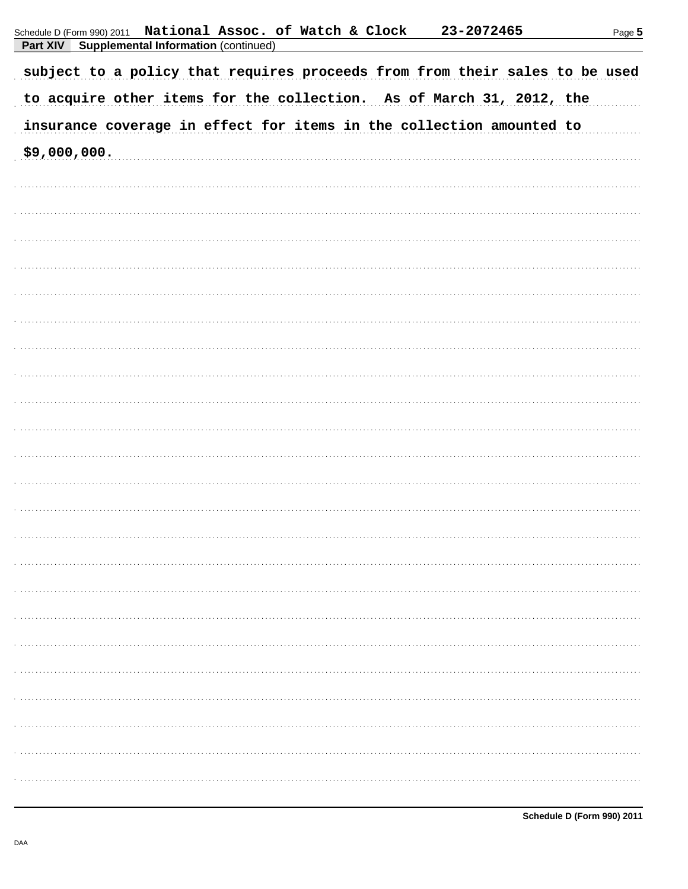| <b>Fail AIV</b><br>supplemental implimation (commuted)<br>subject to a policy that requires proceeds from from their sales to be used |
|---------------------------------------------------------------------------------------------------------------------------------------|
| to acquire other items for the collection. As of March 31, 2012, the                                                                  |
| insurance coverage in effect for items in the collection amounted to                                                                  |
| \$9,000,000.                                                                                                                          |
|                                                                                                                                       |
|                                                                                                                                       |
|                                                                                                                                       |
|                                                                                                                                       |
|                                                                                                                                       |
|                                                                                                                                       |
|                                                                                                                                       |
|                                                                                                                                       |
|                                                                                                                                       |
|                                                                                                                                       |
|                                                                                                                                       |
|                                                                                                                                       |
|                                                                                                                                       |
|                                                                                                                                       |
|                                                                                                                                       |
|                                                                                                                                       |
|                                                                                                                                       |
|                                                                                                                                       |
|                                                                                                                                       |
|                                                                                                                                       |
|                                                                                                                                       |
|                                                                                                                                       |
|                                                                                                                                       |
|                                                                                                                                       |
|                                                                                                                                       |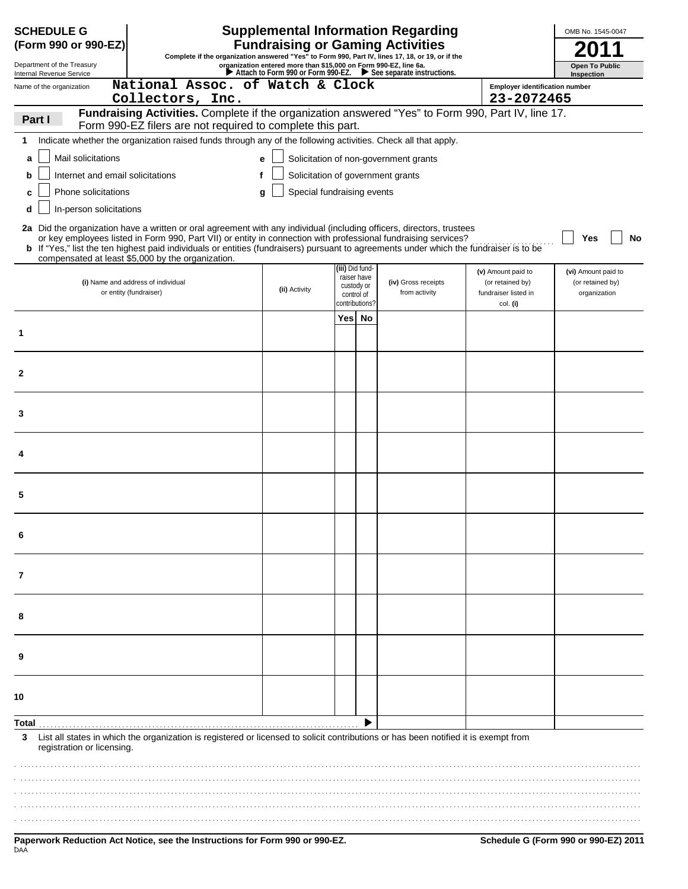| <b>Supplemental Information Regarding</b><br><b>SCHEDULE G</b><br>OMB No. 1545-0047<br><b>Fundraising or Gaming Activities</b><br>(Form 990 or 990-EZ)                                                                                                                                       |                                                                                                                                                                                                                                                                                                                                                                                                                                               |               |                 |                                                           |                                       |                                                                |                                                         |  |  |
|----------------------------------------------------------------------------------------------------------------------------------------------------------------------------------------------------------------------------------------------------------------------------------------------|-----------------------------------------------------------------------------------------------------------------------------------------------------------------------------------------------------------------------------------------------------------------------------------------------------------------------------------------------------------------------------------------------------------------------------------------------|---------------|-----------------|-----------------------------------------------------------|---------------------------------------|----------------------------------------------------------------|---------------------------------------------------------|--|--|
| Complete if the organization answered "Yes" to Form 990, Part IV, lines 17, 18, or 19, or if the<br>organization entered more than \$15,000 on Form 990-EZ, line 6a.<br>Department of the Treasury<br><b>Open To Public</b><br>Attach to Form 990 or Form 990-EZ. See separate instructions. |                                                                                                                                                                                                                                                                                                                                                                                                                                               |               |                 |                                                           |                                       |                                                                |                                                         |  |  |
| Internal Revenue Service<br>Name of the organization                                                                                                                                                                                                                                         | National Assoc. of Watch & Clock                                                                                                                                                                                                                                                                                                                                                                                                              |               |                 |                                                           |                                       | <b>Employer identification number</b>                          | Inspection                                              |  |  |
|                                                                                                                                                                                                                                                                                              | Collectors, Inc.                                                                                                                                                                                                                                                                                                                                                                                                                              |               |                 |                                                           |                                       | 23-2072465                                                     |                                                         |  |  |
| Part I                                                                                                                                                                                                                                                                                       | Fundraising Activities. Complete if the organization answered "Yes" to Form 990, Part IV, line 17.<br>Form 990-EZ filers are not required to complete this part.                                                                                                                                                                                                                                                                              |               |                 |                                                           |                                       |                                                                |                                                         |  |  |
| 1.                                                                                                                                                                                                                                                                                           | Indicate whether the organization raised funds through any of the following activities. Check all that apply.                                                                                                                                                                                                                                                                                                                                 |               |                 |                                                           |                                       |                                                                |                                                         |  |  |
| Mail solicitations<br>a                                                                                                                                                                                                                                                                      |                                                                                                                                                                                                                                                                                                                                                                                                                                               | e             |                 |                                                           | Solicitation of non-government grants |                                                                |                                                         |  |  |
| Solicitation of government grants<br>Internet and email solicitations<br>b                                                                                                                                                                                                                   |                                                                                                                                                                                                                                                                                                                                                                                                                                               |               |                 |                                                           |                                       |                                                                |                                                         |  |  |
| Special fundraising events<br>Phone solicitations<br>q<br>c                                                                                                                                                                                                                                  |                                                                                                                                                                                                                                                                                                                                                                                                                                               |               |                 |                                                           |                                       |                                                                |                                                         |  |  |
| In-person solicitations<br>d                                                                                                                                                                                                                                                                 |                                                                                                                                                                                                                                                                                                                                                                                                                                               |               |                 |                                                           |                                       |                                                                |                                                         |  |  |
|                                                                                                                                                                                                                                                                                              | 2a Did the organization have a written or oral agreement with any individual (including officers, directors, trustees<br>or key employees listed in Form 990, Part VII) or entity in connection with professional fundraising services?<br><b>b</b> If "Yes," list the ten highest paid individuals or entities (fundraisers) pursuant to agreements under which the fundraiser is to be<br>compensated at least \$5,000 by the organization. |               |                 |                                                           |                                       |                                                                | Yes<br>No                                               |  |  |
|                                                                                                                                                                                                                                                                                              | (i) Name and address of individual<br>or entity (fundraiser)                                                                                                                                                                                                                                                                                                                                                                                  | (ii) Activity | (iii) Did fund- | raiser have<br>custody or<br>control of<br>contributions? | (iv) Gross receipts<br>from activity  | (v) Amount paid to<br>(or retained by)<br>fundraiser listed in | (vi) Amount paid to<br>(or retained by)<br>organization |  |  |
|                                                                                                                                                                                                                                                                                              |                                                                                                                                                                                                                                                                                                                                                                                                                                               |               | Yes             | No                                                        |                                       | col. (i)                                                       |                                                         |  |  |
| 1                                                                                                                                                                                                                                                                                            |                                                                                                                                                                                                                                                                                                                                                                                                                                               |               |                 |                                                           |                                       |                                                                |                                                         |  |  |
| $\mathbf{2}$                                                                                                                                                                                                                                                                                 |                                                                                                                                                                                                                                                                                                                                                                                                                                               |               |                 |                                                           |                                       |                                                                |                                                         |  |  |
| 3                                                                                                                                                                                                                                                                                            |                                                                                                                                                                                                                                                                                                                                                                                                                                               |               |                 |                                                           |                                       |                                                                |                                                         |  |  |
|                                                                                                                                                                                                                                                                                              |                                                                                                                                                                                                                                                                                                                                                                                                                                               |               |                 |                                                           |                                       |                                                                |                                                         |  |  |
| 5                                                                                                                                                                                                                                                                                            |                                                                                                                                                                                                                                                                                                                                                                                                                                               |               |                 |                                                           |                                       |                                                                |                                                         |  |  |
|                                                                                                                                                                                                                                                                                              |                                                                                                                                                                                                                                                                                                                                                                                                                                               |               |                 |                                                           |                                       |                                                                |                                                         |  |  |
| 7                                                                                                                                                                                                                                                                                            |                                                                                                                                                                                                                                                                                                                                                                                                                                               |               |                 |                                                           |                                       |                                                                |                                                         |  |  |
| 8                                                                                                                                                                                                                                                                                            |                                                                                                                                                                                                                                                                                                                                                                                                                                               |               |                 |                                                           |                                       |                                                                |                                                         |  |  |
| 9                                                                                                                                                                                                                                                                                            |                                                                                                                                                                                                                                                                                                                                                                                                                                               |               |                 |                                                           |                                       |                                                                |                                                         |  |  |
| 10                                                                                                                                                                                                                                                                                           |                                                                                                                                                                                                                                                                                                                                                                                                                                               |               |                 |                                                           |                                       |                                                                |                                                         |  |  |
| Total                                                                                                                                                                                                                                                                                        |                                                                                                                                                                                                                                                                                                                                                                                                                                               |               |                 |                                                           |                                       |                                                                |                                                         |  |  |
| 3<br>registration or licensing.                                                                                                                                                                                                                                                              | List all states in which the organization is registered or licensed to solicit contributions or has been notified it is exempt from                                                                                                                                                                                                                                                                                                           |               |                 |                                                           |                                       |                                                                |                                                         |  |  |
|                                                                                                                                                                                                                                                                                              |                                                                                                                                                                                                                                                                                                                                                                                                                                               |               |                 |                                                           |                                       |                                                                |                                                         |  |  |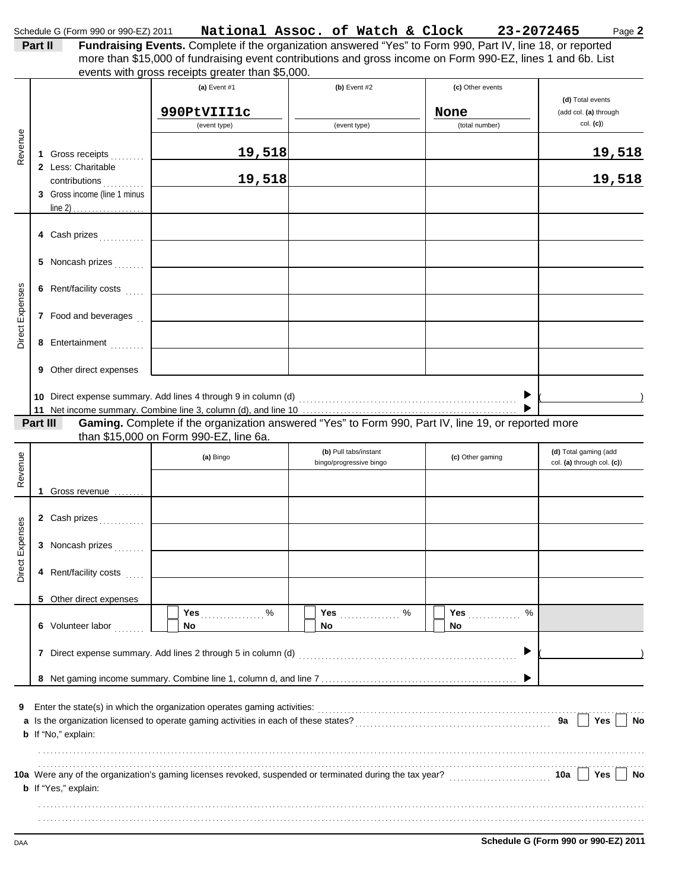|                 | Part II                                                             | Schedule G (Form 990 or 990-EZ) 2011    Mational Assoc. of Watch & Clock 23-2072465<br>Fundraising Events. Complete if the organization answered "Yes" to Form 990, Part IV, line 18, or reported<br>more than \$15,000 of fundraising event contributions and gross income on Form 990-EZ, lines 1 and 6b. List |                                                  |                               | Page 2                                              |
|-----------------|---------------------------------------------------------------------|------------------------------------------------------------------------------------------------------------------------------------------------------------------------------------------------------------------------------------------------------------------------------------------------------------------|--------------------------------------------------|-------------------------------|-----------------------------------------------------|
|                 |                                                                     | events with gross receipts greater than \$5,000.<br>(a) Event #1                                                                                                                                                                                                                                                 | $(b)$ Event #2                                   | (c) Other events              | (d) Total events                                    |
|                 |                                                                     | 990PtVIII1c<br>(event type)                                                                                                                                                                                                                                                                                      | (event type)                                     | None<br>(total number)        | (add col. (a) through<br>col. (c)                   |
| Revenue         | 1 Gross receipts                                                    | 19,518                                                                                                                                                                                                                                                                                                           |                                                  |                               | 19,518                                              |
|                 | 2 Less: Charitable<br>contributions<br>3 Gross income (line 1 minus | 19,518                                                                                                                                                                                                                                                                                                           |                                                  |                               | 19,518                                              |
|                 |                                                                     |                                                                                                                                                                                                                                                                                                                  |                                                  |                               |                                                     |
|                 | 4 Cash prizes                                                       |                                                                                                                                                                                                                                                                                                                  |                                                  |                               |                                                     |
|                 | 5 Noncash prizes                                                    |                                                                                                                                                                                                                                                                                                                  |                                                  |                               |                                                     |
|                 | 6 Rent/facility costs                                               |                                                                                                                                                                                                                                                                                                                  |                                                  |                               |                                                     |
| Direct Expenses | 7 Food and beverages                                                |                                                                                                                                                                                                                                                                                                                  |                                                  |                               |                                                     |
|                 | 8 Entertainment                                                     |                                                                                                                                                                                                                                                                                                                  |                                                  |                               |                                                     |
|                 | 9 Other direct expenses                                             |                                                                                                                                                                                                                                                                                                                  |                                                  |                               |                                                     |
|                 |                                                                     |                                                                                                                                                                                                                                                                                                                  |                                                  | ▶                             |                                                     |
|                 | Part III                                                            | Gaming. Complete if the organization answered "Yes" to Form 990, Part IV, line 19, or reported more<br>than \$15,000 on Form 990-EZ, line 6a.                                                                                                                                                                    |                                                  |                               |                                                     |
| Revenue         |                                                                     | (a) Bingo                                                                                                                                                                                                                                                                                                        | (b) Pull tabs/instant<br>bingo/progressive bingo | (c) Other gaming              | (d) Total gaming (add<br>col. (a) through col. (c)) |
|                 | 1 Gross revenue                                                     |                                                                                                                                                                                                                                                                                                                  |                                                  |                               |                                                     |
| 39              | 2 Cash prizes                                                       |                                                                                                                                                                                                                                                                                                                  |                                                  |                               |                                                     |
| Direct Expens   | 3 Noncash prizes                                                    |                                                                                                                                                                                                                                                                                                                  |                                                  |                               |                                                     |
|                 | 4 Rent/facility costs                                               |                                                                                                                                                                                                                                                                                                                  |                                                  |                               |                                                     |
|                 | 5 Other direct expenses                                             |                                                                                                                                                                                                                                                                                                                  |                                                  |                               |                                                     |
|                 | 6 Volunteer labor                                                   | Yes 9%<br>No                                                                                                                                                                                                                                                                                                     | No                                               | %<br>Yes $\frac{1}{2}$<br>No. |                                                     |
|                 |                                                                     |                                                                                                                                                                                                                                                                                                                  |                                                  | ▶                             |                                                     |
|                 |                                                                     |                                                                                                                                                                                                                                                                                                                  |                                                  |                               |                                                     |
| 9               | <b>b</b> If "No," explain:                                          | Enter the state(s) in which the organization operates gaming activities:<br>[[CONDITER STATE DESCLED DESCLED DESCLED DESCLED DESCLED DESCLED DESCLED DESCLED DESCLED DESCLED DESCLED DESCLED DESCLED DESCLED DESCLED DESCLED DES                                                                                 |                                                  |                               | Yes<br>No<br>9а                                     |
|                 |                                                                     |                                                                                                                                                                                                                                                                                                                  |                                                  |                               | Yes<br>No<br>10a                                    |
|                 | b If "Yes," explain:                                                |                                                                                                                                                                                                                                                                                                                  |                                                  |                               |                                                     |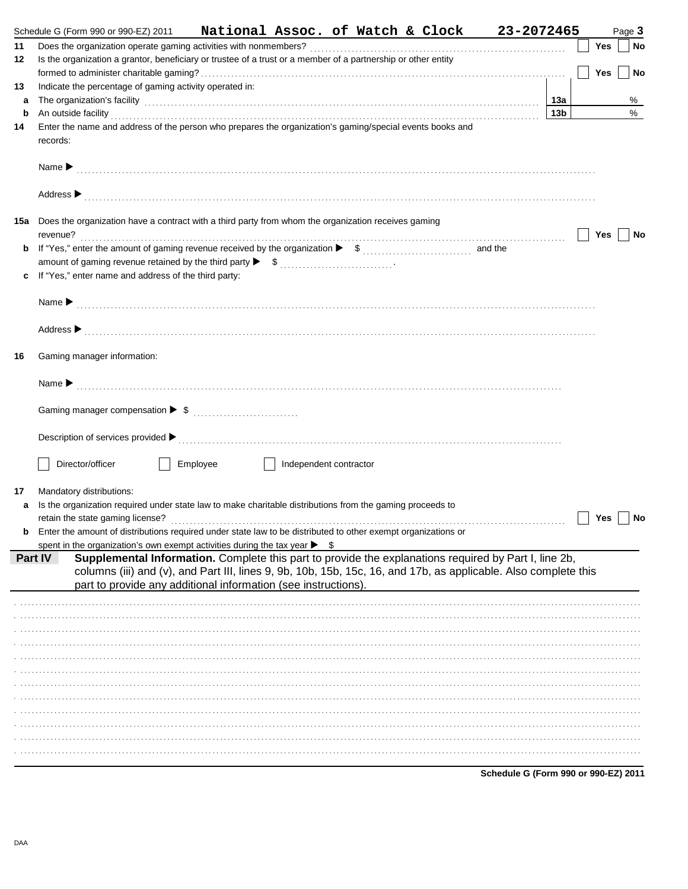|    | Schedule G (Form 990 or 990-EZ) 2011 National Assoc. of Watch & Clock 23-2072465                                                                                                                                                                                                                            |     |     | Page 3    |
|----|-------------------------------------------------------------------------------------------------------------------------------------------------------------------------------------------------------------------------------------------------------------------------------------------------------------|-----|-----|-----------|
| 11 |                                                                                                                                                                                                                                                                                                             |     | Yes | <b>No</b> |
| 12 | Is the organization a grantor, beneficiary or trustee of a trust or a member of a partnership or other entity                                                                                                                                                                                               |     |     |           |
|    |                                                                                                                                                                                                                                                                                                             |     | Yes | No        |
| 13 | Indicate the percentage of gaming activity operated in:                                                                                                                                                                                                                                                     |     |     |           |
| а  | The organization's facility encouragement and contact the organization's facility encouragement of the contact of the contact of the contact of the contact of the contact of the contact of the contact of the contact of the                                                                              | 13a |     | %         |
| b  | An outside facility <b>contract and the contract of the contract of the contract of the contract of the contract of the contract of the contract of the contract of the contract of the contract of the contract of the contract</b>                                                                        | 13b |     | %         |
| 14 | Enter the name and address of the person who prepares the organization's gaming/special events books and                                                                                                                                                                                                    |     |     |           |
|    | records:                                                                                                                                                                                                                                                                                                    |     |     |           |
|    |                                                                                                                                                                                                                                                                                                             |     |     |           |
|    |                                                                                                                                                                                                                                                                                                             |     |     |           |
|    |                                                                                                                                                                                                                                                                                                             |     |     |           |
|    |                                                                                                                                                                                                                                                                                                             |     |     |           |
|    | 15a Does the organization have a contract with a third party from whom the organization receives gaming                                                                                                                                                                                                     |     |     |           |
|    |                                                                                                                                                                                                                                                                                                             |     | Yes | No        |
| b  |                                                                                                                                                                                                                                                                                                             |     |     |           |
|    |                                                                                                                                                                                                                                                                                                             |     |     |           |
| c  | If "Yes," enter name and address of the third party:                                                                                                                                                                                                                                                        |     |     |           |
|    |                                                                                                                                                                                                                                                                                                             |     |     |           |
|    |                                                                                                                                                                                                                                                                                                             |     |     |           |
|    |                                                                                                                                                                                                                                                                                                             |     |     |           |
|    |                                                                                                                                                                                                                                                                                                             |     |     |           |
|    |                                                                                                                                                                                                                                                                                                             |     |     |           |
| 16 | Gaming manager information:                                                                                                                                                                                                                                                                                 |     |     |           |
|    |                                                                                                                                                                                                                                                                                                             |     |     |           |
|    | Name $\blacktriangleright$ [1] $\ldots$ [1] $\ldots$ [1] $\ldots$ [1] $\ldots$ [1] $\ldots$ [1] $\ldots$ [1] $\ldots$ [1] $\ldots$ [1] $\ldots$ [1] $\ldots$ [1] $\ldots$ [1] $\ldots$ [1] $\ldots$ [1] $\ldots$ [1] $\ldots$ [1] $\ldots$ [1] $\ldots$ [1] $\ldots$ [1] $\ldots$ [1] $\ldots$ [1] $\ldots$ |     |     |           |
|    |                                                                                                                                                                                                                                                                                                             |     |     |           |
|    |                                                                                                                                                                                                                                                                                                             |     |     |           |
|    |                                                                                                                                                                                                                                                                                                             |     |     |           |
|    |                                                                                                                                                                                                                                                                                                             |     |     |           |
|    | Director/officer<br>Employee<br>Independent contractor                                                                                                                                                                                                                                                      |     |     |           |
|    |                                                                                                                                                                                                                                                                                                             |     |     |           |
| 17 | Mandatory distributions:                                                                                                                                                                                                                                                                                    |     |     |           |
| a  | Is the organization required under state law to make charitable distributions from the gaming proceeds to                                                                                                                                                                                                   |     |     |           |
|    |                                                                                                                                                                                                                                                                                                             |     | Yes | No        |
| b  | Enter the amount of distributions required under state law to be distributed to other exempt organizations or                                                                                                                                                                                               |     |     |           |
|    | spent in the organization's own exempt activities during the tax year $\blacktriangleright$<br>- \$                                                                                                                                                                                                         |     |     |           |
|    | Supplemental Information. Complete this part to provide the explanations required by Part I, line 2b,<br><b>Part IV</b>                                                                                                                                                                                     |     |     |           |
|    | columns (iii) and (v), and Part III, lines 9, 9b, 10b, 15b, 15c, 16, and 17b, as applicable. Also complete this<br>part to provide any additional information (see instructions).                                                                                                                           |     |     |           |
|    |                                                                                                                                                                                                                                                                                                             |     |     |           |
|    |                                                                                                                                                                                                                                                                                                             |     |     |           |
|    |                                                                                                                                                                                                                                                                                                             |     |     |           |
|    |                                                                                                                                                                                                                                                                                                             |     |     |           |
|    |                                                                                                                                                                                                                                                                                                             |     |     |           |
|    |                                                                                                                                                                                                                                                                                                             |     |     |           |
|    |                                                                                                                                                                                                                                                                                                             |     |     |           |
|    |                                                                                                                                                                                                                                                                                                             |     |     |           |
|    |                                                                                                                                                                                                                                                                                                             |     |     |           |
|    |                                                                                                                                                                                                                                                                                                             |     |     |           |
|    |                                                                                                                                                                                                                                                                                                             |     |     |           |
|    |                                                                                                                                                                                                                                                                                                             |     |     |           |
|    |                                                                                                                                                                                                                                                                                                             |     |     |           |
|    | Schedule G (Form 990 or 990-EZ) 2011                                                                                                                                                                                                                                                                        |     |     |           |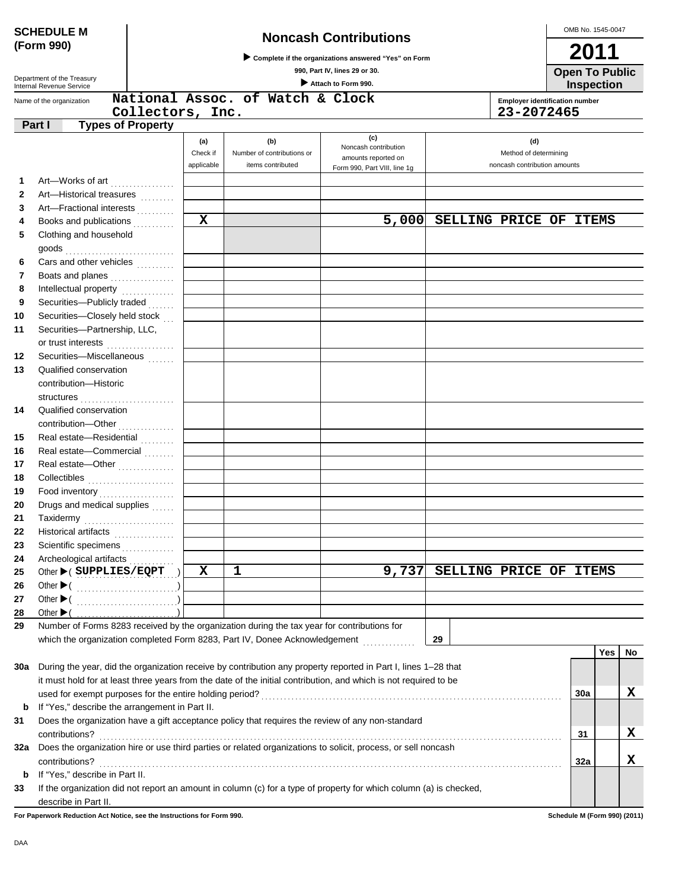| (Form 990)<br>2011<br>Complete if the organizations answered "Yes" on Form<br>990, Part IV, lines 29 or 30.<br><b>Open To Public</b><br>Department of the Treasury<br>Attach to Form 990.<br>Inspection<br>Internal Revenue Service<br>National Assoc. of Watch & Clock<br><b>Employer identification number</b><br>Name of the organization<br>Collectors, Inc.<br>23-2072465<br><b>Types of Property</b><br>Part I<br>(c)<br>(b)<br>(d)<br>(a)<br>Noncash contribution<br>Check if<br>Method of determining<br>Number of contributions or<br>amounts reported on<br>applicable<br>items contributed<br>noncash contribution amounts<br>Form 990, Part VIII, line 1g<br>Art-Works of art<br>1.<br>$\mathbf{2}$<br>Art-Historical treasures<br>Art-Fractional interests<br>3<br>$\mathbf x$<br>5,000<br>SELLING PRICE OF ITEMS<br>Books and publications<br>4<br>Clothing and household<br>5<br>Cars and other vehicles<br>6<br>7<br>Boats and planes<br>8<br>Intellectual property<br>Securities-Publicly traded<br>9<br>Securities-Closely held stock<br>10<br>Securities-Partnership, LLC,<br>11<br>or trust interests<br>Securities-Miscellaneous<br>12<br>13<br>Qualified conservation<br>contribution-Historic<br>14<br>Qualified conservation<br>contribution-Other<br><br>Real estate-Residential<br>15<br>Real estate-Commercial<br>16<br>Real estate-Other<br>17<br>18<br>Food inventory<br>19<br>Drugs and medical supplies<br>20<br>21<br>Taxidermy<br>22<br>Historical artifacts<br>.<br>Scientific specimens<br>23 | <b>SCHEDULE M</b>            |  |  |  |  |  | OMB No. 1545-0047 |  |  |  |  |    |
|----------------------------------------------------------------------------------------------------------------------------------------------------------------------------------------------------------------------------------------------------------------------------------------------------------------------------------------------------------------------------------------------------------------------------------------------------------------------------------------------------------------------------------------------------------------------------------------------------------------------------------------------------------------------------------------------------------------------------------------------------------------------------------------------------------------------------------------------------------------------------------------------------------------------------------------------------------------------------------------------------------------------------------------------------------------------------------------------------------------------------------------------------------------------------------------------------------------------------------------------------------------------------------------------------------------------------------------------------------------------------------------------------------------------------------------------------------------------------------------------------------------------------------|------------------------------|--|--|--|--|--|-------------------|--|--|--|--|----|
|                                                                                                                                                                                                                                                                                                                                                                                                                                                                                                                                                                                                                                                                                                                                                                                                                                                                                                                                                                                                                                                                                                                                                                                                                                                                                                                                                                                                                                                                                                                                  | <b>Noncash Contributions</b> |  |  |  |  |  |                   |  |  |  |  |    |
|                                                                                                                                                                                                                                                                                                                                                                                                                                                                                                                                                                                                                                                                                                                                                                                                                                                                                                                                                                                                                                                                                                                                                                                                                                                                                                                                                                                                                                                                                                                                  |                              |  |  |  |  |  |                   |  |  |  |  |    |
|                                                                                                                                                                                                                                                                                                                                                                                                                                                                                                                                                                                                                                                                                                                                                                                                                                                                                                                                                                                                                                                                                                                                                                                                                                                                                                                                                                                                                                                                                                                                  |                              |  |  |  |  |  |                   |  |  |  |  |    |
|                                                                                                                                                                                                                                                                                                                                                                                                                                                                                                                                                                                                                                                                                                                                                                                                                                                                                                                                                                                                                                                                                                                                                                                                                                                                                                                                                                                                                                                                                                                                  |                              |  |  |  |  |  |                   |  |  |  |  |    |
|                                                                                                                                                                                                                                                                                                                                                                                                                                                                                                                                                                                                                                                                                                                                                                                                                                                                                                                                                                                                                                                                                                                                                                                                                                                                                                                                                                                                                                                                                                                                  |                              |  |  |  |  |  |                   |  |  |  |  |    |
|                                                                                                                                                                                                                                                                                                                                                                                                                                                                                                                                                                                                                                                                                                                                                                                                                                                                                                                                                                                                                                                                                                                                                                                                                                                                                                                                                                                                                                                                                                                                  |                              |  |  |  |  |  |                   |  |  |  |  |    |
|                                                                                                                                                                                                                                                                                                                                                                                                                                                                                                                                                                                                                                                                                                                                                                                                                                                                                                                                                                                                                                                                                                                                                                                                                                                                                                                                                                                                                                                                                                                                  |                              |  |  |  |  |  |                   |  |  |  |  |    |
|                                                                                                                                                                                                                                                                                                                                                                                                                                                                                                                                                                                                                                                                                                                                                                                                                                                                                                                                                                                                                                                                                                                                                                                                                                                                                                                                                                                                                                                                                                                                  |                              |  |  |  |  |  |                   |  |  |  |  |    |
|                                                                                                                                                                                                                                                                                                                                                                                                                                                                                                                                                                                                                                                                                                                                                                                                                                                                                                                                                                                                                                                                                                                                                                                                                                                                                                                                                                                                                                                                                                                                  |                              |  |  |  |  |  |                   |  |  |  |  |    |
|                                                                                                                                                                                                                                                                                                                                                                                                                                                                                                                                                                                                                                                                                                                                                                                                                                                                                                                                                                                                                                                                                                                                                                                                                                                                                                                                                                                                                                                                                                                                  |                              |  |  |  |  |  |                   |  |  |  |  |    |
|                                                                                                                                                                                                                                                                                                                                                                                                                                                                                                                                                                                                                                                                                                                                                                                                                                                                                                                                                                                                                                                                                                                                                                                                                                                                                                                                                                                                                                                                                                                                  |                              |  |  |  |  |  |                   |  |  |  |  |    |
|                                                                                                                                                                                                                                                                                                                                                                                                                                                                                                                                                                                                                                                                                                                                                                                                                                                                                                                                                                                                                                                                                                                                                                                                                                                                                                                                                                                                                                                                                                                                  |                              |  |  |  |  |  |                   |  |  |  |  |    |
|                                                                                                                                                                                                                                                                                                                                                                                                                                                                                                                                                                                                                                                                                                                                                                                                                                                                                                                                                                                                                                                                                                                                                                                                                                                                                                                                                                                                                                                                                                                                  |                              |  |  |  |  |  |                   |  |  |  |  |    |
|                                                                                                                                                                                                                                                                                                                                                                                                                                                                                                                                                                                                                                                                                                                                                                                                                                                                                                                                                                                                                                                                                                                                                                                                                                                                                                                                                                                                                                                                                                                                  |                              |  |  |  |  |  |                   |  |  |  |  |    |
|                                                                                                                                                                                                                                                                                                                                                                                                                                                                                                                                                                                                                                                                                                                                                                                                                                                                                                                                                                                                                                                                                                                                                                                                                                                                                                                                                                                                                                                                                                                                  |                              |  |  |  |  |  |                   |  |  |  |  |    |
|                                                                                                                                                                                                                                                                                                                                                                                                                                                                                                                                                                                                                                                                                                                                                                                                                                                                                                                                                                                                                                                                                                                                                                                                                                                                                                                                                                                                                                                                                                                                  |                              |  |  |  |  |  |                   |  |  |  |  |    |
|                                                                                                                                                                                                                                                                                                                                                                                                                                                                                                                                                                                                                                                                                                                                                                                                                                                                                                                                                                                                                                                                                                                                                                                                                                                                                                                                                                                                                                                                                                                                  |                              |  |  |  |  |  |                   |  |  |  |  |    |
|                                                                                                                                                                                                                                                                                                                                                                                                                                                                                                                                                                                                                                                                                                                                                                                                                                                                                                                                                                                                                                                                                                                                                                                                                                                                                                                                                                                                                                                                                                                                  |                              |  |  |  |  |  |                   |  |  |  |  |    |
|                                                                                                                                                                                                                                                                                                                                                                                                                                                                                                                                                                                                                                                                                                                                                                                                                                                                                                                                                                                                                                                                                                                                                                                                                                                                                                                                                                                                                                                                                                                                  |                              |  |  |  |  |  |                   |  |  |  |  |    |
|                                                                                                                                                                                                                                                                                                                                                                                                                                                                                                                                                                                                                                                                                                                                                                                                                                                                                                                                                                                                                                                                                                                                                                                                                                                                                                                                                                                                                                                                                                                                  |                              |  |  |  |  |  |                   |  |  |  |  |    |
|                                                                                                                                                                                                                                                                                                                                                                                                                                                                                                                                                                                                                                                                                                                                                                                                                                                                                                                                                                                                                                                                                                                                                                                                                                                                                                                                                                                                                                                                                                                                  |                              |  |  |  |  |  |                   |  |  |  |  |    |
|                                                                                                                                                                                                                                                                                                                                                                                                                                                                                                                                                                                                                                                                                                                                                                                                                                                                                                                                                                                                                                                                                                                                                                                                                                                                                                                                                                                                                                                                                                                                  |                              |  |  |  |  |  |                   |  |  |  |  |    |
|                                                                                                                                                                                                                                                                                                                                                                                                                                                                                                                                                                                                                                                                                                                                                                                                                                                                                                                                                                                                                                                                                                                                                                                                                                                                                                                                                                                                                                                                                                                                  |                              |  |  |  |  |  |                   |  |  |  |  |    |
|                                                                                                                                                                                                                                                                                                                                                                                                                                                                                                                                                                                                                                                                                                                                                                                                                                                                                                                                                                                                                                                                                                                                                                                                                                                                                                                                                                                                                                                                                                                                  |                              |  |  |  |  |  |                   |  |  |  |  |    |
|                                                                                                                                                                                                                                                                                                                                                                                                                                                                                                                                                                                                                                                                                                                                                                                                                                                                                                                                                                                                                                                                                                                                                                                                                                                                                                                                                                                                                                                                                                                                  |                              |  |  |  |  |  |                   |  |  |  |  |    |
|                                                                                                                                                                                                                                                                                                                                                                                                                                                                                                                                                                                                                                                                                                                                                                                                                                                                                                                                                                                                                                                                                                                                                                                                                                                                                                                                                                                                                                                                                                                                  |                              |  |  |  |  |  |                   |  |  |  |  |    |
|                                                                                                                                                                                                                                                                                                                                                                                                                                                                                                                                                                                                                                                                                                                                                                                                                                                                                                                                                                                                                                                                                                                                                                                                                                                                                                                                                                                                                                                                                                                                  |                              |  |  |  |  |  |                   |  |  |  |  |    |
|                                                                                                                                                                                                                                                                                                                                                                                                                                                                                                                                                                                                                                                                                                                                                                                                                                                                                                                                                                                                                                                                                                                                                                                                                                                                                                                                                                                                                                                                                                                                  |                              |  |  |  |  |  |                   |  |  |  |  |    |
|                                                                                                                                                                                                                                                                                                                                                                                                                                                                                                                                                                                                                                                                                                                                                                                                                                                                                                                                                                                                                                                                                                                                                                                                                                                                                                                                                                                                                                                                                                                                  |                              |  |  |  |  |  |                   |  |  |  |  |    |
|                                                                                                                                                                                                                                                                                                                                                                                                                                                                                                                                                                                                                                                                                                                                                                                                                                                                                                                                                                                                                                                                                                                                                                                                                                                                                                                                                                                                                                                                                                                                  |                              |  |  |  |  |  |                   |  |  |  |  |    |
|                                                                                                                                                                                                                                                                                                                                                                                                                                                                                                                                                                                                                                                                                                                                                                                                                                                                                                                                                                                                                                                                                                                                                                                                                                                                                                                                                                                                                                                                                                                                  |                              |  |  |  |  |  |                   |  |  |  |  |    |
|                                                                                                                                                                                                                                                                                                                                                                                                                                                                                                                                                                                                                                                                                                                                                                                                                                                                                                                                                                                                                                                                                                                                                                                                                                                                                                                                                                                                                                                                                                                                  |                              |  |  |  |  |  |                   |  |  |  |  |    |
|                                                                                                                                                                                                                                                                                                                                                                                                                                                                                                                                                                                                                                                                                                                                                                                                                                                                                                                                                                                                                                                                                                                                                                                                                                                                                                                                                                                                                                                                                                                                  |                              |  |  |  |  |  |                   |  |  |  |  |    |
|                                                                                                                                                                                                                                                                                                                                                                                                                                                                                                                                                                                                                                                                                                                                                                                                                                                                                                                                                                                                                                                                                                                                                                                                                                                                                                                                                                                                                                                                                                                                  |                              |  |  |  |  |  |                   |  |  |  |  |    |
|                                                                                                                                                                                                                                                                                                                                                                                                                                                                                                                                                                                                                                                                                                                                                                                                                                                                                                                                                                                                                                                                                                                                                                                                                                                                                                                                                                                                                                                                                                                                  |                              |  |  |  |  |  |                   |  |  |  |  |    |
|                                                                                                                                                                                                                                                                                                                                                                                                                                                                                                                                                                                                                                                                                                                                                                                                                                                                                                                                                                                                                                                                                                                                                                                                                                                                                                                                                                                                                                                                                                                                  |                              |  |  |  |  |  |                   |  |  |  |  |    |
| Archeological artifacts<br>24<br>$\mathbf 1$<br>9,737<br>SELLING PRICE OF ITEMS<br>X<br>Other $\blacktriangleright$ ( SUPPLIES / EQPT<br>25                                                                                                                                                                                                                                                                                                                                                                                                                                                                                                                                                                                                                                                                                                                                                                                                                                                                                                                                                                                                                                                                                                                                                                                                                                                                                                                                                                                      |                              |  |  |  |  |  |                   |  |  |  |  |    |
| 26                                                                                                                                                                                                                                                                                                                                                                                                                                                                                                                                                                                                                                                                                                                                                                                                                                                                                                                                                                                                                                                                                                                                                                                                                                                                                                                                                                                                                                                                                                                               |                              |  |  |  |  |  |                   |  |  |  |  |    |
| 27                                                                                                                                                                                                                                                                                                                                                                                                                                                                                                                                                                                                                                                                                                                                                                                                                                                                                                                                                                                                                                                                                                                                                                                                                                                                                                                                                                                                                                                                                                                               |                              |  |  |  |  |  |                   |  |  |  |  |    |
| Other $\blacktriangleright$ (<br>28                                                                                                                                                                                                                                                                                                                                                                                                                                                                                                                                                                                                                                                                                                                                                                                                                                                                                                                                                                                                                                                                                                                                                                                                                                                                                                                                                                                                                                                                                              |                              |  |  |  |  |  |                   |  |  |  |  |    |
| Number of Forms 8283 received by the organization during the tax year for contributions for<br>29                                                                                                                                                                                                                                                                                                                                                                                                                                                                                                                                                                                                                                                                                                                                                                                                                                                                                                                                                                                                                                                                                                                                                                                                                                                                                                                                                                                                                                |                              |  |  |  |  |  |                   |  |  |  |  |    |
| which the organization completed Form 8283, Part IV, Donee Acknowledgement<br>29                                                                                                                                                                                                                                                                                                                                                                                                                                                                                                                                                                                                                                                                                                                                                                                                                                                                                                                                                                                                                                                                                                                                                                                                                                                                                                                                                                                                                                                 |                              |  |  |  |  |  |                   |  |  |  |  |    |
| Yes                                                                                                                                                                                                                                                                                                                                                                                                                                                                                                                                                                                                                                                                                                                                                                                                                                                                                                                                                                                                                                                                                                                                                                                                                                                                                                                                                                                                                                                                                                                              |                              |  |  |  |  |  |                   |  |  |  |  | No |
| During the year, did the organization receive by contribution any property reported in Part I, lines 1-28 that<br>30a                                                                                                                                                                                                                                                                                                                                                                                                                                                                                                                                                                                                                                                                                                                                                                                                                                                                                                                                                                                                                                                                                                                                                                                                                                                                                                                                                                                                            |                              |  |  |  |  |  |                   |  |  |  |  |    |
| it must hold for at least three years from the date of the initial contribution, and which is not required to be                                                                                                                                                                                                                                                                                                                                                                                                                                                                                                                                                                                                                                                                                                                                                                                                                                                                                                                                                                                                                                                                                                                                                                                                                                                                                                                                                                                                                 |                              |  |  |  |  |  |                   |  |  |  |  |    |
| <b>30a</b>                                                                                                                                                                                                                                                                                                                                                                                                                                                                                                                                                                                                                                                                                                                                                                                                                                                                                                                                                                                                                                                                                                                                                                                                                                                                                                                                                                                                                                                                                                                       |                              |  |  |  |  |  |                   |  |  |  |  | X  |
| If "Yes," describe the arrangement in Part II.<br>b                                                                                                                                                                                                                                                                                                                                                                                                                                                                                                                                                                                                                                                                                                                                                                                                                                                                                                                                                                                                                                                                                                                                                                                                                                                                                                                                                                                                                                                                              |                              |  |  |  |  |  |                   |  |  |  |  |    |
| Does the organization have a gift acceptance policy that requires the review of any non-standard<br>31                                                                                                                                                                                                                                                                                                                                                                                                                                                                                                                                                                                                                                                                                                                                                                                                                                                                                                                                                                                                                                                                                                                                                                                                                                                                                                                                                                                                                           |                              |  |  |  |  |  |                   |  |  |  |  |    |
| 31                                                                                                                                                                                                                                                                                                                                                                                                                                                                                                                                                                                                                                                                                                                                                                                                                                                                                                                                                                                                                                                                                                                                                                                                                                                                                                                                                                                                                                                                                                                               |                              |  |  |  |  |  |                   |  |  |  |  | X  |
| Does the organization hire or use third parties or related organizations to solicit, process, or sell noncash<br>32a                                                                                                                                                                                                                                                                                                                                                                                                                                                                                                                                                                                                                                                                                                                                                                                                                                                                                                                                                                                                                                                                                                                                                                                                                                                                                                                                                                                                             |                              |  |  |  |  |  |                   |  |  |  |  |    |
| contributions?<br>32a                                                                                                                                                                                                                                                                                                                                                                                                                                                                                                                                                                                                                                                                                                                                                                                                                                                                                                                                                                                                                                                                                                                                                                                                                                                                                                                                                                                                                                                                                                            |                              |  |  |  |  |  |                   |  |  |  |  | x  |
| If "Yes," describe in Part II.<br>b                                                                                                                                                                                                                                                                                                                                                                                                                                                                                                                                                                                                                                                                                                                                                                                                                                                                                                                                                                                                                                                                                                                                                                                                                                                                                                                                                                                                                                                                                              |                              |  |  |  |  |  |                   |  |  |  |  |    |
| If the organization did not report an amount in column (c) for a type of property for which column (a) is checked,<br>33                                                                                                                                                                                                                                                                                                                                                                                                                                                                                                                                                                                                                                                                                                                                                                                                                                                                                                                                                                                                                                                                                                                                                                                                                                                                                                                                                                                                         |                              |  |  |  |  |  |                   |  |  |  |  |    |
| describe in Part II.<br>For Paperwork Reduction Act Notice, see the Instructions for Form 990.<br>Schedule M (Form 990) (2011)                                                                                                                                                                                                                                                                                                                                                                                                                                                                                                                                                                                                                                                                                                                                                                                                                                                                                                                                                                                                                                                                                                                                                                                                                                                                                                                                                                                                   |                              |  |  |  |  |  |                   |  |  |  |  |    |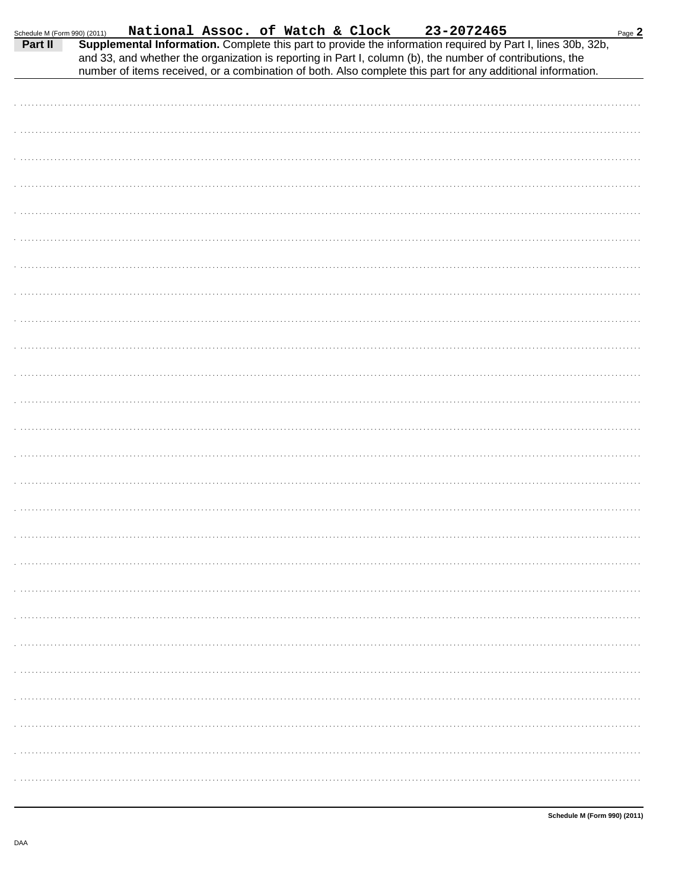| Schedule M (Form 990) (2011) |  |  |  |  |                                                                                                           |                                                                                                                                                                                                                                                                                                        | Page $2$ |
|------------------------------|--|--|--|--|-----------------------------------------------------------------------------------------------------------|--------------------------------------------------------------------------------------------------------------------------------------------------------------------------------------------------------------------------------------------------------------------------------------------------------|----------|
| Part II                      |  |  |  |  | and 33, and whether the organization is reporting in Part I, column (b), the number of contributions, the | 90) (2011) <b>National Assoc. of Watch &amp; Clock</b> 23-2072465<br><b>Supplemental Information.</b> Complete this part to provide the information required by Part I, lines 30b, 32b,<br>number of items received, or a combination of both. Also complete this part for any additional information. |          |
|                              |  |  |  |  |                                                                                                           |                                                                                                                                                                                                                                                                                                        |          |
|                              |  |  |  |  |                                                                                                           |                                                                                                                                                                                                                                                                                                        |          |
|                              |  |  |  |  |                                                                                                           |                                                                                                                                                                                                                                                                                                        |          |
|                              |  |  |  |  |                                                                                                           |                                                                                                                                                                                                                                                                                                        |          |
|                              |  |  |  |  |                                                                                                           |                                                                                                                                                                                                                                                                                                        |          |
|                              |  |  |  |  |                                                                                                           |                                                                                                                                                                                                                                                                                                        |          |
|                              |  |  |  |  |                                                                                                           |                                                                                                                                                                                                                                                                                                        |          |
|                              |  |  |  |  |                                                                                                           |                                                                                                                                                                                                                                                                                                        |          |
|                              |  |  |  |  |                                                                                                           |                                                                                                                                                                                                                                                                                                        |          |
|                              |  |  |  |  |                                                                                                           |                                                                                                                                                                                                                                                                                                        |          |
|                              |  |  |  |  |                                                                                                           |                                                                                                                                                                                                                                                                                                        |          |
|                              |  |  |  |  |                                                                                                           |                                                                                                                                                                                                                                                                                                        |          |
|                              |  |  |  |  |                                                                                                           |                                                                                                                                                                                                                                                                                                        |          |
|                              |  |  |  |  |                                                                                                           |                                                                                                                                                                                                                                                                                                        |          |
|                              |  |  |  |  |                                                                                                           |                                                                                                                                                                                                                                                                                                        |          |
|                              |  |  |  |  |                                                                                                           |                                                                                                                                                                                                                                                                                                        |          |
|                              |  |  |  |  |                                                                                                           |                                                                                                                                                                                                                                                                                                        |          |
|                              |  |  |  |  |                                                                                                           |                                                                                                                                                                                                                                                                                                        |          |
|                              |  |  |  |  |                                                                                                           |                                                                                                                                                                                                                                                                                                        |          |
|                              |  |  |  |  |                                                                                                           |                                                                                                                                                                                                                                                                                                        |          |
|                              |  |  |  |  |                                                                                                           |                                                                                                                                                                                                                                                                                                        |          |
|                              |  |  |  |  |                                                                                                           |                                                                                                                                                                                                                                                                                                        |          |
|                              |  |  |  |  |                                                                                                           |                                                                                                                                                                                                                                                                                                        |          |
|                              |  |  |  |  |                                                                                                           |                                                                                                                                                                                                                                                                                                        |          |
|                              |  |  |  |  |                                                                                                           |                                                                                                                                                                                                                                                                                                        |          |
|                              |  |  |  |  |                                                                                                           |                                                                                                                                                                                                                                                                                                        |          |
|                              |  |  |  |  |                                                                                                           |                                                                                                                                                                                                                                                                                                        |          |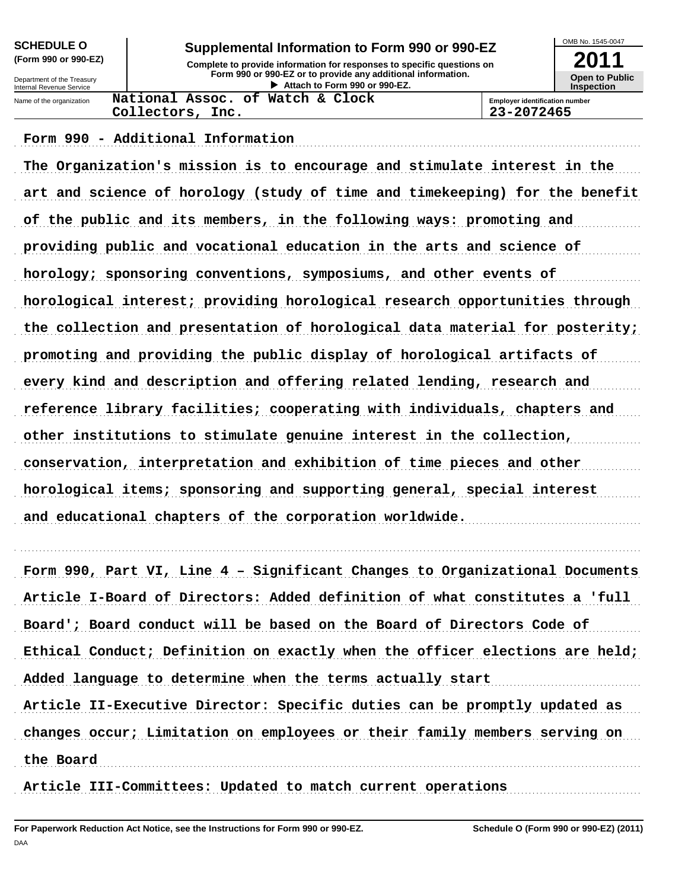| <b>SCHEDULE O</b>                                      | Supplemental Information to Form 990 or 990-EZ                                                | OMB No. 1545-0047                          |  |
|--------------------------------------------------------|-----------------------------------------------------------------------------------------------|--------------------------------------------|--|
| (Form 990 or 990-EZ)                                   | Complete to provide information for responses to specific questions on                        | 2011                                       |  |
| Department of the Treasury<br>Internal Revenue Service | Form 990 or 990-EZ or to provide any additional information.<br>Attach to Form 990 or 990-EZ. | <b>Open to Public</b><br><b>Inspection</b> |  |
| Name of the organization                               | National Assoc. of Watch & Clock                                                              | <b>Employer identification number</b>      |  |
|                                                        | 23-2072465<br>Collectors, Inc.                                                                |                                            |  |

### Form 990 - Additional Information

The Organization's mission is to encourage and stimulate interest in the art and science of horology (study of time and timekeeping) for the benefit of the public and its members, in the following ways: promoting and providing public and vocational education in the arts and science of horology; sponsoring conventions, symposiums, and other events of horological interest; providing horological research opportunities through the collection and presentation of horological data material for posterity; promoting and providing the public display of horological artifacts of every kind and description and offering related lending, research and reference library facilities; cooperating with individuals, chapters and other institutions to stimulate genuine interest in the collection, conservation, interpretation and exhibition of time pieces and other horological items; sponsoring and supporting general, special interest and educational chapters of the corporation worldwide.

Form 990, Part VI, Line 4 - Significant Changes to Organizational Documents Article I-Board of Directors: Added definition of what constitutes a 'full Board'; Board conduct will be based on the Board of Directors Code of Ethical Conduct; Definition on exactly when the officer elections are held; Added language to determine when the terms actually start Article II-Executive Director: Specific duties can be promptly updated as changes occur; Limitation on employees or their family members serving on the Board

Article III-Committees: Updated to match current operations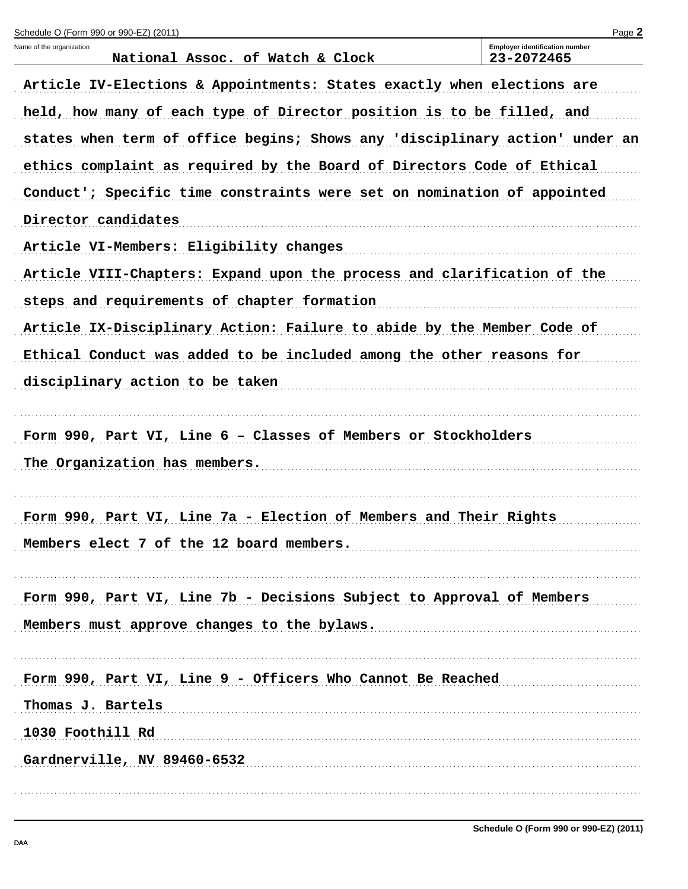| Schedule O (Form 990 or 990-EZ) (2011)                                      | Page 2                                              |  |  |  |  |  |  |
|-----------------------------------------------------------------------------|-----------------------------------------------------|--|--|--|--|--|--|
| Name of the organization<br>National Assoc. of Watch & Clock                | <b>Employer identification number</b><br>23-2072465 |  |  |  |  |  |  |
| Article IV-Elections & Appointments: States exactly when elections are      |                                                     |  |  |  |  |  |  |
| held, how many of each type of Director position is to be filled, and       |                                                     |  |  |  |  |  |  |
| states when term of office begins; Shows any 'disciplinary action' under an |                                                     |  |  |  |  |  |  |
| ethics complaint as required by the Board of Directors Code of Ethical      |                                                     |  |  |  |  |  |  |
| Conduct'; Specific time constraints were set on nomination of appointed     |                                                     |  |  |  |  |  |  |
| Director candidates                                                         |                                                     |  |  |  |  |  |  |
| Article VI-Members: Eligibility changes                                     |                                                     |  |  |  |  |  |  |
| Article VIII-Chapters: Expand upon the process and clarification of the     |                                                     |  |  |  |  |  |  |
| steps and requirements of chapter formation                                 |                                                     |  |  |  |  |  |  |
| Article IX-Disciplinary Action: Failure to abide by the Member Code of      |                                                     |  |  |  |  |  |  |
| Ethical Conduct was added to be included among the other reasons for        |                                                     |  |  |  |  |  |  |
| disciplinary action to be taken                                             |                                                     |  |  |  |  |  |  |
|                                                                             |                                                     |  |  |  |  |  |  |
| Form 990, Part VI, Line 6 - Classes of Members or Stockholders              |                                                     |  |  |  |  |  |  |
| The Organization has members.                                               |                                                     |  |  |  |  |  |  |
| Form 990, Part VI, Line 7a - Election of Members and Their Rights           |                                                     |  |  |  |  |  |  |
| Members elect 7 of the 12 board members.                                    |                                                     |  |  |  |  |  |  |
|                                                                             |                                                     |  |  |  |  |  |  |
| Form 990, Part VI, Line 7b - Decisions Subject to Approval of Members       |                                                     |  |  |  |  |  |  |
| Members must approve changes to the bylaws.                                 |                                                     |  |  |  |  |  |  |
|                                                                             |                                                     |  |  |  |  |  |  |
| Form 990, Part VI, Line 9 - Officers Who Cannot Be Reached                  |                                                     |  |  |  |  |  |  |
| Thomas J. Bartels                                                           |                                                     |  |  |  |  |  |  |
| 1030 Foothill Rd                                                            |                                                     |  |  |  |  |  |  |
| Gardnerville, NV 89460-6532                                                 |                                                     |  |  |  |  |  |  |
|                                                                             |                                                     |  |  |  |  |  |  |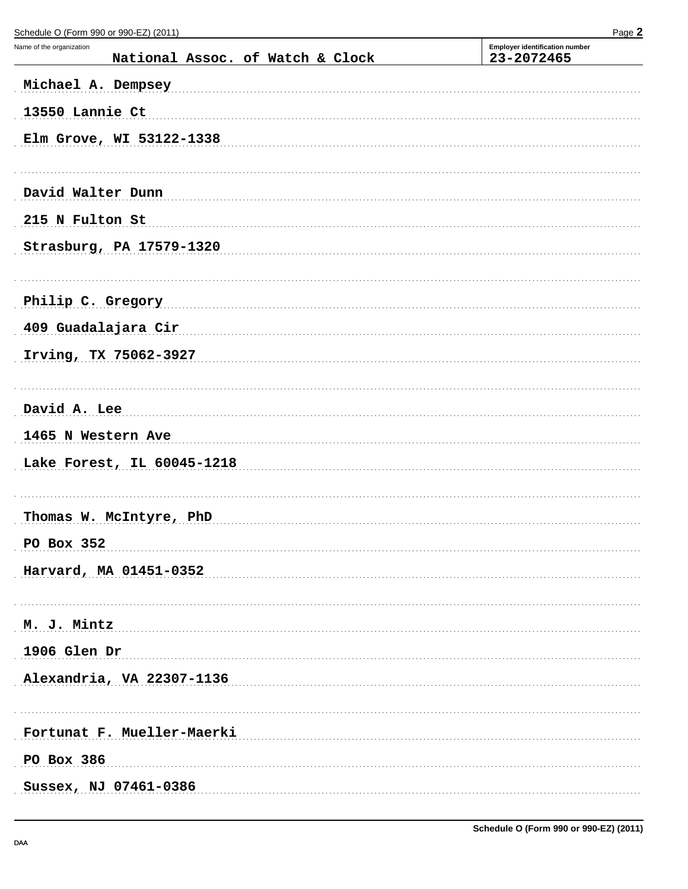| $\frac{1}{2}$ and $\frac{1}{2}$ and $\frac{1}{2}$ and $\frac{1}{2}$ and $\frac{1}{2}$ and $\frac{1}{2}$ and $\frac{1}{2}$ and $\frac{1}{2}$ and $\frac{1}{2}$ and $\frac{1}{2}$ and $\frac{1}{2}$ and $\frac{1}{2}$ and $\frac{1}{2}$ and $\frac{1}{2}$ and $\frac{1}{2}$ and $\frac{1}{2}$ a<br>Name of the organization<br>National Assoc. of Watch & Clock | . ugu =<br><b>Employer identification number</b><br>23-2072465 |
|---------------------------------------------------------------------------------------------------------------------------------------------------------------------------------------------------------------------------------------------------------------------------------------------------------------------------------------------------------------|----------------------------------------------------------------|
| Michael A. Dempsey                                                                                                                                                                                                                                                                                                                                            |                                                                |
| 13550 Lannie Ct                                                                                                                                                                                                                                                                                                                                               |                                                                |
| Elm Grove, WI 53122-1338                                                                                                                                                                                                                                                                                                                                      |                                                                |
|                                                                                                                                                                                                                                                                                                                                                               |                                                                |
| David Walter Dunn                                                                                                                                                                                                                                                                                                                                             |                                                                |
| 215 N Fulton St                                                                                                                                                                                                                                                                                                                                               |                                                                |
| Strasburg, PA 17579-1320                                                                                                                                                                                                                                                                                                                                      |                                                                |
| Philip C. Gregory                                                                                                                                                                                                                                                                                                                                             |                                                                |
| 409 Guadalajara Cir                                                                                                                                                                                                                                                                                                                                           |                                                                |
| Irving, TX 75062-3927                                                                                                                                                                                                                                                                                                                                         |                                                                |
| David A. Lee                                                                                                                                                                                                                                                                                                                                                  |                                                                |
| 1465 N Western Ave                                                                                                                                                                                                                                                                                                                                            |                                                                |
| Lake Forest, IL 60045-1218                                                                                                                                                                                                                                                                                                                                    |                                                                |
| Thomas W. McIntyre, PhD                                                                                                                                                                                                                                                                                                                                       |                                                                |
| PO Box 352                                                                                                                                                                                                                                                                                                                                                    |                                                                |
| Harvard, MA 01451-0352                                                                                                                                                                                                                                                                                                                                        |                                                                |
|                                                                                                                                                                                                                                                                                                                                                               |                                                                |
| M. J. Mintz                                                                                                                                                                                                                                                                                                                                                   |                                                                |
| 1906 Glen Dr                                                                                                                                                                                                                                                                                                                                                  |                                                                |
| Alexandria, VA 22307-1136                                                                                                                                                                                                                                                                                                                                     |                                                                |
| Fortunat F. Mueller-Maerki                                                                                                                                                                                                                                                                                                                                    |                                                                |
| PO Box 386                                                                                                                                                                                                                                                                                                                                                    |                                                                |
| Sussex, NJ 07461-0386                                                                                                                                                                                                                                                                                                                                         |                                                                |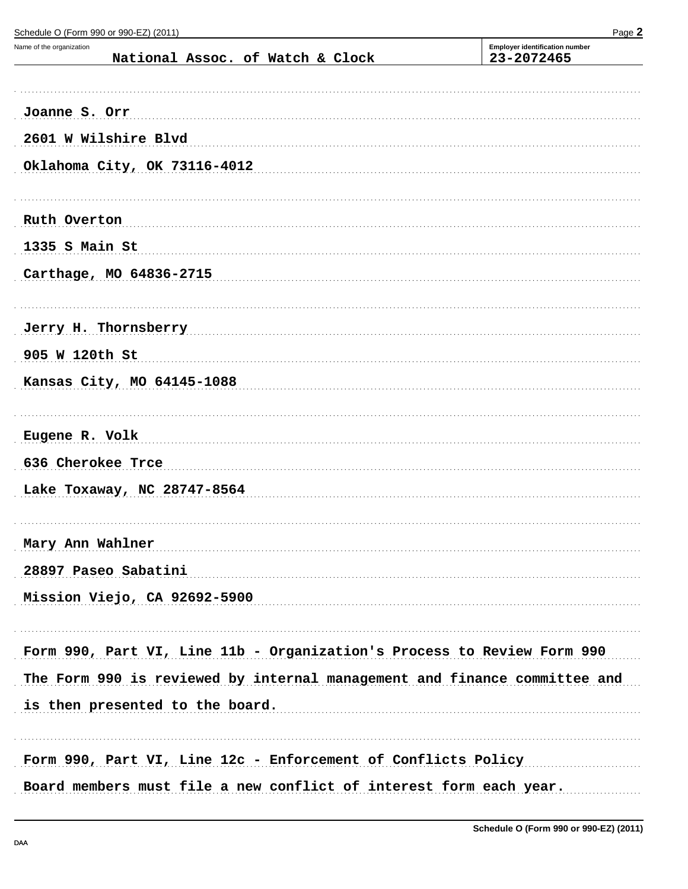Name of the organization **Employer identification number** National Assoc. of Watch & Clock 23-2072465 Joanne S. Orr (1996) 1996 (1997) 1997 (1998) 1998 (1998) 1999 (1998) 1999 (1999) 1999 (1999) 1999 (1999) 1999 (1999) 1999 (1999) 1999 (1999) 1999 (1999) 1999 (1999) 1999 (1999) 1999 (1999) 1999 (1999) 1999 (1999) 1999 (199 2601 W Wilshire Blvd expansion and the contract of the contract of the contract of the contract of the contract of the contract of the contract of the contract of the contract of the contract of the contract of the contrac Oklahoma City, OK 73116-4012 Ruth Overton **Execution** 2014 12:30 and 2015 12:30 and 2015 12:30 and 2016 12:30 and 2016 12:30 and 2017 12:30 and 2017 12:30 and 2017 12:30 and 2017 12:30 and 2017 12:30 and 2017 12:30 and 2017 12:30 and 2017 12:30 and 20 1335 S Main St Carthage, MO 64836-2715 Jerry H. Thornsberry Management of the Second Service of the Service of Theorem and Terry H. Thornsberry 905 W 120th St 2008 2009 2009 2010 2020 2031 2040 2050 2061 2071 2080 2091 2009 2010 2020 2031 2040 2051 2052 Kansas City, MO 64145-1088 Eugene R. Volk 636 Cherokee Trce Lake Toxaway, NC 28747-8564 Mary Ann Wahlner 28897 Paseo Sabatini Mission Viejo, CA 92692-5900 Form 990, Part VI, Line 11b - Organization's Process to Review Form 990 The Form 990 is reviewed by internal management and finance committee and is then presented to the board. The material contract of the presented to the board. Form 990, Part VI, Line 12c - Enforcement of Conflicts Policy Board members must file a new conflict of interest form each year.

Schedule O (Form 990 or 990-EZ) (2011)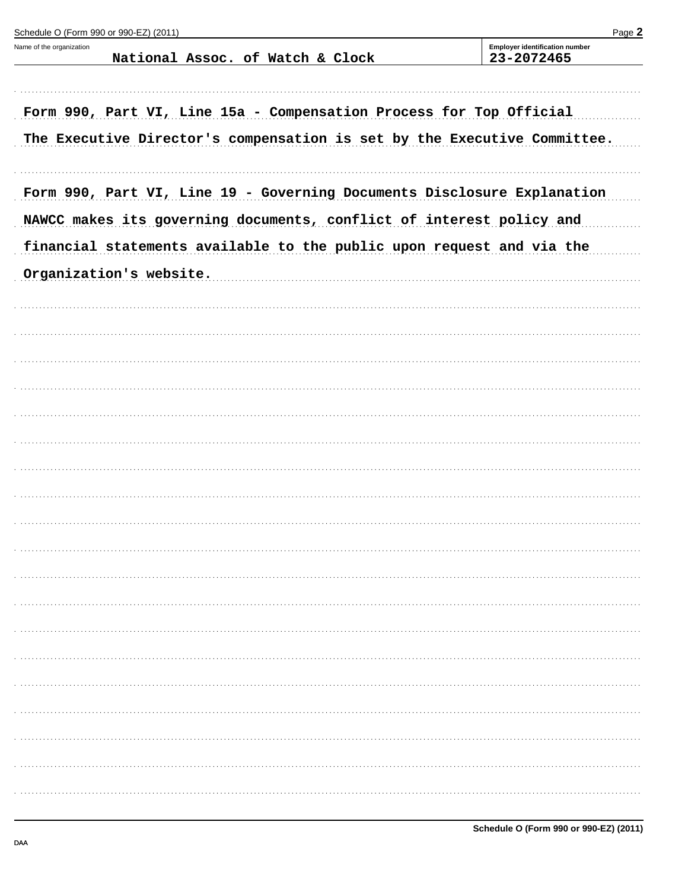| Schedule O (Form 990 or 990-EZ) (2011)                                   | Page 2                                              |
|--------------------------------------------------------------------------|-----------------------------------------------------|
| Name of the organization<br>National Assoc. of Watch & Clock             | <b>Employer identification number</b><br>23-2072465 |
|                                                                          |                                                     |
| Form 990, Part VI, Line 15a - Compensation Process for Top Official      |                                                     |
| The Executive Director's compensation is set by the Executive Committee. |                                                     |
| Form 990, Part VI, Line 19 - Governing Documents Disclosure Explanation  |                                                     |
| NAWCC makes its governing documents, conflict of interest policy and     |                                                     |
| financial statements available to the public upon request and via the    |                                                     |
| Organization's website.                                                  |                                                     |
|                                                                          |                                                     |
|                                                                          |                                                     |
|                                                                          |                                                     |
|                                                                          |                                                     |
|                                                                          |                                                     |
|                                                                          |                                                     |
|                                                                          |                                                     |
|                                                                          |                                                     |
|                                                                          |                                                     |
|                                                                          |                                                     |
|                                                                          |                                                     |
|                                                                          |                                                     |
|                                                                          |                                                     |
|                                                                          |                                                     |
|                                                                          |                                                     |
|                                                                          |                                                     |
|                                                                          |                                                     |
|                                                                          |                                                     |
|                                                                          |                                                     |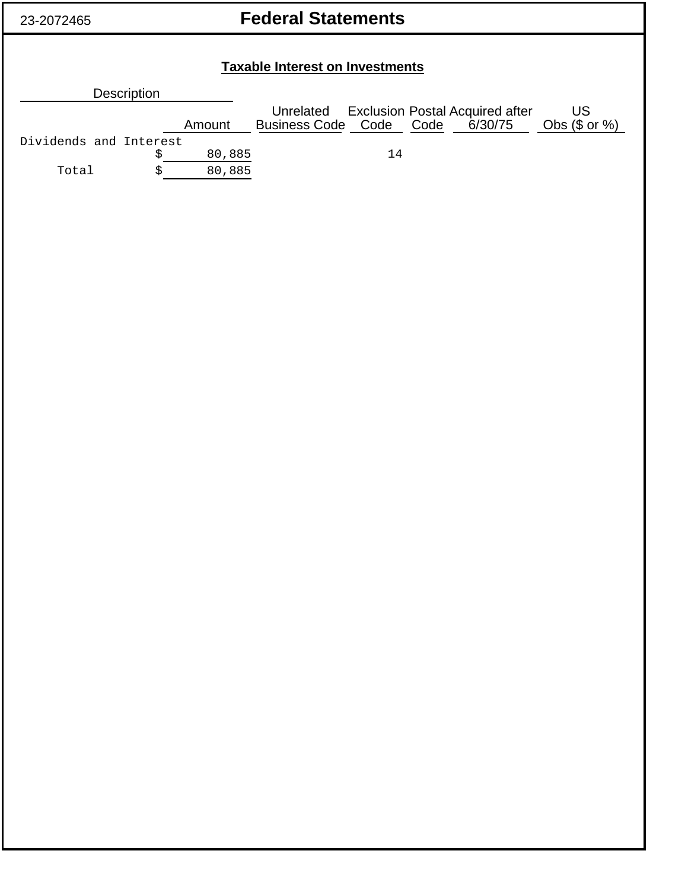# **Federal Statements**

| <b>Taxable Interest on Investments</b> |   |        |                                 |    |  |                                        |                  |
|----------------------------------------|---|--------|---------------------------------|----|--|----------------------------------------|------------------|
| <b>Description</b>                     |   |        |                                 |    |  |                                        |                  |
|                                        |   |        | Unrelated                       |    |  | <b>Exclusion Postal Acquired after</b> | US               |
|                                        |   | Amount | Business Code Code Code 6/30/75 |    |  |                                        | Obs $(\$$ or $%$ |
| Dividends and Interest                 |   |        |                                 |    |  |                                        |                  |
|                                        | 5 | 80,885 |                                 | 14 |  |                                        |                  |
| Total                                  | S | 80,885 |                                 |    |  |                                        |                  |
|                                        |   |        |                                 |    |  |                                        |                  |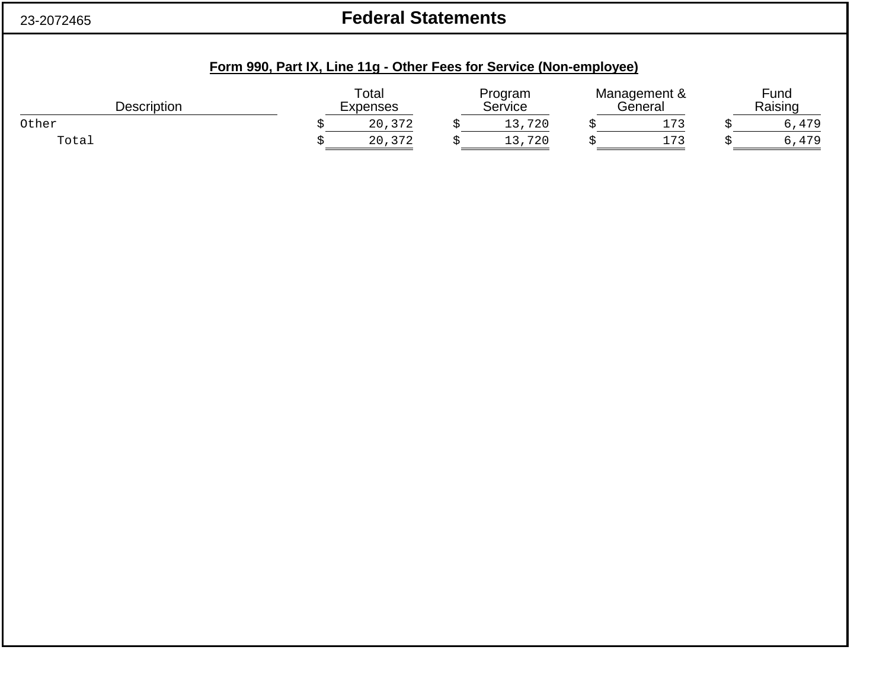### 23-2072465

# **Federal Statements**

| Description | Total<br>Expenses | Program<br>Service | Management &<br>General | Fund<br>Raising |
|-------------|-------------------|--------------------|-------------------------|-----------------|
| Other       | 20,372            | 720                | 173                     | ,,479           |
| Total       | 20,372            | 720                | ר דו<br>ـــ             | 170<br>, 4/5    |